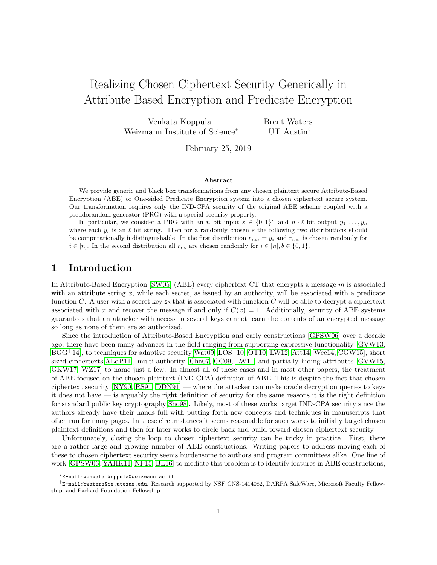# Realizing Chosen Ciphertext Security Generically in Attribute-Based Encryption and Predicate Encryption

Venkata Koppula Weizmann Institute of Science<sup>∗</sup> Brent Waters UT Austin†

February 25, 2019

#### Abstract

We provide generic and black box transformations from any chosen plaintext secure Attribute-Based Encryption (ABE) or One-sided Predicate Encryption system into a chosen ciphertext secure system. Our transformation requires only the IND-CPA security of the original ABE scheme coupled with a pseudorandom generator (PRG) with a special security property.

In particular, we consider a PRG with an n bit input  $s \in \{0,1\}^n$  and  $n \cdot \ell$  bit output  $y_1, \ldots, y_n$ where each  $y_i$  is an  $\ell$  bit string. Then for a randomly chosen s the following two distributions should be computationally indistinguishable. In the first distribution  $r_{i,s_i} = y_i$  and  $r_{i,\bar{s}_i}$  is chosen randomly for  $i \in [n]$ . In the second distribution all  $r_{i,b}$  are chosen randomly for  $i \in [n], b \in \{0,1\}$ .

## 1 Introduction

In Attribute-Based Encryption [\[SW05\]](#page-29-0) (ABE) every ciphertext CT that encrypts a message m is associated with an attribute string  $x$ , while each secret, as issued by an authority, will be associated with a predicate function  $C$ . A user with a secret key sk that is associated with function  $C$  will be able to decrypt a ciphertext associated with x and recover the message if and only if  $C(x) = 1$ . Additionally, security of ABE systems guarantees that an attacker with access to several keys cannot learn the contents of an encrypted message so long as none of them are so authorized.

Since the introduction of Attribute-Based Encryption and early constructions [\[GPSW06\]](#page-28-0) over a decade ago, there have been many advances in the field ranging from supporting expressive functionality [\[GVW13,](#page-28-1) [BGG](#page-27-0)+14], to techniques for adaptive security[\[Wat09,](#page-30-0) [LOS](#page-29-1)+10, [OT10,](#page-29-2) [LW12,](#page-29-3) [Att14,](#page-27-1) [Wee14,](#page-30-1) [CGW15\]](#page-27-2), short sized ciphertexts[\[ALdP11\]](#page-27-3), multi-authority [\[Cha07,](#page-27-4) [CC09,](#page-27-5) [LW11\]](#page-29-4) and partially hiding attributes [\[GVW15,](#page-28-2) [GKW17,](#page-28-3) [WZ17\]](#page-30-2) to name just a few. In almost all of these cases and in most other papers, the treatment of ABE focused on the chosen plaintext (IND-CPA) definition of ABE. This is despite the fact that chosen ciphertext security [\[NY90,](#page-29-5) [RS91,](#page-29-6) [DDN91\]](#page-28-4) — where the attacker can make oracle decryption queries to keys it does not have — is arguably the right definition of security for the same reasons it is the right definition for standard public key cryptography[\[Sho98\]](#page-29-7). Likely, most of these works target IND-CPA security since the authors already have their hands full with putting forth new concepts and techniques in manuscripts that often run for many pages. In these circumstances it seems reasonable for such works to initially target chosen plaintext definitions and then for later works to circle back and build toward chosen ciphertext security.

Unfortunately, closing the loop to chosen ciphertext security can be tricky in practice. First, there are a rather large and growing number of ABE constructions. Writing papers to address moving each of these to chosen ciphertext security seems burdensome to authors and program committees alike. One line of work [\[GPSW06,](#page-28-0) [YAHK11,](#page-30-3) [NP15,](#page-29-8) [BL16\]](#page-27-6) to mediate this problem is to identify features in ABE constructions,

<sup>∗</sup>E-mail:venkata.koppula@weizmann.ac.il

<sup>†</sup>E-mail:bwaters@cs.utexas.edu. Research supported by NSF CNS-1414082, DARPA SafeWare, Microsoft Faculty Fellowship, and Packard Foundation Fellowship.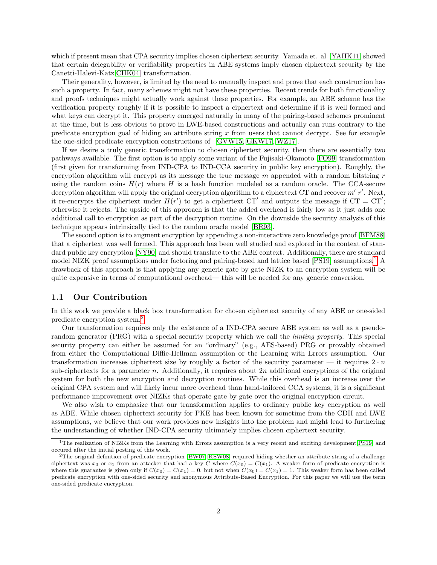which if present mean that CPA security implies chosen ciphertext security. Yamada et. al [\[YAHK11\]](#page-30-3) showed that certain delegability or verifiability properties in ABE systems imply chosen ciphertext security by the Canetti-Halevi-Katz[\[CHK04\]](#page-28-5) transformation.

Their generality, however, is limited by the need to manually inspect and prove that each construction has such a property. In fact, many schemes might not have these properties. Recent trends for both functionality and proofs techniques might actually work against these properties. For example, an ABE scheme has the verification property roughly if it is possible to inspect a ciphertext and determine if it is well formed and what keys can decrypt it. This property emerged naturally in many of the pairing-based schemes prominent at the time, but is less obvious to prove in LWE-based constructions and actually can runs contrary to the predicate encryption goal of hiding an attribute string  $x$  from users that cannot decrypt. See for example the one-sided predicate encryption constructions of [\[GVW15,](#page-28-2) [GKW17,](#page-28-3) [WZ17\]](#page-30-2).

If we desire a truly generic transformation to chosen ciphertext security, then there are essentially two pathways available. The first option is to apply some variant of the Fujisaki-Okamoto [\[FO99\]](#page-28-6) transformation (first given for transforming from IND-CPA to IND-CCA security in public key encryption). Roughly, the encryption algorithm will encrypt as its message the true message  $m$  appended with a random bitstring  $r$ using the random coins  $H(r)$  where H is a hash function modeled as a random oracle. The CCA-secure decryption algorithm will apply the original decryption algorithm to a ciphertext CT and recover  $m'|r'$ . Next, it re-encrypts the ciphertext under  $H(r')$  to get a ciphertext CT' and outputs the message if CT = CT'; otherwise it rejects. The upside of this approach is that the added overhead is fairly low as it just adds one additional call to encryption as part of the decryption routine. On the downside the security analysis of this technique appears intrinsically tied to the random oracle model [\[BR93\]](#page-27-7).

The second option is to augment encryption by appending a non-interactive zero knowledge proof [\[BFM88\]](#page-27-8) that a ciphertext was well formed. This approach has been well studied and explored in the context of standard public key encryption [\[NY90\]](#page-29-5) and should translate to the ABE context. Additionally, there are standard model NIZK proof assumptions under factoring and pairing-based and lattice based [\[PS19\]](#page-29-9) assumptions.<sup>[1](#page-1-0)</sup> A drawback of this approach is that applying any generic gate by gate NIZK to an encryption system will be quite expensive in terms of computational overhead— this will be needed for any generic conversion.

## 1.1 Our Contribution

In this work we provide a black box transformation for chosen ciphertext security of any ABE or one-sided predicate encryption system.[2](#page-1-1)

Our transformation requires only the existence of a IND-CPA secure ABE system as well as a pseudorandom generator (PRG) with a special security property which we call the hinting property. This special security property can either be assumed for an "ordinary" (e.g., AES-based) PRG or provably obtained from either the Computational Diffie-Hellman assumption or the Learning with Errors assumption. Our transformation increases ciphertext size by roughly a factor of the security parameter — it requires  $2 \cdot n$ sub-ciphertexts for a parameter n. Additionally, it requires about  $2n$  additional encryptions of the original system for both the new encryption and decryption routines. While this overhead is an increase over the original CPA system and will likely incur more overhead than hand-tailored CCA systems, it is a significant performance improvement over NIZKs that operate gate by gate over the original encryption circuit.

We also wish to emphasize that our transformation applies to ordinary public key encryption as well as ABE. While chosen ciphertext security for PKE has been known for sometime from the CDH and LWE assumptions, we believe that our work provides new insights into the problem and might lead to furthering the understanding of whether IND-CPA security ultimately implies chosen ciphertext security.

<span id="page-1-0"></span><sup>&</sup>lt;sup>1</sup>The realization of NIZKs from the Learning with Errors assumption is a very recent and exciting development<sup>[\[PS19\]](#page-29-9)</sup> and occured after the initial posting of this work.

<span id="page-1-1"></span> $2$ The original definition of predicate encryption [\[BW07,](#page-27-9) [KSW08\]](#page-29-10) required hiding whether an attribute string of a challenge ciphertext was  $x_0$  or  $x_1$  from an attacker that had a key C where  $C(x_0) = C(x_1)$ . A weaker form of predicate encryption is where this guarantee is given only if  $C(x_0) = C(x_1) = 0$ , but not when  $C(x_0) = C(x_1) = 1$ . This weaker form has been called predicate encryption with one-sided security and anonymous Attribute-Based Encryption. For this paper we will use the term one-sided predicate encryption.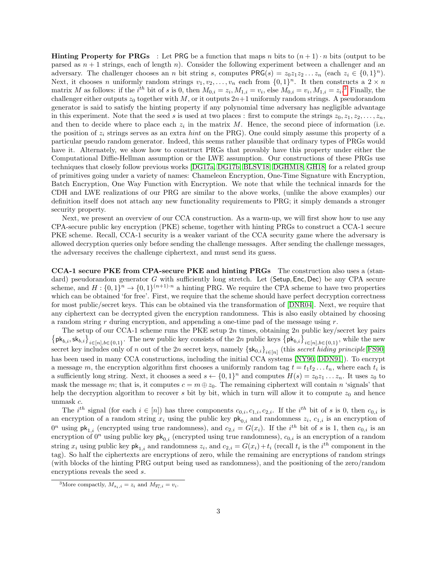**Hinting Property for PRGs** : Let PRG be a function that maps n bits to  $(n+1) \cdot n$  bits (output to be parsed as  $n + 1$  strings, each of length n). Consider the following experiment between a challenger and an adversary. The challenger chooses an n bit string s, computes  $PRG(s) = z_0 z_1 z_2 ... z_n$  (each  $z_i \in \{0,1\}^n$ ). Next, it chooses n uniformly random strings  $v_1, v_2, \ldots, v_n$  each from  $\{0, 1\}^n$ . It then constructs a  $2 \times n$ matrix M as follows: if the i<sup>th</sup> bit of s is 0, then  $M_{0,i} = z_i, M_{1,i} = v_i$ , else  $M_{0,i} = v_i, M_{1,i} = z_i$ .<sup>[3](#page-2-0)</sup> Finally, the challenger either outputs  $z_0$  together with M, or it outputs  $2n+1$  uniformly random strings. A pseudorandom generator is said to satisfy the hinting property if any polynomial time adversary has negligible advantage in this experiment. Note that the seed s is used at two places : first to compute the strings  $z_0, z_1, z_2, \ldots, z_n$ , and then to decide where to place each  $z_i$  in the matrix M. Hence, the second piece of information (i.e. the position of  $z_i$  strings serves as an extra *hint* on the PRG). One could simply assume this property of a particular pseudo random generator. Indeed, this seems rather plausible that ordinary types of PRGs would have it. Alternately, we show how to construct PRGs that provably have this property under either the Computational Diffie-Hellman assumption or the LWE assumption. Our constructions of these PRGs use techniques that closely follow previous works [\[DG17a,](#page-28-7) [DG17b,](#page-28-8) [BLSV18,](#page-27-10) [DGHM18,](#page-28-9) [GH18\]](#page-28-10) for a related group of primitives going under a variety of names: Chameleon Encryption, One-Time Signature with Encryption, Batch Encryption, One Way Function with Encryption. We note that while the technical innards for the CDH and LWE realizations of our PRG are similar to the above works, (unlike the above examples) our definition itself does not attach any new functionality requirements to PRG; it simply demands a stronger security property.

Next, we present an overview of our CCA construction. As a warm-up, we will first show how to use any CPA-secure public key encryption (PKE) scheme, together with hinting PRGs to construct a CCA-1 secure PKE scheme. Recall, CCA-1 security is a weaker variant of the CCA security game where the adversary is allowed decryption queries only before sending the challenge messages. After sending the challenge messages, the adversary receives the challenge ciphertext, and must send its guess.

CCA-1 secure PKE from CPA-secure PKE and hinting PRGs The construction also uses a (standard) pseudorandom generator G with sufficiently long stretch. Let (Setup, Enc, Dec) be any CPA secure scheme, and  $H: \{0,1\}^n \to \{0,1\}^{(n+1)\cdot n}$  a hinting PRG. We require the CPA scheme to have two properties which can be obtained 'for free'. First, we require that the scheme should have perfect decryption correctness for most public/secret keys. This can be obtained via the transformation of [\[DNR04\]](#page-28-11). Next, we require that any ciphertext can be decrypted given the encryption randomness. This is also easily obtained by choosing a random string r during encryption, and appending a one-time pad of the message using  $r$ .

The setup of our CCA-1 scheme runs the PKE setup  $2n$  times, obtaining  $2n$  public key/secret key pairs  ${\{\mathsf{pk}_{b,i},\mathsf{sk}_{b,i}\}}_{i\in[n],b\in\{0,1\}}$ . The new public key consists of the 2n public keys  ${\{\mathsf{pk}_{b,i}\}}_{i\in[n],b\in\{0,1\}}$ , while the new secret key includes only of n out of the 2n secret keys, namely  $\{sk_{0,i}\}_{i\in[n]}$  (this secret hiding principle [\[FS90\]](#page-28-12) has been used in many CCA constructions, including the initial CCA systems [\[NY90,](#page-29-5) [DDN91\]](#page-28-4)). To encrypt a message m, the encryption algorithm first chooses a uniformly random tag  $t = t_1 t_2 \dots t_n$ , where each  $t_i$  is a sufficiently long string. Next, it chooses a seed  $s \leftarrow \{0,1\}^n$  and computes  $H(s) = z_0 z_1 \dots z_n$ . It uses  $z_0$  to mask the message m; that is, it computes  $c = m \oplus z_0$ . The remaining ciphertext will contain n 'signals' that help the decryption algorithm to recover s bit by bit, which in turn will allow it to compute  $z_0$  and hence unmask c.

The  $i^{th}$  signal (for each  $i \in [n]$ ) has three components  $c_{0,i}, c_{1,i}, c_{2,i}$ . If the  $i^{th}$  bit of s is 0, then  $c_{0,i}$  is an encryption of a random string  $x_i$  using the public key  $\mathsf{pk}_{0,i}$  and randomness  $z_i$ ,  $c_{1,i}$  is an encryption of  $0^n$  using  $\mathsf{pk}_{1,i}$  (encrypted using true randomness), and  $c_{2,i} = G(x_i)$ . If the i<sup>th</sup> bit of s is 1, then  $c_{0,i}$  is an encryption of  $0^n$  using public key  $\mathsf{pk}_{0,i}$  (encrypted using true randomness),  $c_{0,i}$  is an encryption of a random string  $x_i$  using public key  $\mathsf{pk}_{1,i}$  and randomness  $z_i$ , and  $c_{2,i} = G(x_i) + t_i$  (recall  $t_i$  is the  $i^{th}$  component in the tag). So half the ciphertexts are encryptions of zero, while the remaining are encryptions of random strings (with blocks of the hinting PRG output being used as randomness), and the positioning of the zero/random encryptions reveals the seed s.

<span id="page-2-0"></span><sup>&</sup>lt;sup>3</sup>More compactly,  $M_{s_i,i} = z_i$  and  $M_{\overline{s_i},i} = v_i$ .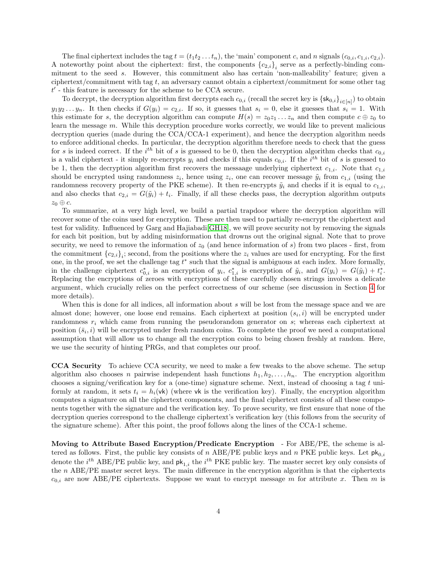The final ciphertext includes the tag  $t = (t_1t_2 \ldots t_n)$ , the 'main' component c, and n signals  $(c_{0,i}, c_{1,i}, c_{2,i})$ . A noteworthy point about the ciphertext: first, the components  ${c_{2,i}}_i$  serve as a perfectly-binding commitment to the seed s. However, this commitment also has certain 'non-malleability' feature; given a ciphertext/commitment with tag  $t$ , an adversary cannot obtain a ciphertext/commitment for some other tag  $t'$  - this feature is necessary for the scheme to be CCA secure.

To decrypt, the decryption algorithm first decrypts each  $c_{0,i}$  (recall the secret key is  ${s_k}_{0,i}$ <sub>i∈[n]</sub>) to obtain  $y_1y_2...y_n$ . It then checks if  $G(y_i) = c_{2,i}$ . If so, it guesses that  $s_i = 0$ , else it guesses that  $s_i = 1$ . With this estimate for s, the decryption algorithm can compute  $H(s) = z_0z_1 \ldots z_n$  and then compute  $c \oplus z_0$  to learn the message m. While this decryption procedure works correctly, we would like to prevent malicious decryption queries (made during the CCA/CCA-1 experiment), and hence the decryption algorithm needs to enforce additional checks. In particular, the decryption algorithm therefore needs to check that the guess for s is indeed correct. If the i<sup>th</sup> bit of s is guessed to be 0, then the decryption algorithm checks that  $c_{0,i}$ is a valid ciphertext - it simply re-encrypts  $y_i$  and checks if this equals  $c_{0,i}$ . If the i<sup>th</sup> bit of s is guessed to be 1, then the decryption algorithm first recovers the messaage underlying ciphertext  $c_{1,i}$ . Note that  $c_{1,i}$ should be encrypted using randomness  $z_i$ , hence using  $z_i$ , one can recover message  $\tilde{y}_i$  from  $c_{1,i}$  (using the randomness recovery property of the PKE scheme). It then re-encrypts  $\tilde{y}_i$  and checks if it is equal to  $c_{1,i}$ , and also checks that  $c_{2,i} = G(\tilde{y}_i) + t_i$ . Finally, if all these checks pass, the decryption algorithm outputs  $z_0 \oplus c.$ 

To summarize, at a very high level, we build a partial trapdoor where the decryption algorithm will recover some of the coins used for encryption. These are then used to partially re-encrypt the ciphertext and test for validity. Influenced by Garg and Hajiabadi[\[GH18\]](#page-28-10), we will prove security not by removing the signals for each bit position, but by adding misinformation that drowns out the original signal. Note that to prove security, we need to remove the information of  $z_0$  (and hence information of s) from two places - first, from the commitment  ${c_{2,i}}_i$ ; second, from the positions where the  $z_i$  values are used for encrypting. For the first one, in the proof, we set the challenge tag  $t^*$  such that the signal is ambiguous at each index. More formally, in the challenge ciphertext  $c_{0,i}^*$  is an encryption of  $y_i$ ,  $c_{1,i}^*$  is encryption of  $\tilde{y}_i$ , and  $G(y_i) = G(\tilde{y}_i) + t_i^*$ . Replacing the encryptions of zeroes with encryptions of these carefully chosen strings involves a delicate argument, which crucially relies on the perfect correctness of our scheme (see discussion in Section [4](#page-8-0) for more details).

When this is done for all indices, all information about s will be lost from the message space and we are almost done; however, one loose end remains. Each ciphertext at position  $(s_i, i)$  will be encrypted under randomness  $r_i$  which came from running the pseudorandom generator on  $s$ ; whereas each ciphertext at position  $(\bar{s}_i, i)$  will be encrypted under fresh random coins. To complete the proof we need a computational assumption that will allow us to change all the encryption coins to being chosen freshly at random. Here, we use the security of hinting PRGs, and that completes our proof.

CCA Security To achieve CCA security, we need to make a few tweaks to the above scheme. The setup algorithm also chooses n pairwise independent hash functions  $h_1, h_2, \ldots, h_n$ . The encryption algorithm chooses a signing/verification key for a (one-time) signature scheme. Next, instead of choosing a tag t uniformly at random, it sets  $t_i = h_i(\mathsf{vk})$  (where vk is the verification key). Finally, the encryption algorithm computes a signature on all the ciphertext components, and the final ciphertext consists of all these components together with the signature and the verification key. To prove security, we first ensure that none of the decryption queries correspond to the challenge ciphertext's verification key (this follows from the security of the signature scheme). After this point, the proof follows along the lines of the CCA-1 scheme.

Moving to Attribute Based Encryption/Predicate Encryption - For ABE/PE, the scheme is altered as follows. First, the public key consists of n ABE/PE public keys and n PKE public keys. Let  $pk_{0,i}$ denote the  $i^{th}$  ABE/PE public key, and  $\mathsf{pk}_{1,i}$  the  $i^{th}$  PKE public key. The master secret key only consists of the n ABE/PE master secret keys. The main difference in the encryption algorithm is that the ciphertexts  $c_{0,i}$  are now ABE/PE ciphertexts. Suppose we want to encrypt message m for attribute x. Then m is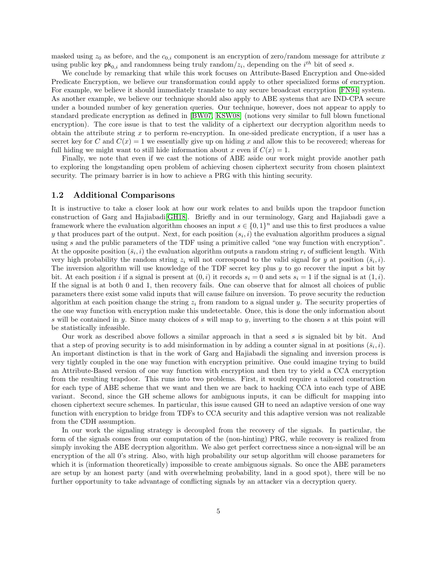masked using  $z_0$  as before, and the  $c_{0,i}$  component is an encryption of zero/random message for attribute x using public key  $\mathsf{pk}_{0,i}$  and randomness being truly random/ $z_i$ , depending on the  $i^{th}$  bit of seed s.

We conclude by remarking that while this work focuses on Attribute-Based Encryption and One-sided Predicate Encryption, we believe our transformation could apply to other specialized forms of encryption. For example, we believe it should immediately translate to any secure broadcast encryption [\[FN94\]](#page-28-13) system. As another example, we believe our technique should also apply to ABE systems that are IND-CPA secure under a bounded number of key generation queries. Our technique, however, does not appear to apply to standard predicate encryption as defined in [\[BW07,](#page-27-9) [KSW08\]](#page-29-10) (notions very similar to full blown functional encryption). The core issue is that to test the validity of a ciphertext our decryption algorithm needs to obtain the attribute string  $x$  to perform re-encryption. In one-sided predicate encryption, if a user has a secret key for C and  $C(x) = 1$  we essentially give up on hiding x and allow this to be recovered; whereas for full hiding we might want to still hide information about x even if  $C(x) = 1$ .

Finally, we note that even if we cast the notions of ABE aside our work might provide another path to exploring the longstanding open problem of achieving chosen ciphertext security from chosen plaintext security. The primary barrier is in how to achieve a PRG with this hinting security.

### 1.2 Additional Comparisons

It is instructive to take a closer look at how our work relates to and builds upon the trapdoor function construction of Garg and Hajiabadi[\[GH18\]](#page-28-10). Briefly and in our terminology, Garg and Hajiabadi gave a framework where the evaluation algorithm chooses an input  $s \in \{0,1\}^n$  and use this to first produces a value y that produces part of the output. Next, for each position  $(s_i, i)$  the evaluation algorithm produces a signal using s and the public parameters of the TDF using a primitive called "one way function with encryption". At the opposite position  $(\bar{s}_i, i)$  the evaluation algorithm outputs a random string  $r_i$  of sufficient length. With very high probability the random string  $z_i$  will not correspond to the valid signal for y at position  $(\bar{s}_i, i)$ . The inversion algorithm will use knowledge of the TDF secret key plus y to go recover the input s bit by bit. At each position i if a signal is present at  $(0, i)$  it records  $s_i = 0$  and sets  $s_i = 1$  if the signal is at  $(1, i)$ . If the signal is at both 0 and 1, then recovery fails. One can observe that for almost all choices of public parameters there exist some valid inputs that will cause failure on inversion. To prove security the reduction algorithm at each position change the string  $z_i$  from random to a signal under y. The security properties of the one way function with encryption make this undetectable. Once, this is done the only information about s will be contained in y. Since many choices of s will map to y, inverting to the chosen s at this point will be statistically infeasible.

Our work as described above follows a similar approach in that a seed  $s$  is signaled bit by bit. And that a step of proving security is to add misinformation in by adding a counter signal in at positions  $(\bar{s}_i, i)$ . An important distinction is that in the work of Garg and Hajiabadi the signaling and inversion process is very tightly coupled in the one way function with encryption primitive. One could imagine trying to build an Attribute-Based version of one way function with encryption and then try to yield a CCA encryption from the resulting trapdoor. This runs into two problems. First, it would require a tailored construction for each type of ABE scheme that we want and then we are back to hacking CCA into each type of ABE variant. Second, since the GH scheme allows for ambiguous inputs, it can be difficult for mapping into chosen ciphertext secure schemes. In particular, this issue caused GH to need an adaptive version of one way function with encryption to bridge from TDFs to CCA security and this adaptive version was not realizable from the CDH assumption.

In our work the signaling strategy is decoupled from the recovery of the signals. In particular, the form of the signals comes from our computation of the (non-hinting) PRG, while recovery is realized from simply invoking the ABE decryption algorithm. We also get perfect correctness since a non-signal will be an encryption of the all 0's string. Also, with high probability our setup algorithm will choose parameters for which it is (information theoretically) impossible to create ambiguous signals. So once the ABE parameters are setup by an honest party (and with overwhelming probability, land in a good spot), there will be no further opportunity to take advantage of conflicting signals by an attacker via a decryption query.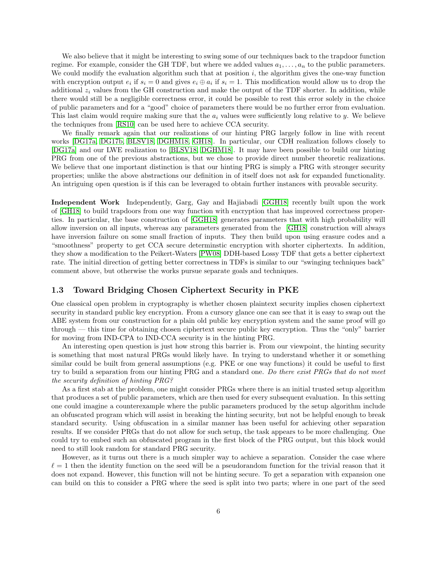We also believe that it might be interesting to swing some of our techniques back to the trapdoor function regime. For example, consider the GH TDF, but where we added values  $a_1, \ldots, a_n$  to the public parameters. We could modify the evaluation algorithm such that at position  $i$ , the algorithm gives the one-way function with encryption output  $e_i$  if  $s_i = 0$  and gives  $e_i \oplus a_i$  if  $s_i = 1$ . This modification would allow us to drop the additional  $z_i$  values from the GH construction and make the output of the TDF shorter. In addition, while there would still be a negligible correctness error, it could be possible to rest this error solely in the choice of public parameters and for a "good" choice of parameters there would be no further error from evaluation. This last claim would require making sure that the  $a_i$  values were sufficiently long relative to y. We believe the techniques from [\[RS10\]](#page-29-11) can be used here to achieve CCA security.

We finally remark again that our realizations of our hinting PRG largely follow in line with recent works [\[DG17a,](#page-28-7) [DG17b,](#page-28-8) [BLSV18,](#page-27-10) [DGHM18,](#page-28-9) [GH18\]](#page-28-10). In particular, our CDH realization follows closely to [\[DG17a\]](#page-28-7) and our LWE realization to [\[BLSV18,](#page-27-10) [DGHM18\]](#page-28-9). It may have been possible to build our hinting PRG from one of the previous abstractions, but we chose to provide direct number theoretic realizations. We believe that one important distinction is that our hinting PRG is simply a PRG with stronger security properties; unlike the above abstractions our definition in of itself does not ask for expanded functionality. An intriguing open question is if this can be leveraged to obtain further instances with provable security.

Independent Work Independently, Garg, Gay and Hajiabadi [\[GGH18\]](#page-28-14) recently built upon the work of [\[GH18\]](#page-28-10) to build trapdoors from one way function with encryption that has improved correctness properties. In particular, the base construction of [\[GGH18\]](#page-28-14) generates parameters that with high probability will allow inversion on all inputs, whereas any parameters generated from the [\[GH18\]](#page-28-10) construction will always have inversion failure on some small fraction of inputs. They then build upon using erasure codes and a "smoothness" property to get CCA secure determinstic encryption with shorter ciphertexts. In addition, they show a modification to the Peikert-Waters [\[PW08\]](#page-29-12) DDH-based Lossy TDF that gets a better ciphertext rate. The initial direction of getting better correctness in TDFs is similar to our "swinging techniques back" comment above, but otherwise the works pursue separate goals and techniques.

## 1.3 Toward Bridging Chosen Ciphertext Security in PKE

One classical open problem in cryptography is whether chosen plaintext security implies chosen ciphertext security in standard public key encryption. From a cursory glance one can see that it is easy to swap out the ABE system from our construction for a plain old public key encryption system and the same proof will go through — this time for obtaining chosen ciphertext secure public key encryption. Thus the "only" barrier for moving from IND-CPA to IND-CCA security is in the hinting PRG.

An interesting open question is just how strong this barrier is. From our viewpoint, the hinting security is something that most natural PRGs would likely have. In trying to understand whether it or something similar could be built from general assumptions (e.g. PKE or one way functions) it could be useful to first try to build a separation from our hinting PRG and a standard one. Do there exist PRGs that do not meet the security definition of hinting PRG?

As a first stab at the problem, one might consider PRGs where there is an initial trusted setup algorithm that produces a set of public parameters, which are then used for every subsequent evaluation. In this setting one could imagine a counterexample where the public parameters produced by the setup algorithm include an obfuscated program which will assist in breaking the hinting security, but not be helpful enough to break standard security. Using obfuscation in a similar manner has been useful for achieving other separation results. If we consider PRGs that do not allow for such setup, the task appears to be more challenging. One could try to embed such an obfuscated program in the first block of the PRG output, but this block would need to still look random for standard PRG security.

However, as it turns out there is a much simpler way to achieve a separation. Consider the case where  $\ell = 1$  then the identity function on the seed will be a pseudorandom function for the trivial reason that it does not expand. However, this function will not be hinting secure. To get a separation with expansion one can build on this to consider a PRG where the seed is split into two parts; where in one part of the seed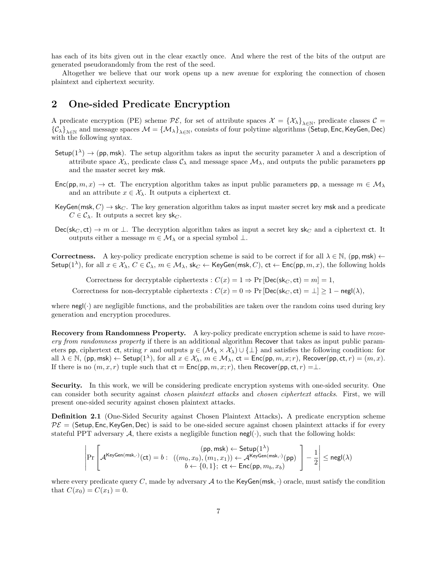has each of its bits given out in the clear exactly once. And where the rest of the bits of the output are generated pseudorandomly from the rest of the seed.

Altogether we believe that our work opens up a new avenue for exploring the connection of chosen plaintext and ciphertext security.

## <span id="page-6-1"></span>2 One-sided Predicate Encryption

A predicate encryption (PE) scheme  $\mathcal{PE}$ , for set of attribute spaces  $\mathcal{X} = {\mathcal{X}}_{\lambda}$ , predicate classes  $\mathcal{C} =$  $\{\mathcal{C}_\lambda\}_{\lambda\in\mathbb{N}}$  and message spaces  $\mathcal{M}=\{\mathcal{M}_\lambda\}_{\lambda\in\mathbb{N}}$ , consists of four polytime algorithms (Setup, Enc, KeyGen, Dec) with the following syntax.

- Setup( $1^{\lambda}$ )  $\rightarrow$  (pp, msk). The setup algorithm takes as input the security parameter  $\lambda$  and a description of attribute space  $\mathcal{X}_{\lambda}$ , predicate class  $\mathcal{C}_{\lambda}$  and message space  $\mathcal{M}_{\lambda}$ , and outputs the public parameters pp and the master secret key msk.
- $Enc(p, m, x) \rightarrow ct$ . The encryption algorithm takes as input public parameters pp, a message  $m \in \mathcal{M}_{\lambda}$ and an attribute  $x \in \mathcal{X}_{\lambda}$ . It outputs a ciphertext ct.
- KeyGen(msk,  $C$ )  $\rightarrow$  sk<sub>C</sub>. The key generation algorithm takes as input master secret key msk and a predicate  $C \in \mathcal{C}_{\lambda}$ . It outputs a secret key sk<sub>C</sub>.
- $Dec(\mathsf{sk}_C, \mathsf{ct}) \to m$  or  $\perp$ . The decryption algorithm takes as input a secret key  $\mathsf{sk}_C$  and a ciphertext  $\mathsf{ct}$ . It outputs either a message  $m \in \mathcal{M}_{\lambda}$  or a special symbol  $\bot$ .

**Correctness.** A key-policy predicate encryption scheme is said to be correct if for all  $\lambda \in \mathbb{N}$ , (pp, msk)  $\leftarrow$ Setup(1<sup> $\lambda$ </sup>), for all  $x \in \mathcal{X}_{\lambda}$ ,  $C \in \mathcal{C}_{\lambda}$ ,  $m \in \mathcal{M}_{\lambda}$ , sk $_C \leftarrow$  KeyGen(msk, C), ct  $\leftarrow$  Enc(pp,  $m, x$ ), the following holds

Correctness for decryptable ciphertexts :  $C(x) = 1 \Rightarrow Pr[Dec(\text{sk}_C, ct) = m] = 1$ ,

Correctness for non-decryptable ciphertexts :  $C(x) = 0 \Rightarrow Pr[Dec(\mathsf{sk}_C, \mathsf{ct}) = \bot] \ge 1 - \mathsf{negl}(\lambda),$ 

where  $neg(\cdot)$  are negligible functions, and the probabilities are taken over the random coins used during key generation and encryption procedures.

Recovery from Randomness Property. A key-policy predicate encryption scheme is said to have recovery from randomness property if there is an additional algorithm Recover that takes as input public parameters pp, ciphertext ct, string r and outputs  $y \in (\mathcal{M}_\lambda \times \mathcal{X}_\lambda) \cup \{\perp\}$  and satisfies the following condition: for all  $\lambda \in \mathbb{N}$ ,  $(pp, \text{msk}) \leftarrow \text{Setup}(1^{\lambda})$ , for all  $x \in \mathcal{X}_{\lambda}$ ,  $m \in \mathcal{M}_{\lambda}$ ,  $ct = \text{Enc}(pp, m, x; r)$ , Recover $(pp, ct, r) = (m, x)$ . If there is no  $(m, x, r)$  tuple such that  $ct = \text{Enc}(pp, m, x; r)$ , then Recover(pp, ct, r) =  $\perp$ .

Security. In this work, we will be considering predicate encryption systems with one-sided security. One can consider both security against chosen plaintext attacks and chosen ciphertext attacks. First, we will present one-sided security against chosen plaintext attacks.

<span id="page-6-0"></span>Definition 2.1 (One-Sided Security against Chosen Plaintext Attacks). A predicate encryption scheme  $\mathcal{PE}$  = (Setup, Enc, KeyGen, Dec) is said to be one-sided secure against chosen plaintext attacks if for every stateful PPT adversary A, there exists a negligible function  $\text{negl}(\cdot)$ , such that the following holds:

$$
\left|\Pr\left[\mathcal{A}^{\mathsf{KeyGen}(\mathsf{msk},\cdot)}(\mathsf{ct}) = b: \begin{array}{c} (\mathsf{pp},\mathsf{msk}) \leftarrow \mathsf{Setup}(1^\lambda) \\ ((m_0,x_0),(m_1,x_1)) \leftarrow \mathcal{A}^{\mathsf{KeyGen}(\mathsf{msk},\cdot)}(\mathsf{pp}) \\ b \leftarrow \{0,1\}; \ \mathsf{ct} \leftarrow \mathsf{Enc}(\mathsf{pp},m_b,x_b) \end{array}\right]\right. - \frac{1}{2}\right| \leq \mathsf{negl}(\lambda)
$$

where every predicate query C, made by adversary A to the KeyGen(msk,  $\cdot$ ) oracle, must satisfy the condition that  $C(x_0) = C(x_1) = 0$ .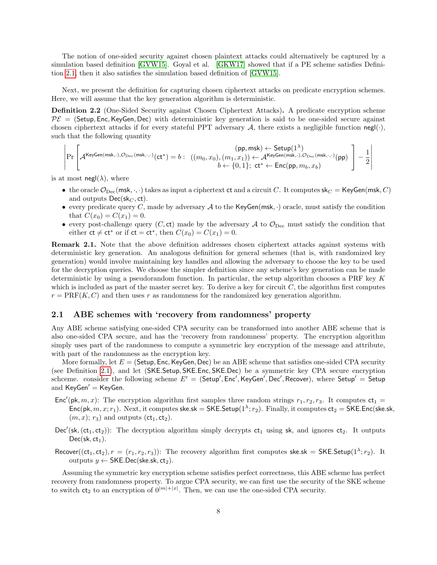The notion of one-sided security against chosen plaintext attacks could alternatively be captured by a simulation based definition [\[GVW15\]](#page-28-2). Goyal et al. [\[GKW17\]](#page-28-3) showed that if a PE scheme satisfies Definition [2.1,](#page-6-0) then it also satisfies the simulation based definition of [\[GVW15\]](#page-28-2).

Next, we present the definition for capturing chosen ciphertext attacks on predicate encryption schemes. Here, we will assume that the key generation algorithm is deterministic.

<span id="page-7-0"></span>Definition 2.2 (One-Sided Security against Chosen Ciphertext Attacks). A predicate encryption scheme  $\mathcal{PE}$  = (Setup, Enc, KeyGen, Dec) with deterministic key generation is said to be one-sided secure against chosen ciphertext attacks if for every stateful PPT adversary A, there exists a negligible function  $neg(\cdot)$ , such that the following quantity

$$
\left|\Pr\left[\mathcal{A}^{\mathsf{KeyGen}(\mathsf{msk},\cdot),\mathcal{O}_{\mathsf{Dec}}(\mathsf{msk},\cdot,\cdot)}(\mathsf{ct}^*)=b:\;\;((m_0,x_0),(m_1,x_1))\leftarrow\mathcal{A}^{\mathsf{KeyGen}(\mathsf{msk},\cdot),\mathcal{O}_{\mathsf{Dec}}(\mathsf{msk},\cdot,\cdot)}(\mathsf{pp})\;\;\middle|\; -\frac{1}{2}\right|\right.
$$

is at most negl( $\lambda$ ), where

- the oracle  $\mathcal{O}_{\text{Dec}}(\text{msk}, \cdot, \cdot)$  takes as input a ciphertext ct and a circuit C. It computes  $\text{sk}_C = \text{KeyGen}(\text{msk}, C)$ and outputs  $Dec(\mathsf{sk}_C, \mathsf{ct})$ .
- every predicate query C, made by adversary A to the KeyGen(msk,  $\cdot$ ) oracle, must satisfy the condition that  $C(x_0) = C(x_1) = 0$ .
- every post-challenge query  $(C, ct)$  made by the adversary A to  $\mathcal{O}_{\text{Dec}}$  must satisfy the condition that either  $ct \neq ct^*$  or if  $ct = ct^*$ , then  $C(x_0) = C(x_1) = 0$ .

Remark 2.1. Note that the above definition addresses chosen ciphertext attacks against systems with deterministic key generation. An analogous definition for general schemes (that is, with randomized key generation) would involve maintaining key handles and allowing the adversary to choose the key to be used for the decryption queries. We choose the simpler definition since any scheme's key generation can be made deterministic by using a pseudorandom function. In particular, the setup algorithm chooses a PRF key K which is included as part of the master secret key. To derive a key for circuit  $C$ , the algorithm first computes  $r = PRF(K, C)$  and then uses r as randomness for the randomized key generation algorithm.

## 2.1 ABE schemes with 'recovery from randomness' property

Any ABE scheme satisfying one-sided CPA security can be transformed into another ABE scheme that is also one-sided CPA secure, and has the 'recovery from randomness' property. The encryption algorithm simply uses part of the randomness to compute a symmetric key encryption of the message and attribute, with part of the randomness as the encryption key.

More formally, let  $E =$  (Setup, Enc, KeyGen, Dec) be an ABE scheme that satisfies one-sided CPA security (see Definition [2.1\)](#page-6-0), and let (SKE.Setup, SKE.Enc, SKE.Dec) be a symmetric key CPA secure encryption schceme. consider the following scheme  $E' =$  (Setup', Enc', KeyGen', Dec', Recover), where Setup' = Setup and  $KeyGen' = KeyGen$ .

- Enc'(pk, m, x): The encryption algorithm first samples three random strings  $r_1, r_2, r_3$ . It computes  $ct_1$  =  $Enc(pk, m, x; r_1)$ . Next, it computes ske.sk = SKE.Setup( $1^{\lambda}; r_2$ ). Finally, it computes  $ct_2 = SKE$ .Enc(ske.sk,  $(m, x); r_3$  and outputs  $(ct_1, ct_2)$ .
- Dec'(sk,  $(ct_1, ct_2)$ ): The decryption algorithm simply decrypts  $ct_1$  using sk, and ignores  $ct_2$ . It outputs  $Dec(\mathsf{sk}, \mathsf{ct}_1).$
- Recover((ct<sub>1</sub>, ct<sub>2</sub>),  $r = (r_1, r_2, r_3)$ ): The recovery algorithm first computes ske.sk = SKE.Setup(1<sup> $\lambda$ </sup>;  $r_2$ ). It outputs  $y$  ← SKE.Dec(ske.sk, ct<sub>2</sub>).

Assuming the symmetric key encryption scheme satisfies perfect correctness, this ABE scheme has perfect recovery from randomness property. To argue CPA security, we can first use the security of the SKE scheme to switch  $ct_2$  to an encryption of  $0^{|m|+|x|}$ . Then, we can use the one-sided CPA security.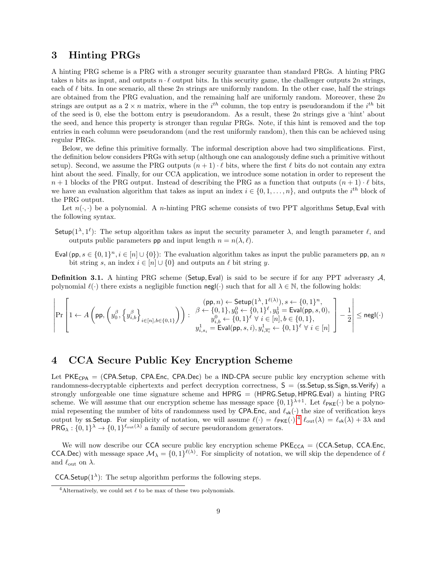## 3 Hinting PRGs

A hinting PRG scheme is a PRG with a stronger security guarantee than standard PRGs. A hinting PRG takes n bits as input, and outputs  $n \cdot \ell$  output bits. In this security game, the challenger outputs  $2n$  strings, each of  $\ell$  bits. In one scenario, all these  $2n$  strings are uniformly random. In the other case, half the strings are obtained from the PRG evaluation, and the remaining half are uniformly random. Moreover, these  $2n$ strings are output as a  $2 \times n$  matrix, where in the  $i^{th}$  column, the top entry is pseudorandom if the  $i^{th}$  bit of the seed is 0, else the bottom entry is pseudorandom. As a result, these  $2n$  strings give a 'hint' about the seed, and hence this property is stronger than regular PRGs. Note, if this hint is removed and the top entries in each column were pseudorandom (and the rest uniformly random), then this can be achieved using regular PRGs.

Below, we define this primitive formally. The informal description above had two simplifications. First, the definition below considers PRGs with setup (although one can analogously define such a primitive without setup). Second, we assume the PRG outputs  $(n + 1) \cdot \ell$  bits, where the first  $\ell$  bits do not contain any extra hint about the seed. Finally, for our CCA application, we introduce some notation in order to represent the  $n + 1$  blocks of the PRG output. Instead of describing the PRG as a function that outputs  $(n + 1) \cdot \ell$  bits, we have an evaluation algorithm that takes as input an index  $i \in \{0, 1, \ldots, n\}$ , and outputs the  $i^{th}$  block of the PRG output.

Let  $n(\cdot, \cdot)$  be a polynomial. A *n*-hinting PRG scheme consists of two PPT algorithms Setup, Eval with the following syntax.

- Setup( $1^{\lambda}, 1^{\ell}$ ): The setup algorithm takes as input the security parameter  $\lambda$ , and length parameter  $\ell$ , and outputs public parameters **pp** and input length  $n = n(\lambda, \ell)$ .
- Eval (pp,  $s \in \{0,1\}^n, i \in [n] \cup \{0\}$ ): The evaluation algorithm takes as input the public parameters pp, an n bit string s, an index  $i \in [n] \cup \{0\}$  and outputs an  $\ell$  bit string y.

<span id="page-8-2"></span>Definition 3.1. A hinting PRG scheme (Setup, Eval) is said to be secure if for any PPT adverasry A, polynomial  $\ell(\cdot)$  there exists a negligible function negl( $\cdot$ ) such that for all  $\lambda \in \mathbb{N}$ , the following holds:

$$
\left|\Pr\left[1\leftarrow A\left(\text{pp},\left\{y_{0}^{\beta},\left\{y_{i,b}^{\beta}\right\}_{i\in[n],b\in\{0,1\}}\right)\right):\begin{array}{l}(\text{pp},n)\leftarrow\text{Setup}(1^{\lambda},1^{\ell(\lambda)}),s\leftarrow\{0,1\}^{n},\\y_{i}^{0}\leftarrow\{0,1\}^{\ell},y_{0}^{1}=\text{Eval}(\text{pp},s,0),\\y_{i,b}^{0}\leftarrow\{0,1\}^{\ell}\ \forall\ i\in[n],b\in\{0,1\},\\y_{i,s_{i}}^{1}=\text{Eval}(\text{pp},s,i),y_{i,\overline{s_{i}}}^{1}\leftarrow\{0,1\}^{\ell}\ \forall\ i\in[n]\end{array}\right]-\frac{1}{2}\right|\leq \text{negl}(\cdot)
$$

## <span id="page-8-0"></span>4 CCA Secure Public Key Encryption Scheme

Let  $PKE_{CPA}$  = (CPA.Setup, CPA.Enc, CPA.Dec) be a IND-CPA secure public key encryption scheme with randomness-decryptable ciphertexts and perfect decryption correctness,  $S = (ss. Setup, ss. Sign, ss. Verify)$  a strongly unforgeable one time signature scheme and HPRG = (HPRG.Setup, HPRG.Eval) a hinting PRG scheme. We will assume that our encryption scheme has message space  $\{0,1\}^{\lambda+1}$ . Let  $\ell_{\mathsf{PKE}}(\cdot)$  be a polynomial repesenting the number of bits of randomness used by CPA.Enc, and  $\ell_{\nu k}(\cdot)$  the size of verification keys output by ss. Setup. For simplicity of notation, we will assume  $\ell(\cdot) = \ell_{\text{PKE}}(\cdot),^4 \ell_{\text{out}}(\lambda) = \ell_{\text{vk}}(\lambda) + 3\lambda$  $\ell(\cdot) = \ell_{\text{PKE}}(\cdot),^4 \ell_{\text{out}}(\lambda) = \ell_{\text{vk}}(\lambda) + 3\lambda$  $\ell(\cdot) = \ell_{\text{PKE}}(\cdot),^4 \ell_{\text{out}}(\lambda) = \ell_{\text{vk}}(\lambda) + 3\lambda$  and  $PRG_{\lambda}: \{0,1\}^{\lambda} \to \{0,1\}^{\ell_{\text{out}}(\lambda)}$  a family of secure pseudorandom generators.

We will now describe our CCA secure public key encryption scheme  $PKE_{CCA} = (CCA. Setup, CCA. Enc,$ CCA.Dec) with message space  $\mathcal{M}_{\lambda} = \{0,1\}^{\ell(\lambda)}$ . For simplicity of notation, we will skip the dependence of  $\ell$ and  $\ell_{\rm out}$  on  $\lambda.$ 

CCA.Setup( $1^{\lambda}$ ): The setup algorithm performs the following steps.

<span id="page-8-1"></span><sup>&</sup>lt;sup>4</sup>Alternatively, we could set  $\ell$  to be max of these two polynomials.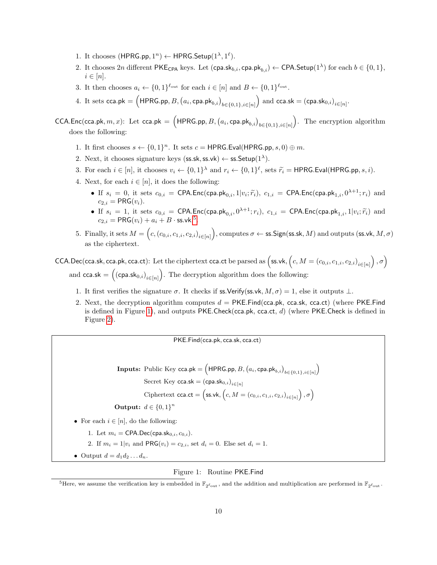- 1. It chooses  $(HPRG.p, 1^n) \leftarrow HPRG.Setup(1^{\lambda}, 1^{\ell}).$
- 2. It chooses  $2n$  different  $\mathsf{PKE}_\mathsf{CPA}$  keys. Let  $(\mathsf{cpa}.\mathsf{sk}_{b,i}, \mathsf{cpa}.\mathsf{pk}_{b,i}) \leftarrow \mathsf{CPA}.\mathsf{Setup}(1^\lambda)$  for each  $b \in \{0,1\},$  $i \in [n]$ .
- 3. It then chooses  $a_i \leftarrow \{0,1\}^{\ell_{\text{out}}}$  for each  $i \in [n]$  and  $B \leftarrow \{0,1\}^{\ell_{\text{out}}}$ .
- 4. It sets cca.pk  $=\Big(\mathsf{HPRG}.\mathsf{pp},B, \big(a_i,\mathsf{cpa}.\mathsf{pk}_{b,i}\big)_{b\in\{0,1\},i\in[n]}\Big)$  and cca.sk  $=\big(\mathsf{cpa}.\mathsf{sk}_{0,i}\big)_{i\in[n]}.$

 $\mathsf{CCA}.\mathsf{Enc}(\mathsf{cca}.\mathsf{pk}, m, x)$ : Let  $\mathsf{cca}.\mathsf{pk} = \Big(\mathsf{HPRG}.\mathsf{pp}, B, \big(a_i, \mathsf{cpa}.\mathsf{pk}_{b,i}\big)_{b \in \{0,1\}, i \in [n]}\Big)$ . The encryption algorithm does the following:

- 1. It first chooses  $s \leftarrow \{0,1\}^n$ . It sets  $c = \text{HPRG.Eval}(\text{HPRG}, \text{pp}, s, 0) \oplus m$ .
- 2. Next, it chooses signature keys  $(s\mathsf{s}.\mathsf{sk}, \mathsf{ss}.\mathsf{vk}) \leftarrow \mathsf{ss}.\mathsf{Setup}(1^{\lambda})$ .
- 3. For each  $i \in [n]$ , it chooses  $v_i \leftarrow \{0,1\}^{\lambda}$  and  $r_i \leftarrow \{0,1\}^{\ell}$ , sets  $\widetilde{r}_i = \text{HPRG.Eval}(\text{HPRG}, \text{pp}, s, i)$ .
- 4. Next, for each  $i \in [n]$ , it does the following:
	- If  $s_i = 0$ , it sets  $c_{0,i} = \text{CPA}.\text{Enc}(\text{cpa.pk}_{0,i}, 1|v_i; \tilde{r}_i)$ ,  $c_{1,i} = \text{CPA}.\text{Enc}(\text{cpa.pk}_{1,i}, 0^{\lambda+1}; r_i)$  and  $c_{2,i} = PRG(v_i).$
	- If  $s_i = 1$ , it sets  $c_{0,i} = \text{CPA}.\text{Enc}(\text{cpa}.\text{pk}_{0,i}, 0^{\lambda+1}; r_i)$ ,  $c_{1,i} = \text{CPA}.\text{Enc}(\text{cpa}.\text{pk}_{1,i}, 1|v_i; \widetilde{r_i})$  and  $c_{2,i} = \textsf{PRG}(v_i) + a_i + B \cdot \textsf{ss.vk.}^5.$  $c_{2,i} = \textsf{PRG}(v_i) + a_i + B \cdot \textsf{ss.vk.}^5.$  $c_{2,i} = \textsf{PRG}(v_i) + a_i + B \cdot \textsf{ss.vk.}^5.$
- 5. Finally, it sets  $M=\left(c,(c_{0,i},c_{1,i},c_{2,i})_{i\in[n]}\right)$ , computes  $\sigma\leftarrow\texttt{ss}.{\sf Sign}(\texttt{ss}.\texttt{sk},M)$  and outputs  $(\texttt{ss}.\texttt{vk},M,\sigma)$ as the ciphertext.

CCA.Dec(cca.sk, cca.pk, cca.ct): Let the ciphertext cca.ct be parsed as  $\left($  ss.vk,  $\left( c,M=(c_{0,i},c_{1,i},c_{2,i})_{i\in[n]}\right) ,\sigma\right)$ and cca.sk =  $((\text{cpa.sk}_{0,i})_{i \in [n]})$ . The decryption algorithm does the following:

- 1. It first verifies the signature  $\sigma$ . It checks if ss. Verify(ss.vk,  $M, \sigma$ ) = 1, else it outputs  $\perp$ .
- 2. Next, the decryption algorithm computes  $d = PKE$ . Find(cca.pk, cca.sk, cca.ct) (where PKE.Find is defined in Figure [1\)](#page-9-1), and outputs PKE.Check(cca.pk, cca.ct,  $d$ ) (where PKE.Check is defined in Figure [2\)](#page-10-0).

PKE.Find(cca.pk, cca.sk, cca.ct)

**Inputs:** Public Key  $cca$ .pk =  $\left(\textsf{HPRG.pp}, B, \left(a_i, \textsf{cpa}.\textsf{pk}_{b,i}\right)_{b \in \{0,1\}, i \in [n]}\right)$ Secret Key **cca.sk** =  $(\textsf{cpa}.\textsf{sk}_{0,i})_{i \in [n]}$ Ciphertext cca.ct =  $\left($  ss.vk,  $\left( c,M = \left( c_{0,i},c_{1,i},c_{2,i} \right)_{i \in [n]} \right), \sigma \right)$ 

Output:  $d \in \{0,1\}^n$ 

- For each  $i \in [n]$ , do the following:
	- 1. Let  $m_i = \text{CPA.Dec}(\text{cpa.sk}_{0,i}, c_{0,i}).$
	- 2. If  $m_i = 1|v_i$  and PRG( $v_i$ ) =  $c_{2,i}$ , set  $d_i = 0$ . Else set  $d_i = 1$ .
- Output  $d = d_1 d_2 \dots d_n$ .

### <span id="page-9-1"></span>Figure 1: Routine PKE.Find

<span id="page-9-0"></span><sup>&</sup>lt;sup>5</sup>Here, we assume the verification key is embedded in  $\mathbb{F}_{2^{\ell_{\text{out}}}}$ , and the addition and multiplication are performed in  $\mathbb{F}_{2^{\ell_{\text{out}}}}$ .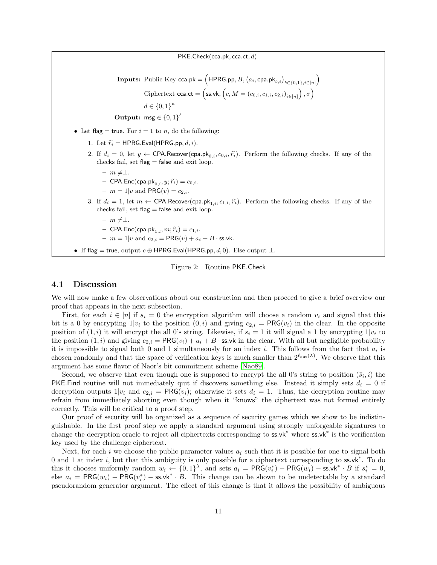PKE.Check(cca.pk, cca.ct, d) **Inputs:** Public Key  $cca$ .pk =  $\left(\mathsf{HPRG}$ .pp,  $B, \left(a_i, \mathsf{cpa}.\mathsf{pk}_{b,i}\right)_{b \in \{0,1\}, i \in [n]}\right)$ Ciphertext cca.ct =  $\left($  ss.vk,  $\left( c, M = \left( c_{0,i}, c_{1,i}, c_{2,i} \right)_{i \in [n]} \right), \sigma \right)$  $d \in \{0,1\}^n$ Output: msg  $\in \{0,1\}^{\ell}$ • Let flag = true. For  $i = 1$  to n, do the following: 1. Let  $\widetilde{r}_i$  = HPRG.Eval(HPRG.pp,  $d, i$ ). 2. If  $d_i = 0$ , let  $y \leftarrow \text{CPA}$ .Recover(cpa.pk<sub>0,i</sub>,  $c_{0,i}$ ,  $\tilde{r}_i$ ). Perform the following checks. If any of the checks fail, set  $flag = false$  and exit loop.  $- m ≠ ⊥$ . – CPA.Enc(cpa.pk<sub>0,i</sub>,  $y; \tilde{r}_i$ ) =  $c_{0,i}$ .  $- m = 1|v$  and PRG(*v*) =  $c_{2,i}$ . 3. If  $d_i = 1$ , let  $m \leftarrow \text{CPA}$ .Recover(cpa.pk<sub>1,i</sub>,  $c_{1,i}$ ,  $\tilde{r}_i$ ). Perform the following checks. If any of the checks fail, set  $flag = false$  and exit loop.  $- m \neq \perp$ . – CPA.Enc(cpa.pk<sub>1,i</sub>,  $m; \tilde{r}_i$ ) =  $c_{1,i}$ .  $-m=1|v \text{ and } c_{2,i} = \text{PRG}(v) + a_i + B \cdot \text{ss.wk}.$ • If flag = true, output  $c \oplus$  HPRG.Eval(HPRG.pp,  $d$ , 0). Else output  $\perp$ .

<span id="page-10-0"></span>

## 4.1 Discussion

We will now make a few observations about our construction and then proceed to give a brief overview our proof that appears in the next subsection.

First, for each  $i \in [n]$  if  $s_i = 0$  the encryption algorithm will choose a random  $v_i$  and signal that this bit is a 0 by encrypting  $1|v_i$  to the position  $(0, i)$  and giving  $c_{2,i} = PRG(v_i)$  in the clear. In the opposite position of  $(1, i)$  it will encrypt the all 0's string. Likewise, if  $s_i = 1$  it will signal a 1 by encrypting  $1|v_i$  to the position  $(1, i)$  and giving  $c_{2,i} = \text{PRG}(v_i) + a_i + B \cdot \text{ss}$ . With the clear. With all but negligible probability it is impossible to signal both 0 and 1 simultaneously for an index i. This follows from the fact that  $a_i$  is chosen randomly and that the space of verification keys is much smaller than  $2^{\ell_{\text{out}}(\lambda)}$ . We observe that this argument has some flavor of Naor's bit commitment scheme [\[Nao89\]](#page-29-13).

Second, we observe that even though one is supposed to encrypt the all 0's string to position  $(\bar{s}_i, i)$  the PKE. Find routine will not immediately quit if discovers something else. Instead it simply sets  $d_i = 0$  if decryption outputs  $1|v_i$  and  $c_{2,i} = PRG(v_i)$ ; otherwise it sets  $d_i = 1$ . Thus, the decryption routine may refrain from immediately aborting even though when it "knows" the ciphertext was not formed entirely correctly. This will be critical to a proof step.

Our proof of security will be organized as a sequence of security games which we show to be indistinguishable. In the first proof step we apply a standard argument using strongly unforgeable signatures to change the decryption oracle to reject all ciphertexts corresponding to ss.vk<sup>∗</sup> where ss.vk<sup>∗</sup> is the verification key used by the challenge ciphertext.

Next, for each i we choose the public parameter values  $a_i$  such that it is possible for one to signal both 0 and 1 at index i, but that this ambiguity is only possible for a ciphertext corresponding to  $ss.w^*$ . To do this it chooses uniformly random  $w_i \leftarrow \{0,1\}^{\lambda}$ , and sets  $a_i = \text{PRG}(v_i^*) - \text{PRG}(w_i) - \text{ss.w*} \cdot B$  if  $s_i^* = 0$ , else  $a_i = PRG(w_i) - PRG(v_i^*) - ss.wk^* \cdot B$ . This change can be shown to be undetectable by a standard pseudorandom generator argument. The effect of this change is that it allows the possibility of ambiguous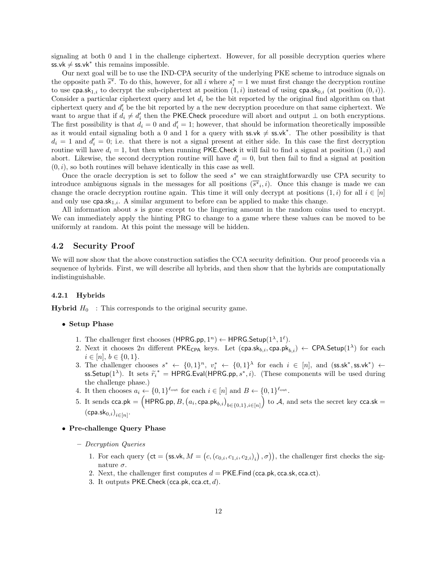signaling at both 0 and 1 in the challenge ciphertext. However, for all possible decryption queries where  $\mathsf{ss}.\mathsf{vk} \neq \mathsf{ss}.\mathsf{vk}^*$  this remains impossible.

Our next goal will be to use the IND-CPA security of the underlying PKE scheme to introduce signals on the opposite path  $\overline{s^*}$ . To do this, however, for all i where  $s_i^* = 1$  we must first change the decryption routine to use cpa.sk<sub>1,i</sub> to decrypt the sub-ciphertext at position  $(1, i)$  instead of using cpa.sk<sub>0,i</sub> (at position  $(0, i)$ ). Consider a particular ciphertext query and let  $d_i$  be the bit reported by the original find algorithm on that ciphertext query and  $d_i'$  be the bit reported by a the new decryption procedure on that same ciphertext. We want to argue that if  $d_i \neq d'_i$  then the PKE.Check procedure will abort and output  $\perp$  on both encryptions. The first possibility is that  $d_i = 0$  and  $d'_i = 1$ ; however, that should be information theoretically impossible as it would entail signaling both a 0 and 1 for a query with  $ss.vk \neq ss.vk^*$ . The other possibility is that  $d_i = 1$  and  $d'_i = 0$ ; i.e. that there is not a signal present at either side. In this case the first decryption routine will have  $d_i = 1$ , but then when running PKE.Check it will fail to find a signal at position  $(1, i)$  and abort. Likewise, the second decryption routine will have  $d_i' = 0$ , but then fail to find a signal at position  $(0, i)$ , so both routines will behave identically in this case as well.

Once the oracle decryption is set to follow the seed  $s^*$  we can straightforwardly use CPA security to introduce ambiguous signals in the messages for all positions  $(\overline{s^*}_i, i)$ . Once this change is made we can change the oracle decryption routine again. This time it will only decrypt at positions  $(1, i)$  for all  $i \in [n]$ and only use  $cpa.sk<sub>1,i</sub>$ . A similar argument to before can be applied to make this change.

All information about s is gone except to the lingering amount in the random coins used to encrypt. We can immediately apply the hinting PRG to change to a game where these values can be moved to be uniformly at random. At this point the message will be hidden.

## 4.2 Security Proof

We will now show that the above construction satisfies the CCA security definition. Our proof proceeds via a sequence of hybrids. First, we will describe all hybrids, and then show that the hybrids are computationally indistinguishable.

#### 4.2.1 Hybrids

**Hybrid**  $H_0$ : This corresponds to the original security game.

#### • Setup Phase

- 1. The challenger first chooses  $(HPRG, pp, 1^n) \leftarrow HPRG. Setup(1^{\lambda}, 1^{\ell}).$
- 2. Next it chooses 2n different  $\mathsf{PKE}_{\mathsf{CPA}}$  keys. Let  $(\mathsf{cpa}.\mathsf{sk}_{b,i}, \mathsf{cpa}.\mathsf{pk}_{b,i}) \leftarrow \mathsf{CPA}.\mathsf{Setup}(1^\lambda)$  for each  $i \in [n], b \in \{0, 1\}.$
- 3. The challenger chooses  $s^* \leftarrow \{0,1\}^n$ ,  $v_i^* \leftarrow \{0,1\}^{\lambda}$  for each  $i \in [n]$ , and  $(sssk^*,ss\cdot k^*) \leftarrow$ ss.Setup(1<sup> $\lambda$ </sup>). It sets  $\tilde{r}_i^* = \text{HPRG.Eval}(HPRG.pp, s^*, i)$ . (These components will be used during the oballonge phase) the challenge phase.)
- <span id="page-11-0"></span>4. It then chooses  $a_i \leftarrow \{0,1\}^{\ell_{\text{out}}}$  for each  $i \in [n]$  and  $B \leftarrow \{0,1\}^{\ell_{\text{out}}}$ .
- 5. It sends cca.pk  $=\Big(\mathsf{HPRG}.\mathsf{pp},B,\big(a_i,\mathsf{cpa}.\mathsf{pk}_{b,i}\big)_{b\in\{0,1\},i\in[n]}\Big)$  to  $\mathcal{A},$  and sets the secret key cca.sk  $=$  $(\mathsf{cpa}.\mathsf{sk}_{0,i})_{i\in[n]}.$

### • Pre-challenge Query Phase

- Decryption Queries
	- 1. For each query  $(ct = (ss.vk, M = (c, (c_{0,i}, c_{1,i}, c_{2,i})_i), \sigma)),$  the challenger first checks the signature  $\sigma$ .
	- 2. Next, the challenger first computes  $d = PKE$ . Find (cca.pk, cca.sk, cca.ct).
	- 3. It outputs PKE. Check (cca.pk, cca.ct,  $d$ ).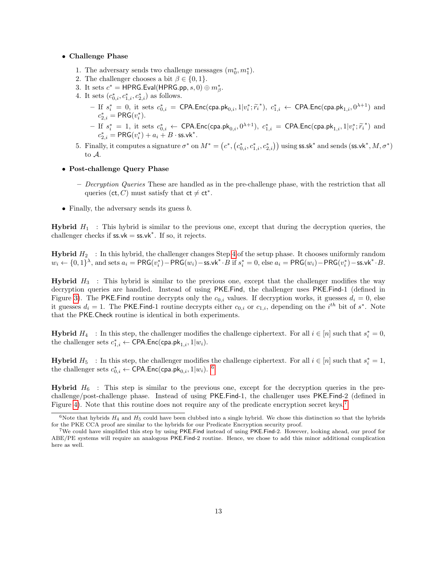### • Challenge Phase

- 1. The adversary sends two challenge messages  $(m_0^*, m_1^*)$ .
- 2. The challenger chooses a bit  $\beta \in \{0, 1\}.$
- 3. It sets  $c^* = \text{HPRG.Eval}(\text{HPRG.pp}, s, 0) \oplus m^*_{\beta}$ .
- 4. It sets  $(c_{0,i}^*, c_{1,i}^*, c_{2,i}^*)$  as follows.
	- $-$  If  $s_i^* = 0$ , it sets  $c_{0,i}^* = \text{CPA}.\text{Enc}(\text{cpa.pk}_{0,i}, 1|v_i^*; \tilde{r_i}^*)$ ,  $c_{1,i}^* \leftarrow \text{CPA}.\text{Enc}(\text{cpa.pk}_{1,i}, 0^{\lambda+1})$  and  $c^* = \text{PRC}(v_i^*)$  $c_{2,i}^* = \text{PRG}(v_i^*).$
	- $-$  If  $s_i^* = 1$ , it sets  $c_{0,i}^* \leftarrow \text{CPA}.\text{Enc}(\text{cpa}.\text{pk}_{0,i}, 0^{\lambda+1}), c_{1,i}^* = \text{CPA}.\text{Enc}(\text{cpa}.\text{pk}_{1,i}, 1|v_i^*; \tilde{r}_i^*)$  and  $c^* = \text{PRC}(v_i^*) + c_{1,i} + R$ , ss  $v_k^*$  $c_{2,i}^* = \textsf{PRG}(v_i^*) + a_i + B \cdot \textsf{ss}.\textsf{vk}^*.$
- 5. Finally, it computes a signature  $\sigma^*$  on  $M^* = (c^*, (c^*_{0,i}, c^*_{1,i}, c^*_{2,i}))$  using ss.sk<sup>\*</sup> and sends (ss.vk<sup>\*</sup>,  $M, \sigma^*$ ) to A.
- Post-challenge Query Phase
	- Decryption Queries These are handled as in the pre-challenge phase, with the restriction that all queries (ct, C) must satisfy that  $ct \neq ct^*$ .
- Finally, the adversary sends its guess b.

**Hybrid**  $H_1$  : This hybrid is similar to the previous one, except that during the decryption queries, the challenger checks if  $ss.vk = ss.vk^*$ . If so, it rejects.

**Hybrid**  $H_2$  : In this hybrid, the challenger changes Step [4](#page-11-0) of the setup phase. It chooses uniformly random  $w_i \leftarrow \{0,1\}^{\lambda}$ , and sets  $a_i = \text{PRG}(v_i^*) - \text{PRG}(w_i) - \text{ss.wk}^* \cdot B$  if  $s_i^* = 0$ , else  $a_i = \text{PRG}(w_i) - \text{PRG}(v_i^*) - \text{ss.wk}^* \cdot B$ .

**Hybrid**  $H_3$  : This hybrid is similar to the previous one, except that the challenger modifies the way decryption queries are handled. Instead of using PKE.Find, the challenger uses PKE.Find-1 (defined in Figure [3\)](#page-13-0). The PKE.Find routine decrypts only the  $c_{0,i}$  values. If decryption works, it guesses  $d_i = 0$ , else it guesses  $d_i = 1$ . The PKE. Find-1 routine decrypts either  $c_{0,i}$  or  $c_{1,i}$ , depending on the i<sup>th</sup> bit of s<sup>\*</sup>. Note that the PKE.Check routine is identical in both experiments.

**Hybrid**  $H_4$ : In this step, the challenger modifies the challenge ciphertext. For all  $i \in [n]$  such that  $s_i^* = 0$ , the challenger sets  $c_{1,i}^* \leftarrow \textsf{CPA}.\textsf{Enc}(\textsf{cpa}.\textsf{pk}_{1,i}, 1|w_i).$ 

**Hybrid**  $H_5$ : In this step, the challenger modifies the challenge ciphertext. For all  $i \in [n]$  such that  $s_i^* = 1$ , the challenger sets  $c_{0,i}^* \leftarrow \mathsf{CPA}.\mathsf{Enc}(\mathsf{cpa}.\mathsf{pk}_{0,i},1|w_i).$  <sup>[6](#page-12-0)</sup>

**Hybrid**  $H_6$ : This step is similar to the previous one, except for the decryption queries in the prechallenge/post-challenge phase. Instead of using PKE.Find-1, the challenger uses PKE.Find-2 (defined in Figure [4\)](#page-13-1). Note that this routine does not require any of the predicate encryption secret keys.<sup>[7](#page-12-1)</sup>

<span id="page-12-0"></span> $6$ Note that hybrids  $H_4$  and  $H_5$  could have been clubbed into a single hybrid. We chose this distinction so that the hybrids for the PKE CCA proof are similar to the hybrids for our Predicate Encryption security proof.

<span id="page-12-1"></span><sup>7</sup>We could have simplified this step by using PKE.Find instead of using PKE.Find-2. However, looking ahead, our proof for ABE/PE systems will require an analogous PKE.Find-2 routine. Hence, we chose to add this minor additional complication here as well.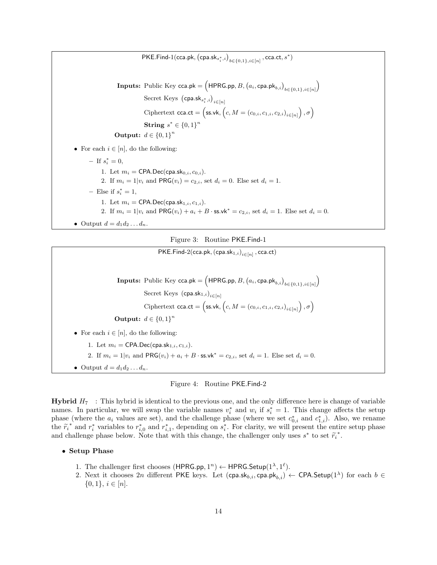$\mathsf{PKE}.\mathsf{Find}\text{-}1(\mathsf{cca}.\mathsf{pk},\big(\mathsf{cpa}.\mathsf{sk}_{s^*_i,i}\big)_{b\in\{0,1\},i\in[n]},\mathsf{cca}.\mathsf{ct},s^*)$ **Inputs:** Public Key  $cca$ .pk =  $\left(\mathsf{HPRG}$ .pp,  $B, \left(a_i, \mathsf{cp}a \cdot \mathsf{pk}_{b,i}\right)_{b \in \{0,1\}, i \in [n]}\right)$ Secret Keys  $\left(\mathsf{cpa}.\mathsf{sk}_{s^*_i,i}\right)_{i\in[n]}$ Ciphertext cca.ct =  $\left($  ss.vk,  $\left( c, M = \left( c_{0,i}, c_{1,i}, c_{2,i} \right)_{i \in [n]} \right), \sigma \right)$ String  $s^* \in \{0,1\}^n$ Output:  $d \in \{0,1\}^n$ • For each  $i \in [n]$ , do the following:  $-$  If  $s_i^* = 0$ , 1. Let  $m_i = \text{CPA.Dec}(\text{cpa.sk}_{0,i}, c_{0,i}).$ 2. If  $m_i = 1|v_i$  and  $PRG(v_i) = c_{2,i}$ , set  $d_i = 0$ . Else set  $d_i = 1$ .  $-$  Else if  $s_i^* = 1$ , 1. Let  $m_i = \text{CPA.Dec}(\text{cpa.sk}_{1,i}, c_{1,i}).$ 2. If  $m_i = 1|v_i$  and  $PRG(v_i) + a_i + B \cdot ss.vk^* = c_{2,i}$ , set  $d_i = 1$ . Else set  $d_i = 0$ . • Output  $d = d_1 d_2 \dots d_n$ .

<span id="page-13-0"></span>



<span id="page-13-1"></span>Figure 4: Routine PKE.Find-2

**Hybrid**  $H_7$ : This hybrid is identical to the previous one, and the only difference here is change of variable names. In particular, we will swap the variable names  $v_i^*$  and  $w_i$  if  $s_i^* = 1$ . This change affects the setup phase (where the  $a_i$  values are set), and the challenge phase (where we set  $c_{0,i}^*$  and  $c_{1,i}^*$ ). Also, we rename the  $\tilde{r}_i^*$  and  $r_i^*$  variables to  $r_{i,0}^*$  and  $r_{i,1}^*$ , depending on  $s_i^*$ . For clarity, we will present the entire setup phase<br>and challenge phase below. Note that with this change the challenger only uses  $s$ and challenge phase below. Note that with this change, the challenger only uses  $s^*$  to set  $\tilde{r}_i^*$ .

### • Setup Phase

- 1. The challenger first chooses  $(HPRG, pp, 1^n) \leftarrow HPRG. Setup(1^{\lambda}, 1^{\ell}).$
- 2. Next it chooses  $2n$  different PKE keys. Let  $(\text{cpaื.\textsf{sk}}_{b,i}, \text{cpa}.\text{pk}_{b,i}) \leftarrow \text{CPA}.\text{Setup}(1^{\lambda})$  for each  $b \in$  $\{0,1\}, i \in [n].$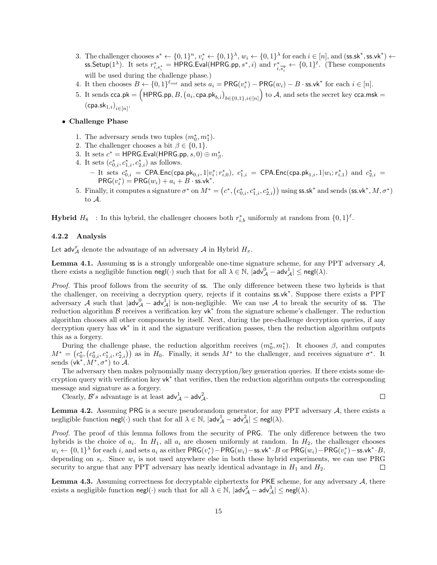- 3. The challenger chooses  $s^* \leftarrow \{0,1\}^n$ ,  $v_i^* \leftarrow \{0,1\}^{\lambda}$ ,  $w_i \leftarrow \{0,1\}^{\lambda}$  for each  $i \in [n]$ , and  $(s\mathbf{s}.\mathbf{s}\mathbf{k}^*, \mathbf{s}\mathbf{s}.\mathbf{v}\mathbf{k}^*) \leftarrow$  $\mathsf{ss}.\mathsf{Setup}(1^\lambda).$  It sets  $r_{i,s_i^*}^* = \mathsf{HPRG}.\mathsf{Eval}(\mathsf{HPRG}.\mathsf{pp},s^*,i)$  and  $r_{i,s_i^*}^*$  $\mathbf{a}_{i,\overline{s}_{i}^*}^* \leftarrow \{0,1\}^{\ell}$ . (These components will be used during the challenge phase.)
- 4. It then chooses  $B \leftarrow \{0,1\}^{\ell_{\text{out}}}$  and sets  $a_i = \text{PRG}(v_i^*) \text{PRG}(w_i) B \cdot \text{ss.vk}^*$  for each  $i \in [n]$ .
- 5. It sends  $\textsf{cca}.\textsf{pk} = \Big(\textsf{HPRG.pp}, B, \big(a_i, \textsf{cpa}.\textsf{pk}_{b,i}\big)_{b\in\{0,1\}, i\in[n]}\Big)$  to  $\mathcal{A},$  and sets the secret key  $\textsf{cca}.\textsf{msk} =$  $(\mathsf{cpa}.\mathsf{sk}_{1,i})_{i\in[n]}.$

## • Challenge Phase

- 1. The adversary sends two tuples  $(m_0^*, m_1^*)$ .
- 2. The challenger chooses a bit  $\beta \in \{0, 1\}.$
- 3. It sets  $c^* = \text{HPRG.Eval}(\text{HPRG.pp}, s, 0) \oplus m^*_{\beta}$ .
- 4. It sets  $(c_{0,i}^*, c_{1,i}^*, c_{2,i}^*)$  as follows. - It sets  $c_{0,i}^* = \text{CPA}.\text{Enc}(\text{cpa}.\text{pk}_{0,i},1|v_i^*;r_{i,0}^*), c_{1,i}^* = \text{CPA}.\text{Enc}(\text{cpa}.\text{pk}_{1,i},1|w_i;r_{i,1}^*)$  and  $c_{2,i}^* =$  $PRG(v_i^*) = PRG(w_i) + a_i + B \cdot \text{ss.wk}^*.$
- 5. Finally, it computes a signature  $\sigma^*$  on  $M^* = (c^*, (c^*_{0,i}, c^*_{1,i}, c^*_{2,i}))$  using ss.sk<sup>\*</sup> and sends (ss.vk<sup>\*</sup>,  $M, \sigma^*$ ) to A.

**Hybrid**  $H_8$  : In this hybrid, the challenger chooses both  $r_{i,b}^*$  uniformly at random from  $\{0,1\}^{\ell}$ .

## 4.2.2 Analysis

Let  $\mathsf{adv}_{\mathcal{A}}^x$  denote the advantage of an adversary  $\mathcal{A}$  in Hybrid  $H_x$ .

**Lemma 4.1.** Assuming ss is a strongly unforgeable one-time signature scheme, for any PPT adversary  $A$ , there exists a negligible function  $\mathsf{negl}(\cdot)$  such that for all  $\lambda \in \mathbb{N}$ ,  $|\mathsf{adv}^0_{\mathcal{A}} - \mathsf{adv}^1_{\mathcal{A}}| \leq \mathsf{negl}(\lambda)$ .

Proof. This proof follows from the security of ss. The only difference between these two hybrids is that the challenger, on receiving a decryption query, rejects if it contains ss.vk<sup>∗</sup> . Suppose there exists a PPT adversary  $\hat{\mathcal{A}}$  such that  $|\text{adv}^0_{\mathcal{A}} - \text{adv}^1_{\mathcal{A}}|$  is non-negligible. We can use  $\hat{\mathcal{A}}$  to break the security of ss. The reduction algorithm  $\beta$  receives a verification key vk<sup>\*</sup> from the signature scheme's challenger. The reduction algorithm chooses all other components by itself. Next, during the pre-challenge decryption queries, if any decryption query has vk<sup>\*</sup> in it and the signature verification passes, then the reduction algorithm outputs this as a forgery.

During the challenge phase, the reduction algorithm receives  $(m_0^*, m_1^*)$ . It chooses  $\beta$ , and computes  $M^* = (c_0^*, (c_{0,i}^*, c_{1,i}^*, c_{2,i}^*))$  as in  $H_0$ . Finally, it sends  $M^*$  to the challenger, and receives signature  $\sigma^*$ . It sends  $(\mathsf{v}\mathsf{k}^*, \mathsf{M}^*, \sigma^*)$  to A.

The adversary then makes polynomially many decryption/key generation queries. If there exists some decryption query with verification key vk<sup>∗</sup> that verifies, then the reduction algorithm outputs the corresponding message and signature as a forgery.

Clearly,  $\mathcal{B}'s$  advantage is at least  $adv_{\mathcal{A}}^1 - adv_{\mathcal{A}}^2$ .

 $\Box$ 

**Lemma 4.2.** Assuming PRG is a secure pseudorandom generator, for any PPT adversary  $A$ , there exists a negligible function  $\mathsf{negl}(\cdot)$  such that for all  $\lambda \in \mathbb{N}$ ,  $|\mathsf{adv}^1_{\mathcal{A}} - \mathsf{adv}^2_{\mathcal{A}}| \leq \mathsf{negl}(\lambda).$ 

Proof. The proof of this lemma follows from the security of PRG. The only difference between the two hybrids is the choice of  $a_i$ . In  $H_1$ , all  $a_i$  are chosen uniformly at random. In  $H_2$ , the challenger chooses  $w_i \leftarrow \{0,1\}^{\lambda}$  for each i, and sets  $a_i$  as either  $PRG(v_i^*) - PRG(w_i) - ss.vk^* \cdot B$  or  $PRG(w_i) - PRG(v_i^*) - ss.vk^* \cdot B$ , depending on  $s_i$ . Since  $w_i$  is not used anywhere else in both these hybrid experiments, we can use PRG security to argue that any PPT adversary has nearly identical advantage in  $H_1$  and  $H_2$ .  $\Box$ 

<span id="page-14-0"></span>**Lemma 4.3.** Assuming correctness for decryptable ciphertexts for PKE scheme, for any adversary  $A$ , there exists a negligible function  $\mathsf{negl}(\cdot)$  such that for all  $\lambda \in \mathbb{N}$ ,  $|\mathsf{adv}^2_{\mathcal{A}} - \mathsf{adv}^3_{\mathcal{A}}| \leq \mathsf{negl}(\lambda)$ .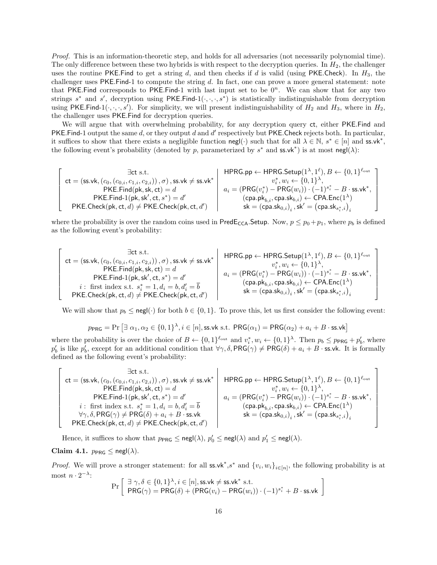Proof. This is an information-theoretic step, and holds for all adversaries (not necessarily polynomial time). The only difference between these two hybrids is with respect to the decryption queries. In  $H_2$ , the challenger uses the routine PKE.Find to get a string d, and then checks if d is valid (using PKE.Check). In  $H_3$ , the challenger uses PKE.Find-1 to compute the string  $d$ . In fact, one can prove a more general statement: note that PKE.Find corresponds to PKE.Find-1 with last input set to be  $0<sup>n</sup>$ . We can show that for any two strings  $s^*$  and  $s'$ , decryption using PKE. Find-1( $\cdot, \cdot, s^*$ ) is statistically indistinguishable from decryption using PKE.Find-1( $\cdot, \cdot, \cdot, s'$ ). For simplicity, we will present indistinguishability of  $H_2$  and  $H_3$ , where in  $H_2$ , the challenger uses PKE.Find for decryption queries.

We will argue that with overwhelming probability, for any decryption query ct, either PKE.Find and PKE. Find-1 output the same  $d$ , or they output  $d$  and  $d'$  respectively but PKE. Check rejects both. In particular, it suffices to show that there exists a negligible function negl(·) such that for all  $\lambda \in \mathbb{N}$ ,  $s^* \in [n]$  and ss.vk<sup>\*</sup>, the following event's probability (denoted by p, parameterized by  $s^*$  and  $ss \, v \, k^*$ ) is at most negl( $\lambda$ ):

$$
\text{ct} = (\text{s } \text{s } \text{.} \text{ v}, (c_0, (c_0, i, c_1, i, c_2, i)), \sigma), \text{s } \text{s } \text{.} \text{ v } \text{k } + \text{s } \text{s } \text{.} \text{ v } \text{k } + \text{RFG} \text{.} \text{ .} \text{ P } \text{ R } \text{ G } \text{.} \text{ P } \text{ R } \text{ G } \text{.} \text{ P } \text{ R } \text{ G } \text{.} \text{ P } \text{ R } \text{ B } \text{.} \text{ P } \text{ R } \text{ B } \text{.} \text{ P } \text{.} \text{ P } \text{.} \text{ P } \text{.} \text{ P } \text{.} \text{ P } \text{.} \text{ P } \text{.} \text{ P } \text{.} \text{ P } \text{.} \text{ P } \text{.} \text{ P } \text{.} \text{ P } \text{.} \text{ P } \text{.} \text{ P } \text{.} \text{ P } \text{.} \text{ P } \text{.} \text{ P } \text{.} \text{ P } \text{.} \text{ P } \text{.} \text{ P } \text{.} \text{ P } \text{.} \text{ P } \text{.} \text{ P } \text{.} \text{ P } \text{.} \text{ P } \text{.} \text{ P } \text{.} \text{ P } \text{.} \text{ P } \text{.} \text{ P } \text{.} \text{ P } \text{.} \text{ P } \text{.} \text{ P } \text{.} \text{ P } \text{.} \text{ P } \text{.} \text{ P } \text{.} \text{ P } \text{.} \text{ P } \text{.} \text{ P } \text{.} \text{ P } \text{.} \text{ P } \text{.} \text{ P } \text{.} \text{ P } \text{.} \text{ P } \text{.} \text{ P } \text{.} \text{ P } \text{.} \text{ P } \text{.} \text{ P } \text{.} \text{ P } \text{.} \text{ P } \text{.} \text{ P } \text{.} \text{ P } \text{.} \text{ P } \text{.} \text{ P } \text{.} \text{ P } \text{.} \text{ P } \text{.} \text{ P } \text
$$

where the probability is over the random coins used in  $\text{PredE}_{\text{CCA}}$ . Setup. Now,  $p \leq p_0 + p_1$ , where  $p_b$  is defined as the following event's probability:

 ∃ct s.t. ct = (ss.vk,(c0,(c0,i, c1,i, c2,i)), σ),ss.vk 6= ss.vk<sup>∗</sup> PKE.Find(pk,sk, ct) = d PKE.Find-1(pk,sk<sup>0</sup> , ct, s<sup>∗</sup> ) = d 0 i : first index s.t. s ∗ <sup>i</sup> = 1, d<sup>i</sup> = b, d<sup>0</sup> <sup>i</sup> = b PKE.Check(pk, ct, d) 6= PKE.Check(pk, ct, d<sup>0</sup> ) HPRG.pp ← HPRG.Setup(1<sup>λ</sup> , 1 ` ), B ← {0, 1} `out v ∗ i , w<sup>i</sup> ← {0, 1} λ , a<sup>i</sup> = (PRG(v ∗ i ) − PRG(wi)) · (−1)<sup>s</sup> ∗ <sup>i</sup> − B · ss.vk<sup>∗</sup> , (cpa.pkb,i, cpa.skb,i) ← CPA.Enc(1<sup>λ</sup> ) sk = (cpa.sk0,i) i ,sk<sup>0</sup> = cpa.sk<sup>s</sup> ∗ i ,i i 

We will show that  $p_b \leq$  negl( $\cdot$ ) for both  $b \in \{0, 1\}$ . To prove this, let us first consider the following event:

$$
p_{\mathsf{PRG}} = \Pr\left[\exists \alpha_1, \alpha_2 \in \{0, 1\}^\lambda, i \in [n], \text{ss.vk s.t. } \mathsf{PRG}(\alpha_1) = \mathsf{PRG}(\alpha_2) + a_i + B \cdot \mathsf{ss.vk}\right]
$$

where the probability is over the choice of  $B \leftarrow \{0,1\}^{\ell_{\text{out}}}$  and  $v_i^*, w_i \leftarrow \{0,1\}^{\lambda}$ . Then  $p_b \leq p_{\text{PRG}} + p'_b$ , where  $p'_b$  is like  $p'_b$ , except for an additional condition that  $\forall \gamma, \delta, \text{PRG}(\gamma) \neq \text{PRG}(\delta) + a_i + B \cdot \text{ss.vk}$ . It is formally defined as the following event's probability:

$$
\left[\begin{array}{c} \exists \texttt{ct s.t.}\\ \texttt{ct = (ss.vk, (}c_0, (c_{0,i}, c_{1,i}, c_{2,i})), \sigma ), \texttt{ss.vk} \neq \texttt{ss.vk}^*\\ \texttt{PKE.Find}(\texttt{pk},\texttt{sk},\texttt{ct}) = d\\ \texttt{PKE.Find-1(pk, sk', ct, s^*) = d'}\\ i: \texttt{first index s.t.} \ s_i^* = 1, d_i = b, d_i' = \overline{b}\\ \forall \gamma, \delta, \texttt{PRG}(\gamma) \neq \texttt{PRG}(\delta) + a_i + B \cdot \texttt{ss.vk}\\ \texttt{PKE.Check}(\texttt{pk},\texttt{ct},d) \neq \texttt{PKE.Check}(\texttt{pk},\texttt{ct},d') \end{array}\right] \begin{array}{c} \exists \texttt{ct s.t.}\\ \texttt{HPRG}.\texttt{Step} \leftarrow \texttt{HPRG}.\texttt{Setup}(1^\lambda,1^\ell), B \leftarrow \{0,1\}^{\ell_{\texttt{out}}}\\ v_i^*, w_i \leftarrow \{0,1\}^\lambda, \\ v_i^*, w_i \leftarrow \{0,1\}^\lambda, \\ (c \texttt{pa}.\texttt{pk}_{b,i}, c \texttt{pa}.\texttt{sk}_{b,i}) \leftarrow \{0,1\}^{\delta^*} - B \cdot \texttt{ss.vk^*}, \\ (c \texttt{pa}.\texttt{pk}_{b,i}, c \texttt{pa}.\texttt{sk}_{b,i}) \leftarrow \texttt{CPA}.\texttt{Enc}(1^\lambda)\\ \forall \gamma, \delta, \texttt{PRG}(\gamma) \neq \texttt{PRG}.\texttt{Check}(\texttt{pk},\texttt{ct},d') \end{array}\right]
$$

Hence, it suffices to show that  $p_{\mathsf{PRG}} \le \mathsf{negl}(\lambda)$ ,  $p'_0 \le \mathsf{negl}(\lambda)$  and  $p'_1 \le \mathsf{negl}(\lambda)$ .

Claim 4.1.  $p_{PRG} \leq \text{negl}(\lambda)$ .

 $\lceil$  $\frac{1}{2}$  $\overline{1}$  $\overline{1}$  $\overline{1}$  $\overline{1}$ 

*Proof.* We will prove a stronger statement: for all  $ss.wk^*, s^*$  and  ${v_i, w_i}_{i \in [n]}$ , the following probability is at most  $n \cdot 2^{-\lambda}$ :

$$
\Pr\left[\begin{array}{l} \exists \; \gamma, \delta \in \{0,1\}^\lambda, i \in [n], \text{s.s.}\mathsf{vk} \neq \text{s.s.}\mathsf{vk}^* \; \text{s.t.} \\ \mathsf{PRG}(\gamma) = \mathsf{PRG}(\delta) + (\mathsf{PRG}(v_i) - \mathsf{PRG}(w_i)) \cdot (-1)^{s_i^*} + B \cdot \text{s.s.}\mathsf{vk} \end{array}\right]
$$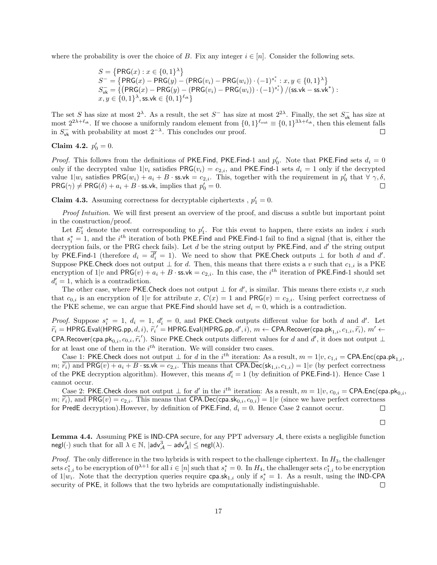where the probability is over the choice of B. Fix any integer  $i \in [n]$ . Consider the following sets.

$$
S = \{ \text{PRG}(x) : x \in \{0, 1\}^{\lambda} \}
$$
  
\n
$$
S^- = \{ \text{PRG}(x) - \text{PRG}(y) - (\text{PRG}(v_i) - \text{PRG}(w_i)) \cdot (-1)^{s_i^*} : x, y \in \{0, 1\}^{\lambda} \}
$$
  
\n
$$
S_{\text{vk}}^- = \{ (\text{PRG}(x) - \text{PRG}(y) - (\text{PRG}(v_i) - \text{PRG}(w_i)) \cdot (-1)^{s_i^*} ) / (\text{ss.vk} - \text{ss.vk}^*) : x, y \in \{0, 1\}^{\lambda}, \text{ss.vk} \in \{0, 1\}^{\ell_{\text{vk}}} \}
$$

The set S has size at most  $2^{\lambda}$ . As a result, the set S<sup>-</sup> has size at most  $2^{2\lambda}$ . Finally, the set  $S_{\nu k}^-$  has size at most  $2^{2\lambda+\ell_{\rm wk}}$ . If we choose a uniformly random element from  $\{0,1\}^{\ell_{\rm out}} \equiv \{0,1\}^{3\lambda+\ell_{\rm wk}}$ , then this element falls in  $S_{\scriptscriptstyle{\mathsf{vk}}}^-$  with probability at most  $2^{-\lambda}$ . This concludes our proof.  $\Box$ 

## Claim 4.2.  $p'_0 = 0$ .

*Proof.* This follows from the definitions of PKE.Find, PKE.Find-1 and  $p'_0$ . Note that PKE.Find sets  $d_i = 0$ only if the decrypted value  $1|v_i$  satisfies  $PRG(v_i) = c_{2,i}$ , and PKE. Find-1 sets  $d_i = 1$  only if the decrypted value  $1|w_i$  satisfies  $PRG(w_i) + a_i + B \cdot ss.\mathsf{vk} = c_{2,i}$ . This, together with the requirement in  $p'_0$  that  $\forall \gamma, \delta$ ,  $PRG(\gamma) \neq PRG(\delta) + a_i + B \cdot \text{ss.vk},$  implies that  $p'_0 = 0$ . П

**Claim 4.3.** Assuming correctness for decryptable ciphertexts ,  $p'_1 = 0$ .

Proof Intuition. We will first present an overview of the proof, and discuss a subtle but important point in the construction/proof.

Let  $E'_1$  denote the event corresponding to  $p'_1$ . For this event to happen, there exists an index i such that  $s_i^* = 1$ , and the i<sup>th</sup> iteration of both PKE. Find and PKE. Find-1 fail to find a signal (that is, either the decryption fails, or the PRG check fails). Let  $d$  be the string output by PKE. Find, and  $d'$  the string output by PKE.Find-1 (therefore  $d_i = \overline{d'_i} = 1$ ). We need to show that PKE.Check outputs  $\perp$  for both d and d'. Suppose PKE. Check does not output  $\perp$  for d. Then, this means that there exists a v such that  $c_{1,i}$  is a PKE encryption of  $1|v$  and  $PRG(v) + a_i + B \cdot ss.w = c_{2,i}$ . In this case, the  $i^{th}$  iteration of PKE. Find-1 should set  $d'_{i} = 1$ , which is a contradiction.

The other case, where PKE. Check does not output  $\perp$  for d', is similar. This means there exists v, x such that  $c_{0,i}$  is an encryption of  $1|v$  for attribute x,  $C(x) = 1$  and  $PRG(v) = c_{2,i}$ . Using perfect correctness of the PKE scheme, we can argue that PKE.Find should have set  $d_i = 0$ , which is a contradiction.

*Proof.* Suppose  $s_i^* = 1$ ,  $d_i = 1$ ,  $d'_i = 0$ , and PKE. Check outputs different value for both d and d'. Let  $\widetilde{r_i}$  = HPRG.Eval(HPRG.pp, d, i),  $\widetilde{r_i}'$  = HPRG.Eval(HPRG.pp, d', i),  $m \leftarrow \textsf{CPA}$ .Recover(cpa.pk<sub>1,i</sub>,  $c_{1,i}, \widetilde{r_i}$ ),  $m' \leftarrow \textsf{CPA}$ . CPA.Recover(cpa.pk<sub>0,*i*</sub>, c<sub>0,*i*</sub>,  $\widetilde{r_i}'$ ). Since PKE.Check outputs different values for d and d', it does not output ⊥ for at least one of them in the  $i<sup>th</sup>$  iteration. We will consider two cases.

Case 1: PKE. Check does not output  $\perp$  for d in the  $i^{th}$  iteration: As a result,  $m = 1|v, c_{1,i} = \textsf{CPA}$ . Enc(cpa.pk<sub>1,i</sub>,  $m; \tilde{r}_i$  and PRG(v) +  $a_i + B \cdot$  ss.vk =  $c_{2,i}$ . This means that CPA.Dec(sk<sub>1,i</sub>,  $c_{1,i}$ ) = 1|v (by perfect correctness of the PKE decryption algorithm). However, this means  $d_i' = 1$  (by definition of PKE.Find-1). Hence Case 1 cannot occur.

Case 2: PKE. Check does not output  $\perp$  for d' in the i<sup>th</sup> iteration: As a result,  $m = 1|v, c_{0,i} = \text{CPA}$ . Enc(cpa. pk<sub>0,i</sub>, m;  $\overline{\tilde{r}_i}$ ), and PRG(v) =  $c_{2,i}$ . This means that CPA.Dec(cpa.sk<sub>0,i</sub>,  $c_{0,i}$ ) = 1|v (since we have perfect correctness for PredE decryption).However, by definition of PKE.Find,  $d_i = 0$ . Hence Case 2 cannot occur. for PredE decryption).However, by definition of PKE.Find,  $d_i = 0$ . Hence Case 2 cannot occur.

 $\Box$ 

<span id="page-16-0"></span>**Lemma 4.4.** Assuming PKE is IND-CPA secure, for any PPT adversary  $A$ , there exists a negligible function  $\mathsf{negl}(\cdot)$  such that for all  $\lambda \in \mathbb{N}$ ,  $|\mathsf{adv}^3_{\mathcal{A}} - \mathsf{adv}^4_{\mathcal{A}}| \leq \mathsf{negl}(\lambda)$ .

*Proof.* The only difference in the two hybrids is with respect to the challenge ciphertext. In  $H_3$ , the challenger sets  $c_{1,i}^*$  to be encryption of  $0^{\lambda+1}$  for all  $i \in [n]$  such that  $s_i^* = 0$ . In  $H_4$ , the challenger sets  $c_{1,i}^*$  to be encryption of  $1|w_i$ . Note that the decryption queries require  $\text{cpa}.\text{sk}_{1,i}$  only if  $s_i^* = 1$ . As a result, using the IND-CPA security of PKE, it follows that the two hybrids are computationally indistinguishable.  $\Box$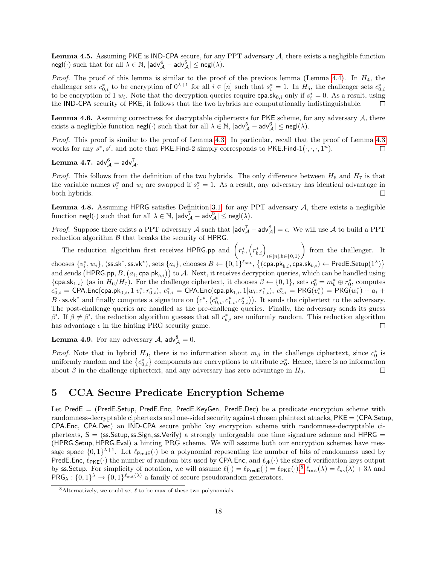**Lemma 4.5.** Assuming PKE is IND-CPA secure, for any PPT adversary  $A$ , there exists a negligible function  $\mathsf{negl}(\cdot)$  such that for all  $\lambda \in \mathbb{N}$ ,  $|\mathsf{adv}^4_{\mathcal{A}} - \mathsf{adv}^5_{\mathcal{A}}| \leq \mathsf{negl}(\lambda).$ 

*Proof.* The proof of this lemma is similar to the proof of the previous lemma (Lemma [4.4\)](#page-16-0). In  $H_4$ , the challenger sets  $c_{0,i}^*$  to be encryption of  $0^{\lambda+1}$  for all  $i \in [n]$  such that  $s_i^* = 1$ . In  $H_5$ , the challenger sets  $c_{0,i}^*$ to be encryption of  $1|w_i$ . Note that the decryption queries require cpa.sk<sub>0,i</sub> only if  $s_i^* = 0$ . As a result, using the IND-CPA security of PKE, it follows that the two hybrids are computationally indistinguishable.  $\Box$ 

**Lemma 4.6.** Assuming correctness for decryptable ciphertexts for PKE scheme, for any adversary  $A$ , there exists a negligible function  $\mathsf{negl}(\cdot)$  such that for all  $\lambda \in \mathbb{N}$ ,  $|\mathsf{adv}^5_{\mathcal{A}} - \mathsf{adv}^6_{\mathcal{A}}| \leq \mathsf{negl}(\lambda)$ .

Proof. This proof is similar to the proof of Lemma [4.3.](#page-14-0) In particular, recall that the proof of Lemma [4.3](#page-14-0) works for any  $s^*$ ,  $s'$ , and note that PKE. Find-2 simply corresponds to PKE. Find-1( $\cdot$ ,  $\cdot$ ,  $\cdot$ ,  $1^n$ ).  $\Box$ 

**Lemma 4.7.** 
$$
adv_{\mathcal{A}}^{6} = adv_{\mathcal{A}}^{7}
$$
.

*Proof.* This follows from the definition of the two hybrids. The only difference between  $H_6$  and  $H_7$  is that the variable names  $v_i^*$  and  $w_i$  are swapped if  $s_i^* = 1$ . As a result, any adversary has identical advantage in both hybrids.  $\Box$ 

**Lemma 4.8.** Assuming HPRG satisfies Definition [3.1,](#page-8-2) for any PPT adversary  $A$ , there exists a negligible function  $\mathsf{negl}(\cdot)$  such that for all  $\lambda \in \mathbb{N}$ ,  $|\mathsf{adv}_{\mathcal{A}}^7 - \mathsf{adv}_{\mathcal{A}}^8| \leq \mathsf{negl}(\lambda)$ .

*Proof.* Suppose there exists a PPT adversary A such that  $|\text{adv}_{\mathcal{A}}^7 - \text{adv}_{\mathcal{A}}^8| = \epsilon$ . We will use A to build a PPT reduction algorithm  $\beta$  that breaks the security of HPRG.

The reduction algorithm first receives HPRG.pp and  $(r_0^*, (r_{b,i}^*)_{i \in [n], b \in \{0,1\}})$ from the challenger. It  $\text{choose } \{v_i^*,w_i\}, \text{(ss.st*, ss.vk^*), \text{sets } \{a_i\}, \text{choose } B \leftarrow \{0,1\}^{\ell_{\text{out}}}, \left\{(\texttt{cpa}.\texttt{pk}_{b,i}, \texttt{cpa}.\texttt{sk}_{b,i}) \leftarrow \textsf{PredE}.\textsf{Setup}(1^\lambda)\right\}$ and sends  $\left(\mathsf{HPRG.pp},B,(a_i,\mathsf{cpa.pk}_{b,i})\right)$  to  $\mathcal A.$  Next, it receives decryption queries, which can be handled using  $\{\textsf{cpa}.\textsf{sk}_{1,i}\}$  (as in  $H_6/H_7$ ). For the challenge ciphertext, it chooses  $\beta \leftarrow \{0,1\}$ , sets  $c_0^* = m_b^* \oplus r_0^*$ , computes  $c_{0,i}^* = \mathsf{CPA}.\mathsf{Enc}(\mathsf{cpa}.\mathsf{pk}_{0,i},1|v_i^*;r_{0,i}^*),~c_{1,i}^* = \mathsf{CPA}.\mathsf{Enc}(\mathsf{cpa}.\mathsf{pk}_{1,i},1|w_i;r_{1,i}^*),~c_{2,i}^* = \mathsf{PRG}(v_i^*) = \mathsf{PRG}(w_i^*) + a_i + b_i$ B · ss.vk<sup>\*</sup> and finally computes a signature on  $(c^*, (c^*_{0,i}, c^*_{1,i}, c^*_{2,i}))$ . It sends the ciphertext to the adversary. The post-challenge queries are handled as the pre-challenge queries. Finally, the adversary sends its guess β'. If  $\beta \neq \beta'$ , the reduction algorithm guesses that all  $r_{b,i}^*$  are uniformly random. This reduction algorithm has advantage  $\epsilon$  in the hinting PRG security game.  $\Box$ 

**Lemma 4.9.** For any adversary  $A$ ,  $\mathsf{adv}^8_{\mathcal{A}} = 0$ .

*Proof.* Note that in hybrid  $H_9$ , there is no information about  $m_\beta$  in the challenge ciphertext, since  $c_0^*$  is uniformly random and the  ${c_{0,i}^*}$  components are encryptions to attribute  $x_0^*$ . Hence, there is no information about  $\beta$  in the challenge ciphertext, and any adversary has zero advantage in  $H_9$ .  $\Box$ 

## 5 CCA Secure Predicate Encryption Scheme

Let PredE = (PredE.Setup, PredE.Enc, PredE.KeyGen, PredE.Dec) be a predicate encryption scheme with randomness-decryptable ciphertexts and one-sided security against chosen plaintext attacks, PKE = (CPA.Setup, CPA.Enc, CPA.Dec) an IND-CPA secure public key encryption scheme with randomness-decryptable ciphertexts,  $S =$  (ss. Setup, ss. Sign, ss. Verify) a strongly unforgeable one time signature scheme and HPRG = (HPRG.Setup, HPRG.Eval) a hinting PRG scheme. We will assume both our encryption schemes have message space  $\{0,1\}^{\lambda+1}$ . Let  $\ell_{\text{PredE}}(\cdot)$  be a polynomial repesenting the number of bits of randomness used by PredE.Enc,  $\ell_{\text{PKE}}(\cdot)$  the number of random bits used by CPA.Enc, and  $\ell_{\text{vk}}(\cdot)$  the size of verification keys output by ss. Setup. For simplicity of notation, we will assume  $\ell(\cdot) = \ell_{\text{PredE}}(\cdot) = \ell_{\text{PKE}}(\cdot),^8 \ell_{\text{out}}(\lambda) = \ell_{\text{vk}}(\lambda) + 3\lambda$  $\ell(\cdot) = \ell_{\text{PredE}}(\cdot) = \ell_{\text{PKE}}(\cdot),^8 \ell_{\text{out}}(\lambda) = \ell_{\text{vk}}(\lambda) + 3\lambda$  $\ell(\cdot) = \ell_{\text{PredE}}(\cdot) = \ell_{\text{PKE}}(\cdot),^8 \ell_{\text{out}}(\lambda) = \ell_{\text{vk}}(\lambda) + 3\lambda$  and  $\text{PRG}_{\lambda}: \{0,1\}^{\lambda} \to \{0,1\}^{\ell_{\text{out}}(\lambda)}$  a family of secure pseudorandom generators.

<span id="page-17-0"></span><sup>&</sup>lt;sup>8</sup> Alternatively, we could set  $\ell$  to be max of these two polynomials.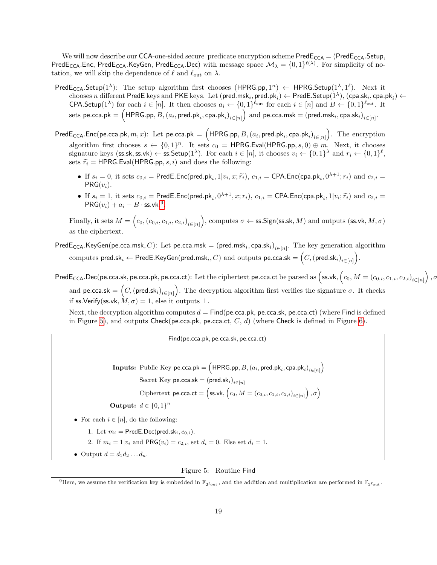We will now describe our CCA-one-sided secure predicate encryption scheme  $PredE_{CCA} = (PredE_{CCA}.$ Setup, PredE<sub>CCA</sub>.Enc, PredE<sub>CCA</sub>.KeyGen, PredE<sub>CCA</sub>.Dec) with message space  $\mathcal{M}_\lambda = \{0,1\}^{\ell(\lambda)}$ . For simplicity of notation, we will skip the dependence of  $\ell$  and  $\ell_{\text{out}}$  on  $\lambda$ .

- PredE<sub>CCA</sub>.Setup(1<sup> $\lambda$ </sup>): The setup algorithm first chooses (HPRG.pp, 1<sup>n</sup>)  $\leftarrow$  HPRG.Setup(1 $\lambda$ , 1 $\ell$ ). Next it chooses  $n$  different <code>PredE</code> keys and <code>PKE</code> keys. Let (<code>pred.msk<sub>i</sub>, <code>pred.pk</code><sub>i</sub>)  $\leftarrow$  <code>PredE.Setup(1^), (cpa.sk<sub>i</sub>, cpa.pk<sub>i</sub>)  $\leftarrow$ </code></code> **CPA.Setup**(1<sup> $\lambda$ </sup>) for each  $i \in [n]$ . It then chooses  $a_i \leftarrow \{0,1\}^{\ell_{\text{out}}}$  for each  $i \in [n]$  and  $B \leftarrow \{0,1\}^{\ell_{\text{out}}}$ . It  $\text{sets pc.cca.pk} = \Big(\textsf{HPRG.pp}, B, (a_i, \textsf{pred.pk}_i, \textsf{cpa.pk}_i)_{i \in [n]}\Big) \text{ and pc.cca.msk} = \big(\textsf{pred.msk}_i, \textsf{cpa-sk}_i\big)_{i \in [n]}.$
- $\mathsf{PredE_{CCA}}.\mathsf{Enc}(\mathsf{pe.cca}.\mathsf{pk}, m, x) \colon \mathsf{Let} \ \mathsf{pe.cca}.\mathsf{pk} = \Big(\mathsf{HPRG}.\mathsf{pp}, B, (a_i, \mathsf{pred}.\mathsf{pk}_i, \mathsf{cpa}.\mathsf{pk}_i)_{i \in [n]}\Big). \ \ \mathsf{The \ encryption}$ algorithm first chooses  $s \leftarrow \{0,1\}^n$ . It sets  $c_0 = \text{HPRG.Eval}(\text{HPRG.pp}, s, 0) \oplus m$ . Next, it chooses signature keys (ss.sk, ss.vk)  $\leftarrow$  ss. Setup(1<sup> $\lambda$ </sup>). For each  $i \in [n]$ , it chooses  $v_i \leftarrow \{0,1\}^{\lambda}$  and  $r_i \leftarrow \{0,1\}^{\ell}$ , sets  $\widetilde{r}_i$  = HPRG.Eval(HPRG.pp, s, i) and does the following:
	- If  $s_i = 0$ , it sets  $c_{0,i}$  = PredE.Enc(pred.pk<sub>i</sub>, 1 $|v_i, x; \tilde{r}_i\rangle$ ,  $c_{1,i}$  = CPA.Enc(cpa.pk<sub>i</sub>,  $0^{\lambda+1}; r_i\rangle$ ) and  $c_{2,i}$  =  $BBC(x_i)$  $PRG(v_i)$ .
	- If  $s_i = 1$ , it sets  $c_{0,i} = \text{PredE}.\text{Enc}(\text{pred}.pk_i, 0^{\lambda+1}, x; r_i)$ ,  $c_{1,i} = \text{CPA}.\text{Enc}(\text{cpa}.pk_i, 1|v_i; \tilde{r_i})$  and  $c_{2,i} = \text{DPC}(v_i) + c_{i+1}B$  or  $v_k = 9$  $PRG(v_i) + a_i + B \cdot \text{ss.vk.}^9$  $PRG(v_i) + a_i + B \cdot \text{ss.vk.}^9$ .

Finally, it sets  $M=\left(c_0,\left(c_{0,i},c_{1,i},c_{2,i}\right)_{i\in[n]}\right)$ , computes  $\sigma\leftarrow\mathsf{ss}.{\sf Sign}(\mathsf{ss}.\mathsf{sk},M)$  and outputs  $(\mathsf{ss}.\mathsf{vk},M,\sigma)$ as the ciphertext.

 $\mathsf{PredE_{CCA}}. \mathsf{KeyGen}(\mathsf{pe.cca.msk}, C)$ : Let  $\mathsf{pe.cca.msk} = (\mathsf{pred.msk}_i, \mathsf{cpa.sk}_i)_{i \in [n]}.$  The key generation algorithm computes  $\mathsf{pred}.\mathsf{sk}_i \leftarrow \mathsf{PredE}.\mathsf{KeyGen}(\mathsf{pred}.\mathsf{msk}_i,C) \text{ and outputs } \mathsf{pe}.\mathsf{cca}.\mathsf{sk} = \left(C, (\mathsf{pred}.\mathsf{sk}_i)_{i \in [n]}\right).$ 

 $\mathsf{PredEC_{CA}}.\mathsf{Dec}(\mathsf{pe.cca}.\mathsf{sk}, \mathsf{pe.cca}.\mathsf{pk}, \mathsf{pe.cca.ct})\colon \mathrm{Let}$  the ciphertext  $\mathsf{pe.cca.ct}$  be parsed as  $\left(\mathsf{ss.vk}, \left(c_0, M=(c_{0,i}, c_{1,i}, c_{2,i})_{i\in [n]}\right), \sigma_{\mathsf{ex},i}\right)$ and pe.cca.sk =  $(C,(\text{pred}.sk_i)_{i\in[n]})$ . The decryption algorithm first verifies the signature  $\sigma$ . It checks if ss.Verify(ss.vk,  $M, \sigma$ ) = 1, else it outputs  $\perp$ .

Next, the decryption algorithm computes  $d = \mathsf{Find}(\mathsf{pe.cca}.\mathsf{pk}, \mathsf{pe.cca}.\mathsf{sk}, \mathsf{pe.cca.ct})$  (where Find is defined in Figure [5\)](#page-18-1), and outputs Check(pe.cca.pk, pe.cca.ct,  $C, d$ ) (where Check is defined in Figure [6\)](#page-19-0).

Find(pe.cca.pk, pe.cca.sk, pe.cca.ct)

 $\textbf{InputStream:} \ \text{Public Key pecca.pk} = \Big( \textsf{HPRG.pp}, B, (a_i, \textsf{pred.pk}_i, \textsf{cpa.pk}_i)_{i \in [n]} \Big)$ Secret Key <code>pe.cca.sk</code>  $=$   $(\mathsf{pred}.{\sf sk}_i)_{i \in [n]}$ Ciphertext pe.cca.ct =  $\left($  ss.vk,  $\left( c_0, M = \left( c_{0,i}, c_{1,i}, c_{2,i} \right)_{i \in [n]} \right), \sigma \right)$ 

Output:  $d \in \{0,1\}^n$ 

• For each  $i \in [n]$ , do the following:

- 1. Let  $m_i = \text{PredE.Dec}(pred.sk_i, c_{0,i}).$
- 2. If  $m_i = 1|v_i$  and PRG( $v_i$ ) =  $c_{2,i}$ , set  $d_i = 0$ . Else set  $d_i = 1$ .
- Output  $d = d_1 d_2 \dots d_n$ .

#### <span id="page-18-1"></span>Figure 5: Routine Find

<span id="page-18-0"></span><sup>&</sup>lt;sup>9</sup>Here, we assume the verification key is embedded in  $\mathbb{F}_{2^{\ell_{\text{out}}}}$ , and the addition and multiplication are performed in  $\mathbb{F}_{2^{\ell_{\text{out}}}}$ .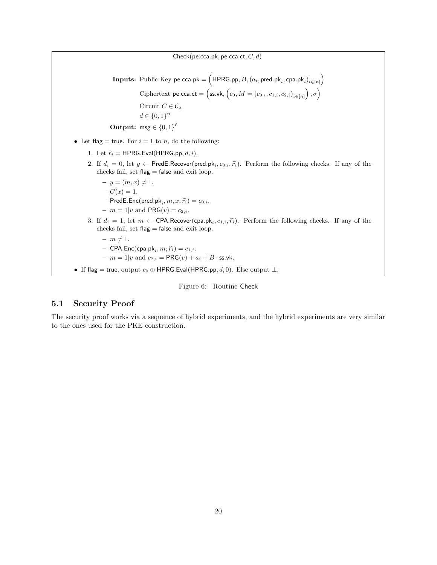$Check(pec.ca.pk, pec.ca.ct, C, d)$  $\textbf{InputStream:} \ \text{Public Key pecca.pk} = \left( \textsf{HPRG.pp}, B, (a_i, \textsf{pred.pk}_i, \textsf{cpa.pk}_i)_{i \in [n]} \right)$ Ciphertext pe.cca.ct =  $\left($  ss.vk,  $\left( c_0, M = \left( c_{0,i}, c_{1,i}, c_{2,i} \right)_{i \in [n]} \right), \sigma \right)$ Circuit  $C\in\mathcal{C}_\lambda$  $d \in \{0,1\}^n$ Output: msg  $\in \{0,1\}^{\ell}$ • Let flag = true. For  $i = 1$  to n, do the following: 1. Let  $\widetilde{r}_i = \text{HPRG.Eval}(\text{HPRG}.\text{pp}, d, i)$ . 2. If  $d_i = 0$ , let  $y \leftarrow$  PredE.Recover(pred.pk<sub>i</sub>,  $c_{0,i}$ ,  $\tilde{r}_i$ ). Perform the following checks. If any of the choose foil ast flag  $\pi$  false and suit leap. checks fail, set flag = false and exit loop.  $-y=(m, x)\neq\perp.$  $-C(x) = 1.$  $-$  PredE.Enc(pred.pk<sub>i</sub>,  $m, x; \tilde{r_i}$ ) =  $c_{0,i}$ .  $- m = 1|v$  and PRG(*v*) =  $c_{2,i}$ . 3. If  $d_i = 1$ , let  $m \leftarrow \text{CPA}$ .Recover(cpa.pk<sub>i</sub>,  $c_{1,i}$ ,  $\tilde{r}_i$ ). Perform the following checks. If any of the choose fail set flag – false and spit loop. checks fail, set flag = false and exit loop.  $- m ≠ ⊥$ .  $-$  CPA.Enc(cpa.pk<sub>i</sub>,  $m; \widetilde{r_i}$ ) =  $c_{1,i}$ .  $-m=1|v \text{ and } c_{2,i} = \text{PRG}(v) + a_i + B \cdot \text{ss.wk}.$ • If flag = true, output  $c_0 \oplus$  HPRG.Eval(HPRG.pp,  $d$ , 0). Else output  $\perp$ .

<span id="page-19-0"></span>Figure 6: Routine Check

## 5.1 Security Proof

The security proof works via a sequence of hybrid experiments, and the hybrid experiments are very similar to the ones used for the PKE construction.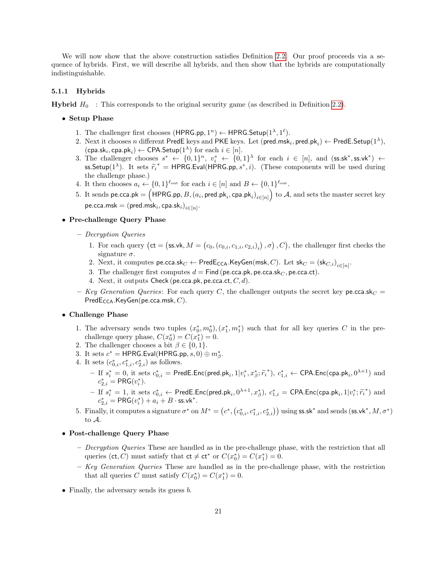We will now show that the above construction satisfies Definition [2.2.](#page-7-0) Our proof proceeds via a sequence of hybrids. First, we will describe all hybrids, and then show that the hybrids are computationally indistinguishable.

### 5.1.1 Hybrids

**Hybrid**  $H_0$  : This corresponds to the original security game (as described in Definition [2.2\)](#page-7-0).

- Setup Phase
	- 1. The challenger first chooses  $(HPRG, pp, 1^n) \leftarrow HPRG. Setup(1^{\lambda}, 1^{\ell}).$
	- 2. Next it chooses n different PredE keys and PKE keys. Let (pred.msk<sub>i</sub>, pred.pk<sub>i</sub>)  $\leftarrow$  PredE.Setup(1<sup> $\lambda$ </sup>),  $(\mathsf{cpa}.\mathsf{sk}_i, \mathsf{cpa}.\mathsf{pk}_i) \leftarrow \mathsf{CPA}.\mathsf{Setup}(1^\lambda) \text{ for each } i \in [n].$
	- 3. The challenger chooses  $s^* \leftarrow \{0,1\}^n$ ,  $v_i^* \leftarrow \{0,1\}^{\lambda}$  for each  $i \in [n]$ , and  $(sssk^*,ss\cdot k^*) \leftarrow$ ss.Setup(1<sup> $\lambda$ </sup>). It sets  $\tilde{r}_i^* = \text{HPRG.Eval}(HPRG.pp, s^*, i)$ . (These components will be used during the oballonge phase) the challenge phase.)
	- 4. It then chooses  $a_i \leftarrow \{0,1\}^{\ell_{\text{out}}}$  for each  $i \in [n]$  and  $B \leftarrow \{0,1\}^{\ell_{\text{out}}}$ .
	- 5. It sends  $\textsf{pe.cca}.\textsf{pk} = \Big(\textsf{HPRG.pp}, B, (a_i, \textsf{pred}.\textsf{pk}_i, \textsf{cpa}.\textsf{pk}_i)_{i \in [n]}\Big) \text{ to } \mathcal{A}, \text{ and sets the master secret key}$  $\mathsf{pe}.\mathsf{cca}.\mathsf{msk} = (\mathsf{pred}.\mathsf{msk}_i,\mathsf{cpa}.\mathsf{sk}_i)_{i \in [n]}.$

#### <span id="page-20-0"></span>• Pre-challenge Query Phase

- Decryption Queries
	- 1. For each query  $(\mathsf{ct} = (\mathsf{ss}.\mathsf{vk}, M = (c_0, (c_{0,i}, c_{1,i}, c_{2,i})_i), \sigma), C),$  the challenger first checks the signature  $\sigma$ .
	- 2. Next, it computes  $\mathsf{pe}.\mathsf{cca}.\mathsf{sk}_C \leftarrow \mathsf{PredE_{CCA}}.\mathsf{KeyGen}(\mathsf{msk},C).$  Let  $\mathsf{sk}_C = (\mathsf{sk}_{C,i})_{i \in [n]}.$
	- 3. The challenger first computes  $d = \text{Find (pe.cca.pk, pe.cca.sk}_C, pe.cca.ct)$ .
	- 4. Next, it outputs Check (pe.cca.pk, pe.cca.ct,  $C, d$ ).
- Key Generation Queries: For each query C, the challenger outputs the secret key pe.cca.sk $C =$  $PredE_{CCA}$ .KeyGen(pe.cca.msk,  $C$ ).

### • Challenge Phase

- 1. The adversary sends two tuples  $(x_0^*, m_0^*), (x_1^*, m_1^*)$  such that for all key queries C in the prechallenge query phase,  $C(x_0^*) = C(x_1^*) = 0$ .
- 2. The challenger chooses a bit  $\beta \in \{0,1\}$ .
- 3. It sets  $c^* = \text{HPRG.Eval}(\text{HPRG.pp}, s, 0) \oplus m^*_{\beta}$ .
- 4. It sets  $(c_{0,i}^*, c_{1,i}^*, c_{2,i}^*)$  as follows.
	- $-$  If  $s_i^* = 0$ , it sets  $c_{0,i}^* =$  PredE.Enc(pred.pk<sub>i</sub>, 1| $v_i^*, x_{\beta}^*$ ;  $\tilde{r}_i^*$ ),  $c_{1,i}^* \leftarrow$  CPA.Enc(cpa.pk<sub>i</sub>, 0<sup>λ+1</sup>) and  $e_i^* =$  PPC( $e_i^*$ )  $c_{2,i}^* = \text{PRG}(v_i^*).$
	- $-$  If  $s_i^* = 1$ , it sets  $c_{0,i}^*$  ← PredE.Enc(pred.pk<sub>i</sub>, 0<sup>λ+1</sup>,  $x_{\beta}^*$ ),  $c_{1,i}^* =$  CPA.Enc(cpa.pk<sub>i</sub>, 1|v<sub>i</sub><sup>\*</sup>;  $\widetilde{r}_i^*$ ) and  $c_i^* = \text{PRC}(v_i^*) + a_i + B$ , ss vk<sup>\*</sup>  $c_{2,i}^* = \textsf{PRG}(v_i^*) + a_i + B \cdot \textsf{ss}.\textsf{vk}^*.$
- 5. Finally, it computes a signature  $\sigma^*$  on  $M^* = (c^*, (c^*_{0,i}, c^*_{1,i}, c^*_{2,i}))$  using ss.sk<sup>\*</sup> and sends (ss.vk<sup>\*</sup>,  $M, \sigma^*$ ) to A.

### • Post-challenge Query Phase

- Decryption Queries These are handled as in the pre-challenge phase, with the restriction that all queries (ct, C) must satisfy that  $ct \neq ct^*$  or  $C(x_0^*) = C(x_1^*) = 0$ .
- $-$  Key Generation Queries These are handled as in the pre-challenge phase, with the restriction that all queries C must satisfy  $C(x_0^*) = C(x_1^*) = 0$ .
- Finally, the adversary sends its guess  $b$ .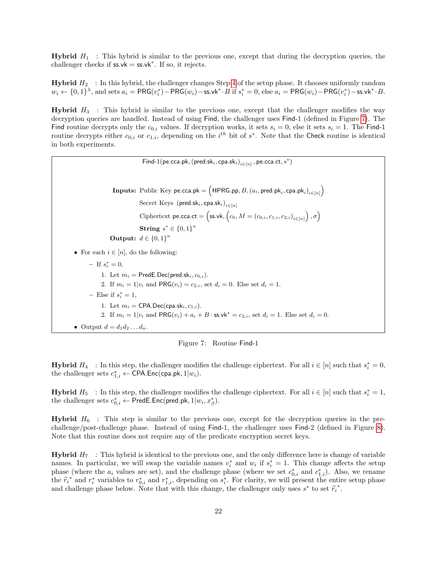**Hybrid**  $H_1$  : This hybrid is similar to the previous one, except that during the decryption queries, the challenger checks if  $ss.vk = ss.vk^*$ . If so, it rejects.

**Hybrid**  $H_2$  : In this hybrid, the challenger changes Step [4](#page-20-0) of the setup phase. It chooses uniformly random  $w_i \leftarrow \{0,1\}^{\lambda}$ , and sets  $a_i = \text{PRG}(v_i^*) - \text{PRG}(w_i) - \text{ss.wk}^* \cdot B$  if  $s_i^* = 0$ , else  $a_i = \text{PRG}(w_i) - \text{PRG}(v_i^*) - \text{ss.wk}^* \cdot B$ .

**Hybrid**  $H_3$ : This hybrid is similar to the previous one, except that the challenger modifies the way decryption queries are handled. Instead of using Find, the challenger uses Find-1 (defined in Figure [7\)](#page-21-0). The Find routine decrypts only the  $c_{0,i}$  values. If decryption works, it sets  $s_i = 0$ , else it sets  $s_i = 1$ . The Find-1 routine decrypts either  $c_{0,i}$  or  $c_{1,i}$ , depending on the i<sup>th</sup> bit of s<sup>\*</sup>. Note that the Check routine is identical in both experiments.

 $\mathsf{Find}\text{-}1(\mathsf{pe}.\mathsf{cca}.\mathsf{pk}, (\mathsf{pred}.\mathsf{sk}_i, \mathsf{cpa}.\mathsf{sk}_i)_{i \in [n]}$  ,  $\mathsf{pe}.\mathsf{cca}.\mathsf{ct}, s^*)$  $\textbf{InputStream:} \ \text{Public Key pecca.pk} = \Big( \textsf{HPRG.pp}, B, (a_i, \textsf{pred.pk}_i, \textsf{cpa.pk}_i)_{i \in [n]} \Big)$ Secret Keys (pred.sk<sub>i</sub>, cpa.sk<sub>i</sub>)<sub>i∈[n]</sub> Ciphertext pe.cca.ct =  $\left($  ss.vk,  $\left( c_0, M = \left( c_{0,i}, c_{1,i}, c_{2,i} \right)_{i \in [n]} \right), \sigma \right)$ String  $s^* \in \{0,1\}^n$ Output:  $d \in \{0,1\}^n$ • For each  $i \in [n]$ , do the following:  $-$  If  $s_i^* = 0$ , 1. Let  $m_i = \text{PredE.Dec}(pred.sk_i, c_{0,i}).$ 2. If  $m_i = 1|v_i$  and  $PRG(v_i) = c_{2,i}$ , set  $d_i = 0$ . Else set  $d_i = 1$ .  $-$  Else if  $s_i^* = 1$ , 1. Let  $m_i = \text{CPA.Dec}(\text{cpa.sk}_i, c_{1,i}).$ 2. If  $m_i = 1|v_i$  and  $PRG(v_i) + a_i + B \cdot ss.wk^* = c_{2,i}$ , set  $d_i = 1$ . Else set  $d_i = 0$ . • Output  $d = d_1 d_2 \dots d_n$ .

<span id="page-21-0"></span>Figure 7: Routine Find-1

**Hybrid**  $H_4$ : In this step, the challenger modifies the challenge ciphertext. For all  $i \in [n]$  such that  $s_i^* = 0$ , the challenger sets  $c_{1,i}^* \leftarrow \textsf{CPA}.\textsf{Enc}(\textsf{cpa}.\textsf{pk}, 1|w_i).$ 

**Hybrid**  $H_5$ : In this step, the challenger modifies the challenge ciphertext. For all  $i \in [n]$  such that  $s_i^* = 1$ , the challenger sets  $c_{0,i}^* \leftarrow \mathsf{PredE}.\mathsf{Enc}(\mathsf{pred}.\mathsf{pk}, 1| w_i, x_\beta^*).$ 

**Hybrid**  $H_6$  : This step is similar to the previous one, except for the decryption queries in the prechallenge/post-challenge phase. Instead of using Find-1, the challenger uses Find-2 (defined in Figure [8\)](#page-22-0). Note that this routine does not require any of the predicate encryption secret keys.

**Hybrid**  $H_7$ : This hybrid is identical to the previous one, and the only difference here is change of variable names. In particular, we will swap the variable names  $v_i^*$  and  $w_i$  if  $s_i^* = 1$ . This change affects the setup phase (where the  $a_i$  values are set), and the challenge phase (where we set  $c_{0,i}^*$  and  $c_{1,i}^*$ ). Also, we rename the  $\tilde{r}_i^*$  and  $r_i^*$  variables to  $r_{0,i}^*$  and  $r_{1,i}^*$ , depending on  $s_i^*$ . For clarity, we will present the entire setup phase and challenge phase below. Note that with this change, the challenger only uses  $s^*$  to set  $\tilde{r_i}^*$ .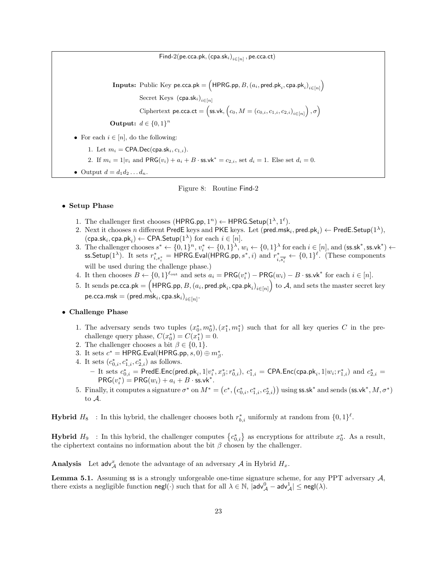Find-2(pe.cca.pk,  $(\mathsf{cpa}.\mathsf{sk}_i)_{i \in [n]}$ , pe.cca.ct)

 $\textbf{InputStream:} \ \text{Public Key pecca.pk} = \Big( \textsf{HPRG.pp}, B, (a_i, \textsf{pred.pk}_i, \textsf{cpa.pk}_i)_{i \in [n]} \Big)$ Secret Keys  $(\textsf{cpa}.\textsf{sk}_i)_{i \in [n]}$ 

Ciphertext pe.cca.ct =  $\left($  ss.vk,  $\left( c_0, M = \left( c_{0,i}, c_{1,i}, c_{2,i} \right)_{i \in [n]} \right), \sigma \right)$ 

Output:  $d \in \{0,1\}^n$ 

- For each  $i \in [n]$ , do the following:
	- 1. Let  $m_i = \text{CPA.Dec}(\text{cpa.sk}_i, c_{1,i}).$
	- 2. If  $m_i = 1|v_i$  and  $PRG(v_i) + a_i + B \cdot ss.wk^* = c_{2,i}$ , set  $d_i = 1$ . Else set  $d_i = 0$ .
- Output  $d = d_1 d_2 \dots d_n$ .

<span id="page-22-0"></span>Figure 8: Routine Find-2

## • Setup Phase

- 1. The challenger first chooses  $(HPRG, pp, 1^n) \leftarrow HPRG. Setup(1^{\lambda}, 1^{\ell}).$
- 2. Next it chooses n different PredE keys and PKE keys. Let (pred.msk<sub>i</sub>, pred.pk<sub>i</sub>)  $\leftarrow$  PredE.Setup(1<sup> $\lambda$ </sup>),  $(\mathsf{cpa}.\mathsf{sk}_i, \mathsf{cpa}.\mathsf{pk}_i) \leftarrow \mathsf{CPA}.\mathsf{Setup}(1^\lambda) \text{ for each } i \in [n].$
- 3. The challenger chooses  $s^* \leftarrow \{0,1\}^n$ ,  $v_i^* \leftarrow \{0,1\}^{\lambda}$ ,  $w_i \leftarrow \{0,1\}^{\lambda}$  for each  $i \in [n]$ , and  $(\textsf{ss}.\textsf{sk}^*,\textsf{ss}.\textsf{vk}^*) \leftarrow$  $\mathsf{ss}.\mathsf{Setup}(1^\lambda).$  It sets  $r_{i,s_i^*}^* = \mathsf{HPRG}.\mathsf{Eval}(\mathsf{HPRG}.\mathsf{pp},s^*,i)$  and  $r_{i,s_i^*}^*$  $\mathbf{a}_{i,\overline{s}_{i}^{*}} \leftarrow \{0,1\}^{\ell}$ . (These components will be used during the challenge phase.)
- 4. It then chooses  $B \leftarrow \{0,1\}^{\ell_{\text{out}}}$  and sets  $a_i = \text{PRG}(v_i^*) \text{PRG}(w_i) B \cdot \text{ss.vk}^*$  for each  $i \in [n]$ .
- 5. It sends  $\textsf{pe.cca}.\textsf{pk} = \Big(\textsf{HPRG.pp}, B, (a_i, \textsf{pred}.\textsf{pk}_i, \textsf{cpa}.\textsf{pk}_i)_{i\in[n]}\Big) \text{ to } \mathcal{A}, \text{ and sets the master secret key}$  $\mathsf{pe}.\mathsf{cca}.\mathsf{msk} = (\mathsf{pred}.\mathsf{msk}_i,\mathsf{cpa}.\mathsf{sk}_i)_{i \in [n]}.$

#### • Challenge Phase

- 1. The adversary sends two tuples  $(x_0^*, m_0^*), (x_1^*, m_1^*)$  such that for all key queries C in the prechallenge query phase,  $C(x_0^*) = C(x_1^*) = 0$ .
- 2. The challenger chooses a bit  $\beta \in \{0,1\}$ .
- 3. It sets  $c^* = \text{HPRG.Eval}(\text{HPRG.pp}, s, 0) \oplus m^*_{\beta}$ .
- 4. It sets  $(c_{0,i}^*, c_{1,i}^*, c_{2,i}^*)$  as follows.  $-$  It sets  $c_{0,i}^*$  = PredE.Enc(pred.pk<sub>i</sub>, 1 $|v_i^*, x_j^*, r_{0,i}^*|$ ,  $c_{1,i}^*$  = CPA.Enc(cpa.pk<sub>i</sub>, 1 $|w_i; r_{1,i}^*|$ ) and  $c_{2,i}^*$  =  $PRG(v_i^*) = PRG(w_i) + a_i + B \cdot ss.vk^*.$
- 5. Finally, it computes a signature  $\sigma^*$  on  $M^* = (c^*, (c^*_{0,i}, c^*_{1,i}, c^*_{2,i}))$  using ss.sk<sup>\*</sup> and sends (ss.vk<sup>\*</sup>,  $M, \sigma^*$ ) to A.

**Hybrid**  $H_8$  : In this hybrid, the challenger chooses both  $r_{b,i}^*$  uniformly at random from  $\{0,1\}^{\ell}$ .

**Hybrid**  $H_9$ : In this hybrid, the challenger computes  $\{c_{0,i}^*\}$  as encryptions for attribute  $x_0^*$ . As a result, the ciphertext contains no information about the bit  $\beta$  chosen by the challenger.

**Analysis** Let  $\text{adv}_{\mathcal{A}}^{x}$  denote the advantage of an adversary  $\mathcal{A}$  in Hybrid  $H_x$ .

**Lemma 5.1.** Assuming  $ss$  is a strongly unforgeable one-time signature scheme, for any PPT adversary  $A$ , there exists a negligible function  $\operatorname{negl}(\cdot)$  such that for all  $\lambda \in \mathbb{N}$ ,  $|\operatorname{adv}^0_{\mathcal{A}} - \operatorname{adv}^1_{\mathcal{A}}| \leq \operatorname{negl}(\lambda)$ .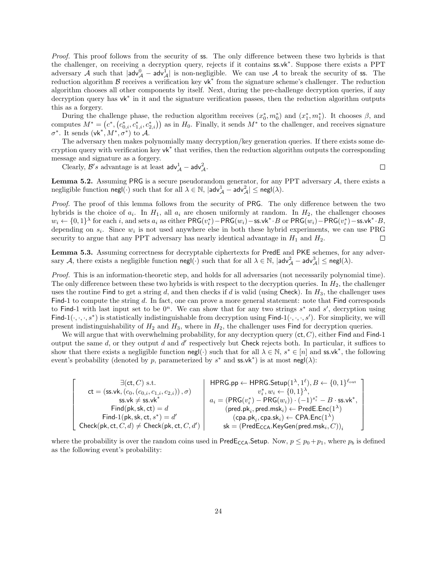Proof. This proof follows from the security of ss. The only difference between these two hybrids is that the challenger, on receiving a decryption query, rejects if it contains ss.vk<sup>∗</sup> . Suppose there exists a PPT adversary  $\hat{\mathcal{A}}$  such that  $|\text{adv}^0_{\hat{\mathcal{A}}} - \text{adv}^1_{\hat{\mathcal{A}}}|$  is non-negligible. We can use  $\hat{\mathcal{A}}$  to break the security of ss. The reduction algorithm  $\beta$  receives a verification key vk<sup>\*</sup> from the signature scheme's challenger. The reduction algorithm chooses all other components by itself. Next, during the pre-challenge decryption queries, if any decryption query has vk<sup>\*</sup> in it and the signature verification passes, then the reduction algorithm outputs this as a forgery.

During the challenge phase, the reduction algorithm receives  $(x_0^*, m_0^*)$  and  $(x_1^*, m_1^*)$ . It chooses  $\beta$ , and computes  $M^* = (c^*, (c^*_{0,i}, c^*_{1,i}, c^*_{2,i}))$  as in  $H_0$ . Finally, it sends  $M^*$  to the challenger, and receives signature  $\sigma^*$ . It sends  $(\mathsf{vk}^*, M^*, \sigma^*)$  to A.

The adversary then makes polynomially many decryption/key generation queries. If there exists some decryption query with verification key vk<sup>∗</sup> that verifies, then the reduction algorithm outputs the corresponding message and signature as a forgery.

Clearly,  $\mathcal{B}'s$  advantage is at least  $adv_{\mathcal{A}}^1 - adv_{\mathcal{A}}^2$ .

 $\lceil$  $\overline{1}$  $\overline{1}$  $\overline{1}$  $\overline{1}$  $\overline{1}$  $\overline{1}$  $\overline{1}$   $\Box$ 

**Lemma 5.2.** Assuming PRG is a secure pseudorandom generator, for any PPT adversary  $A$ , there exists a negligible function  $\mathsf{negl}(\cdot)$  such that for all  $\lambda \in \mathbb{N}$ ,  $|\mathsf{adv}^1_{\mathcal{A}} - \mathsf{adv}^2_{\mathcal{A}}| \leq \mathsf{negl}(\lambda).$ 

Proof. The proof of this lemma follows from the security of PRG. The only difference between the two hybrids is the choice of  $a_i$ . In  $H_1$ , all  $a_i$  are chosen uniformly at random. In  $H_2$ , the challenger chooses  $w_i \leftarrow \{0,1\}^{\lambda}$  for each i, and sets  $a_i$  as either  $PRG(v_i^*) - PRG(w_i) - ss.vk^* \cdot B$  or  $PRG(w_i) - PRG(v_i^*) - ss.vk^* \cdot B$ , depending on  $s_i$ . Since  $w_i$  is not used anywhere else in both these hybrid experiments, we can use PRG security to argue that any PPT adversary has nearly identical advantage in  $H_1$  and  $H_2$ .  $\Box$ 

<span id="page-23-0"></span>Lemma 5.3. Assuming correctness for decryptable ciphertexts for PredE and PKE schemes, for any adversary A, there exists a negligible function  $\mathsf{negl}(\cdot)$  such that for all  $\lambda \in \mathbb{N}$ ,  $|\mathsf{adv}^2_{\mathcal{A}} - \mathsf{adv}^3_{\mathcal{A}}| \leq \mathsf{negl}(\lambda)$ .

Proof. This is an information-theoretic step, and holds for all adversaries (not necessarily polynomial time). The only difference between these two hybrids is with respect to the decryption queries. In  $H_2$ , the challenger uses the routine Find to get a string d, and then checks if d is valid (using Check). In  $H_3$ , the challenger uses Find-1 to compute the string d. In fact, one can prove a more general statement: note that Find corresponds to Find-1 with last input set to be  $0^n$ . We can show that for any two strings  $s^*$  and  $s'$ , decryption using Find-1( $\cdot, \cdot, \cdot, s^*$ ) is statistically indistinguishable from decryption using Find-1( $\cdot, \cdot, s'$ ). For simplicity, we will present indistinguishability of  $H_2$  and  $H_3$ , where in  $H_2$ , the challenger uses Find for decryption queries.

We will argue that with overwhelming probability, for any decryption query  $(ct, C)$ , either Find and Find-1 output the same  $d$ , or they output  $d$  and  $d'$  respectively but Check rejects both. In particular, it suffices to show that there exists a negligible function negl(.) such that for all  $\lambda \in \mathbb{N}$ ,  $s^* \in [n]$  and ss.vk<sup>\*</sup>, the following event's probability (denoted by p, parameterized by  $s^*$  and  $ss.w^*$ ) is at most negl( $\lambda$ ):

$$
\text{ct} = (\text{ss}.\text{vk}, (c_0, (c_{0,i}, c_{1,i}, c_{2,i}))\,, \sigma) \\ \text{ss}.\text{vk} \neq \text{ss}.\text{vk}^* \\ \text{Find}(\text{pk}, \text{sk}, \text{ct}, s^*) = d' \\ \text{Check}(\text{pk}, \text{ct}, C, d) \neq \text{Check}(\text{pk}, \text{ct}, C, d') \\ \text{Check}(\text{pk}, \text{ct}, C, d, s)) \\ \text{f. } \\ \text{f. } \\ \text{f. } \\ \text{f. } \\ \text{f. } \\ \text{f. } \\ \text{f. } \\ \text{f. } \\ \text{f. } \\ \text{f. } \\ \text{f. } \\ \text{f. } \\ \text{f. } \\ \text{f. } \\ \text{g. } \\ \text{g. } \\ \text{h. } \\ \text{g. } \\ \text{h. } \\ \text{h. } \\ \text{h. } \\ \text{h. } \\ \text{h. } \\ \text{h. } \\ \text{h. } \\ \text{h. } \\ \text{h. } \\ \text{h. } \\ \text{h. } \\ \text{h. } \\ \text{h. } \\ \text{h. } \\ \text{h. } \\ \text{h. } \\ \text{h. } \\ \text{h. } \\ \text{h. } \\ \text{h. } \\ \text{h. } \\ \text{h. } \\ \text{h. } \\ \text{h. } \\ \text{h. } \\ \text{h. } \\ \text{h. } \\ \text{h. } \\ \text{h. } \\ \text{h. } \\ \text{h. } \\ \text{h. } \\ \text{h. } \\ \text{h. } \\ \text{h. } \\ \text{h. } \\ \text{h. } \\ \text{h. } \\ \text{h. } \\ \text{h. } \\ \text{h. } \\ \text{h. } \\ \text{h. } \\ \text{h. } \\ \text{h. } \\ \text{h. } \\ \text{h. } \\ \text{h. } \\ \text{h. } \\ \text{h. } \\ \text{h. } \\ \text{h. } \\ \text{h. } \\ \text{h. } \\ \text{h. } \\ \text{h. } \\ \text{h. } \\ \text{h. } \\ \text{h. } \\ \text{h. } \\ \text{h. } \\ \text{h. } \\ \text{h. } \\ \text{h. } \\ \text{h. } \\ \text{h. } \\ \text{h. } \\ \text{h.
$$

where the probability is over the random coins used in PredE<sub>CCA</sub>.Setup. Now,  $p \leq p_0 + p_1$ , where  $p_b$  is defined as the following event's probability: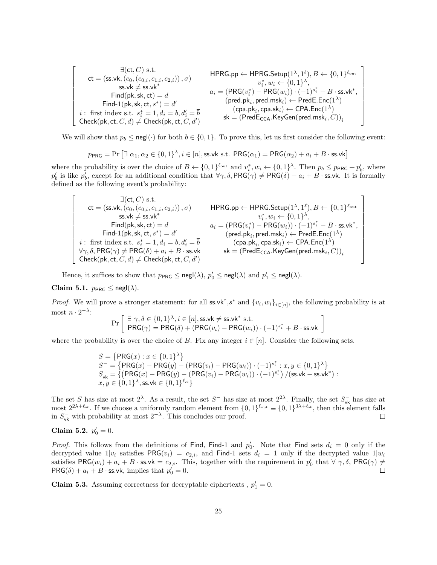$$
\text{ct} = (\text{s.s.vk}, (c_0, (c_0, i, c_{1,i}, c_{2,i})), \sigma) \\ \text{s.s.vk} \neq \text{s.s.vk}^* \\ \text{Find}(pk, sk, ct) = d \\ i: \text{ first index s.t. } s_i^* = 1, d_i = b, d_i' = \overline{b} \\ \text{Check}(pk, ct, C, d) \neq \text{Check}(pk, ct, C, d') \\
$$
\n
$$
\text{Check}(pk, ct, C, d) \neq \text{Check}(pk, ct, C, d') \\
$$
\n
$$
\text{Check}(pk, ct, C, d) \neq \text{Check}(pk, ct, C, d') \\
$$
\n
$$
\text{Check}(pk, ct, C, d) \neq \text{Check}(pk, ct, C, d') \\
$$
\n
$$
\text{Check}(pk, ct, C, d) \neq \text{Check}(pk, ct, C, d') \\
$$
\n
$$
\text{Check}(pk, ct, C, d) \neq \text{Check}(pk, ct, C, d')
$$
\n
$$
\text{Check}(pk, ct, C, d) \neq \text{Check}(pk, ct, C, d')
$$
\n
$$
\text{Check}(pk, ct, C, d) \neq \text{Check}(pk, ct, C, d')
$$
\n
$$
\text{Check}(pk, ct, C, d) \neq \text{Check}(pk, ct, C, d')
$$
\n
$$
\text{Check}(pk, ct, C, d) \neq \text{Check}(pk, ct, C, d')
$$

We will show that  $p_b \le \text{negl}(\cdot)$  for both  $b \in \{0,1\}$ . To prove this, let us first consider the following event:

$$
p_{\mathsf{PRG}} = \Pr\left[\exists \alpha_1, \alpha_2 \in \{0, 1\}^\lambda, i \in [n], \text{ss.vk s.t. } \mathsf{PRG}(\alpha_1) = \mathsf{PRG}(\alpha_2) + a_i + B \cdot \mathsf{ss.vk}\right]
$$

where the probability is over the choice of  $B \leftarrow \{0,1\}^{\ell_{\text{out}}}$  and  $v_i^*, w_i \leftarrow \{0,1\}^{\lambda}$ . Then  $p_b \leq p_{\text{PRG}} + p'_b$ , where  $p'_b$  is like  $p'_b$ , except for an additional condition that  $\forall \gamma, \delta, \text{PRG}(\gamma) \neq \text{PRG}(\delta) + a_i + B \cdot \text{ss.vk}$ . It is formally defined as the following event's probability:

$$
\text{ct} = (\text{sss.vk}, (c_0, (c_{0,i}, c_{1,i}, c_{2,i})) , \sigma) \\ \text{ssvk} \neq \text{ssvk}^* \\ \text{Find}(\text{pk}, \text{sk}, \text{ct}) = d \\ i: \text{ first index s.t. } s_i^* = 1, d_i = b, d_i' = \overline{b} \\ \text{Check}(\text{pk}, \text{ct}, C, d) \neq \text{Check}(\text{pk}, \text{ct}, C, d') \\ \text{Check}(\text{pk}, \text{ct}, C, d, c, C, d') \\
$$
\n
$$
\text{Check}(\text{pk}, \text{ct}, C, d) \neq \text{Check}(\text{pk}, \text{ct}, C, d') \\
$$
\n
$$
\text{Check}(\text{pk}, \text{ct}, C, d) \neq \text{Check}(\text{pk}, \text{ct}, C, d') \\
$$
\n
$$
\text{Check}(\text{pk}, \text{ct}, C, d) \neq \text{Check}(\text{pk}, \text{ct}, C, d') \\
$$
\n
$$
\text{Check}(\text{pk}, \text{ct}, C, d) \neq \text{Check}(\text{pk}, \text{ct}, C, d') \\
$$
\n
$$
\text{Check}(\text{pk}, \text{ct}, C, d) \neq \text{Check}(\text{pk}, \text{ct}, C, d')
$$
\n
$$
\text{Check}(\text{pk}, \text{ct}, C, d) \neq \text{Check}(\text{pk}, \text{ct}, C, d')
$$
\n
$$
\text{Check}(\text{pk}, \text{ct}, C, d) \neq \text{Check}(\text{pk}, \text{ct}, C, d')
$$
\n
$$
\text{Check}(\text{pk}, \text{ct}, C, d) \neq \text{Check}(\text{pk}, \text{ct}, C, d')
$$
\n
$$
\text{Check}(\text{pk}, \text{ct}, C, d) \neq \text{Check}(\text{pk}, \text{ct}, C, d')
$$
\n
$$
\text{Check}(\text{pk}, \text{ct}, C, d) \neq \text{Check}(\text{pk}, \text{ct}, C, d')
$$
\n
$$
\text{Check}(\text{pk}, \text{ct}, C, d) \neq \text{Check}(\text{pk}, \text{ct}, C, d')
$$
\n
$$
\text{Check}(\text{pk}, \text{pk}, \text{ct}, C
$$

Hence, it suffices to show that  $p_{\mathsf{PRG}} \le \mathsf{negl}(\lambda)$ ,  $p'_0 \le \mathsf{negl}(\lambda)$  and  $p'_1 \le \mathsf{negl}(\lambda)$ .

Claim 5.1.  $p_{PRG} \leq \text{negl}(\lambda)$ .

*Proof.* We will prove a stronger statement: for all  $ss.vk^*, s^*$  and  $\{v_i, w_i\}_{i \in [n]}$ , the following probability is at most  $n \cdot 2^{-\lambda}$ :

$$
\Pr\left[\begin{array}{l} \exists \; \gamma, \delta \in \{0,1\}^\lambda, i \in [n], \text{s.s.} \textsf{vk} \neq \textsf{ss.} \textsf{vk}^* \; \text{s.t.} \\ \textsf{PRG}(\gamma) = \textsf{PRG}(\delta) + (\textsf{PRG}(v_i) - \textsf{PRG}(w_i)) \cdot (-1)^{s^*_i} + B \cdot \textsf{ss.} \textsf{vk} \end{array}\right]
$$

where the probability is over the choice of B. Fix any integer  $i \in [n]$ . Consider the following sets.

$$
S = \{ \text{PRG}(x) : x \in \{0, 1\}^{\lambda} \}
$$
  
\n
$$
S^- = \{ \text{PRG}(x) - \text{PRG}(y) - (\text{PRG}(v_i) - \text{PRG}(w_i)) \cdot (-1)^{s_i^*} : x, y \in \{0, 1\}^{\lambda} \}
$$
  
\n
$$
S_{\text{vk}}^- = \{ (\text{PRG}(x) - \text{PRG}(y) - (\text{PRG}(v_i) - \text{PRG}(w_i)) \cdot (-1)^{s_i^*} ) / (\text{ss.vk} - \text{ss.vk}^*) : x, y \in \{0, 1\}^{\lambda}, \text{ss.vk} \in \{0, 1\}^{\ell_{\text{vk}}} \}
$$

The set S has size at most  $2^{\lambda}$ . As a result, the set S<sup>-</sup> has size at most  $2^{2\lambda}$ . Finally, the set  $S_{\nu k}^-$  has size at most  $2^{2\lambda+\ell_{\rm wk}}$ . If we choose a uniformly random element from  $\{0,1\}^{\ell_{\rm out}} \equiv \{0,1\}^{3\lambda+\ell_{\rm wk}}$ , then this element falls in  $S_{\scriptscriptstyle{\mathsf{vk}}}^-$  with probability at most  $2^{-\lambda}$ . This concludes our proof.  $\Box$ 

## Claim 5.2.  $p'_0 = 0$ .

*Proof.* This follows from the definitions of Find, Find-1 and  $p'_0$ . Note that Find sets  $d_i = 0$  only if the decrypted value  $1|v_i$  satisfies  $PRG(v_i) = c_{2,i}$ , and Find-1 sets  $d_i = 1$  only if the decrypted value  $1|w_i$ satisfies  $PRG(w_i) + a_i + B \cdot ss.\mathsf{vk} = c_{2,i}$ . This, together with the requirement in  $p'_0$  that  $\forall \gamma, \delta$ ,  $PRG(\gamma) \neq$  $PRG(\delta) + a_i + B \cdot \text{ss.vk},$  implies that  $p'_0 = 0$ .  $\Box$ 

**Claim 5.3.** Assuming correctness for decryptable ciphertexts ,  $p'_1 = 0$ .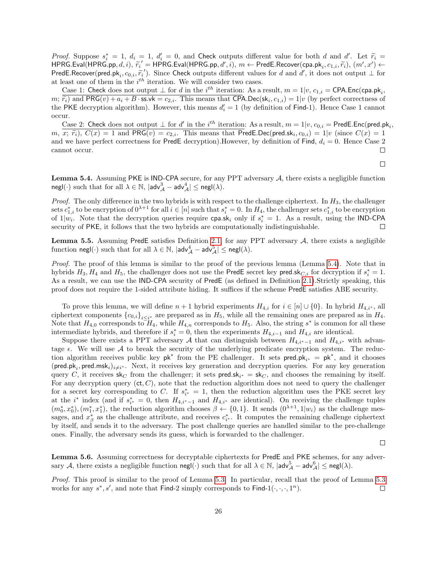Proof. Suppose  $s_i^* = 1$ ,  $d_i = 1$ ,  $d'_i = 0$ , and Check outputs different value for both d and d'. Let  $\tilde{r}_i =$ <br>HPRC Eval(HPRC and i)  $\tilde{r}_i =$  HPRC Eval(HPRC and i)  $m \leftarrow$  Prode Becover(cn ak,  $c_i$ ,  $\tilde{r}_i$ ) (m' m') HPRG.Eval(HPRG.pp, d, i),  $\widetilde{r_i}' = \text{HPRG.Eval}(\text{HPRG.pp}, d', i), m \leftarrow \text{PredE}.\text{Recover}(\text{cpa.pk}_i, c_{1,i}, \widetilde{r_i}), (m', x') \leftarrow \text{PredE}.\text{Recover}(\text{cpa.pk}_i, c_{1,i}, \widetilde{r_i}), (m', x') \leftarrow \text{PredE}.\text{Recover}(\text{cpa.pk}_i, c_{1,i}, \widetilde{r_i})$ PredE.Recover(pred.pk<sub>i</sub>,  $c_{0,i}$ ,  $\tilde{r}'_i$ ). Since Check outputs different values for d and d', it does not output  $\perp$  for at least one of them in the  $i^{th}$  iteration. We will consider two cases.

Case 1: Check does not output  $\perp$  for d in the  $i^{th}$  iteration: As a result,  $m = 1|v, c_{1,i} = \text{CPA}$ . Enc(cpa.pk<sub>i</sub>,  $m; \tilde{r}_i$ ) and PRG(v) +  $a_i + B \cdot$ ss.vk =  $c_{2,i}$ . This means that CPA.Dec(sk<sub>i</sub>,  $c_{1,i}$ ) = 1|v (by perfect correctness of the DKE decreases of the DKE decreases of the PKE decryption algorithm). However, this means  $d_i' = 1$  (by definition of Find-1). Hence Case 1 cannot occur.

Case 2: Check does not output  $\perp$  for d' in the i<sup>th</sup> iteration: As a result,  $m = 1|v, c_{0,i} = \text{PredE}$ . Enc(pred.pk<sub>i</sub>,  $m, x; \tilde{r}_i$ ,  $C(x) = 1$  and PRG( $v$ ) =  $c_{2,i}$ . This means that PredE.Dec(pred.sk<sub>i</sub>,  $c_{0,i}$ ) = 1|v (since  $C(x) = 1$ <br>and we have perfect correctness for **PredE** decreation) However, by definition of **Find**  $d_i = 0$ , Hones and we have perfect correctness for PredE decryption). However, by definition of Find,  $d_i = 0$ . Hence Case 2 cannot occur.  $\Box$ 

 $\Box$ 

<span id="page-25-0"></span>**Lemma 5.4.** Assuming PKE is IND-CPA secure, for any PPT adversary  $A$ , there exists a negligible function  $\mathsf{negl}(\cdot)$  such that for all  $\lambda \in \mathbb{N}$ ,  $|\mathsf{adv}^3_{\mathcal{A}} - \mathsf{adv}^4_{\mathcal{A}}| \leq \mathsf{negl}(\lambda).$ 

*Proof.* The only difference in the two hybrids is with respect to the challenge ciphertext. In  $H_3$ , the challenger sets  $c_{1,i}^*$  to be encryption of  $0^{\lambda+1}$  for all  $i \in [n]$  such that  $s_i^* = 0$ . In  $H_4$ , the challenger sets  $c_{1,i}^*$  to be encryption of  $1|w_i$ . Note that the decryption queries require cpa.sk<sub>i</sub> only if  $s_i^* = 1$ . As a result, using the IND-CPA security of PKE, it follows that the two hybrids are computationally indistinguishable.  $\Box$ 

**Lemma 5.5.** Assuming PredE satisfies Definition [2.1,](#page-6-0) for any PPT adversary  $A$ , there exists a negligible function  $\mathsf{negl}(\cdot)$  such that for all  $\lambda \in \mathbb{N}$ ,  $|\mathsf{adv}^4_{\mathcal{A}} - \mathsf{adv}^5_{\mathcal{A}}| \leq \mathsf{negl}(\lambda)$ .

Proof. The proof of this lemma is similar to the proof of the previous lemma (Lemma [5.4\)](#page-25-0). Note that in hybrids  $H_3, H_4$  and  $H_5$ , the challenger does not use the PredE secret key pred.sk<sub>C,i</sub> for decryption if  $s_i^* = 1$ . As a result, we can use the IND-CPA security of PredE (as defined in Definition [2.1\)](#page-6-0).Strictly speaking, this proof does not require the 1-sided attribute hiding. It suffices if the scheme PredE satisfies ABE security.

To prove this lemma, we will define  $n + 1$  hybrid experiments  $H_{4,i}$  for  $i \in [n] \cup \{0\}$ . In hybrid  $H_{4,i^*}$ , all ciphertext components  ${c_{0,i}}_{i\leq i^*}$  are prepared as in  $H_5$ , while all the remaining ones are prepared as in  $H_4$ . Note that  $H_{4,0}$  corresponds to  $H_{4,n}$  corresponds to  $H_5$ . Also, the string s<sup>\*</sup> is common for all these intermediate hybrids, and therefore if  $s_i^* = 0$ , then the experiments  $H_{4,i-1}$  and  $H_{4,i}$  are identical.

Suppose there exists a PPT adversary A that can distinguish between  $H_{4,i^*-1}$  and  $H_{4,i^*}$  with advantage  $\epsilon$ . We will use A to break the security of the underlying predicate encryption system. The reduction algorithm receives public key  $pk^*$  from the PE challenger. It sets  $pred.pk_{i^*} = pk^*$ , and it chooses  $(\text{pred.pk}_i, \text{pred.msk}_i)_{i \neq i^*}$ . Next, it receives key generation and decryption queries. For any key generation query C, it receives sk<sub>C</sub> from the challenger; it sets pred.sk<sub>i\*</sub> = sk<sub>C</sub>, and chooses the remaining by itself. For any decryption query  $(ct, C)$ , note that the reduction algorithm does not need to query the challenger for a secret key corresponding to C. If  $s_{i^*}^* = 1$ , then the reduction algorithm uses the PKE secret key at the  $i^*$  index (and if  $s_{i^*}^* = 0$ , then  $H_{4,i^*-1}$  and  $H_{4,i^*}$  are identical). On receiving the challenge tuples  $(m_0^*, x_0^*), (m_1^*, x_1^*)$ , the reduction algorithm chooses  $\beta \leftarrow \{0,1\}$ . It sends  $(0^{\lambda+1}, 1|w_i)$  as the challenge messages, and  $x^*_{\beta}$  as the challenge attribute, and receives  $c^*_{i^*}$ . It computes the remaining challenge ciphertext by itself, and sends it to the adversary. The post challenge queries are handled similar to the pre-challenge ones. Finally, the adversary sends its guess, which is forwarded to the challenger.

 $\Box$ 

Lemma 5.6. Assuming correctness for decryptable ciphertexts for PredE and PKE schemes, for any adversary A, there exists a negligible function  $\mathsf{negl}(\cdot)$  such that for all  $\lambda \in \mathbb{N}$ ,  $|\mathsf{adv}^5_{\mathcal{A}}| \leq \mathsf{negl}(\lambda)$ .

Proof. This proof is similar to the proof of Lemma [5.3.](#page-23-0) In particular, recall that the proof of Lemma [5.3](#page-23-0) works for any  $s^*, s'$ , and note that Find-2 simply corresponds to Find-1( $\cdot, \cdot, \cdot, 1^n$ ).  $\Box$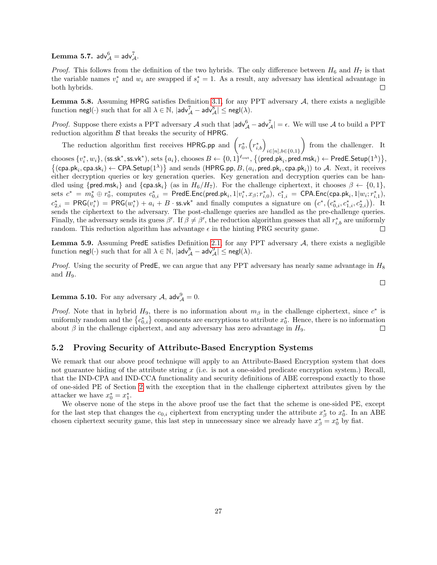${\bf Lemma \ 5.7.}$  adv $^6_{\cal A} =$  adv $^7_{\cal A}.$ 

*Proof.* This follows from the definition of the two hybrids. The only difference between  $H_6$  and  $H_7$  is that the variable names  $v_i^*$  and  $w_i$  are swapped if  $s_i^* = 1$ . As a result, any adversary has identical advantage in both hybrids.  $\Box$ 

**Lemma 5.8.** Assuming HPRG satisfies Definition [3.1,](#page-8-2) for any PPT adversary  $A$ , there exists a negligible function  $\mathsf{negl}(\cdot)$  such that for all  $\lambda \in \mathbb{N}$ ,  $|\mathsf{adv}_{\mathcal{A}}^7 - \mathsf{adv}_{\mathcal{A}}^8| \leq \mathsf{negl}(\lambda)$ .

*Proof.* Suppose there exists a PPT adversary A such that  $|\text{adv}_{\mathcal{A}}^6 - \text{adv}_{\mathcal{A}}^7| = \epsilon$ . We will use A to build a PPT reduction algorithm  $\beta$  that breaks the security of HPRG.

The reduction algorithm first receives HPRG.pp and  $(r_0^*, (r_{i,b}^*)_{i \in [n], b \in \{0,1\}})$ from the challenger. It  $\text{choose } \{v_i^*, w_i\}, \text{(ss.st*, ss.vk*)}, \text{sets } \{a_i\}, \text{choose } B \leftarrow \{0, 1\}^{\ell_{\text{out}}}, \big\{ (\text{pred.ph}_i, \text{pred.msk}_i) \leftarrow \text{PredE}.\textsf{Setup}(1^\lambda)\big\},$  $\{(\textsf{cpa}.\textsf{pk}_i, \textsf{cpa}.\textsf{sk}_i) \leftarrow \textsf{CPA}.\textsf{Setup}(1^{\lambda})\}$  and sends  $(\textsf{HPRG}.\textsf{pp}, B, (a_i, \textsf{pred}.\textsf{pk}_i, \textsf{cpa}.\textsf{pk}_i))$  to A. Next, it receives either decryption queries or key generation queries. Key generation and decryption queries can be handled using {pred.msk<sub>i</sub>} and {cpa.sk<sub>i</sub>} (as in  $H_6/H_7$ ). For the challenge ciphertext, it chooses  $\beta \leftarrow \{0,1\}$ ,  $sets \; c^* \; = \; m_b^* \; \oplus \; r_0^*, \text{ computes } \; c_{0,i}^* \; = \; \mathsf{PredE}.\mathsf{Enc}(\mathsf{pred}.\mathsf{pk}_i,1|v_i^*,x_\beta;r_{i,0}^*), \; c_{1,i}^* \; = \; \mathsf{CPA}.\mathsf{Enc}(\mathsf{cpa}.\mathsf{pk}_i,1|w_i;r_{i,1}^*),$  $c_{2,i}^* = \text{PRG}(v_i^*) = \text{PRG}(w_i^*) + a_i + B \cdot \text{ss.vk}^*$  and finally computes a signature on  $(c^*, (c_{0,i}^*, c_{1,i}^*, c_{2,i}^*))$ . It sends the ciphertext to the adversary. The post-challenge queries are handled as the pre-challenge queries. Finally, the adversary sends its guess  $\beta'$ . If  $\beta \neq \beta'$ , the reduction algorithm guesses that all  $r_{i,b}^*$  are uniformly random. This reduction algorithm has advantage  $\epsilon$  in the hinting PRG security game.  $\Box$ 

**Lemma 5.9.** Assuming PredE satisfies Definition [2.1,](#page-6-0) for any PPT adversary  $A$ , there exists a negligible function  $\mathsf{negl}(\cdot)$  such that for all  $\lambda \in \mathbb{N}$ ,  $|\mathsf{adv}^8_{\mathcal{A}} - \mathsf{adv}^9_{\mathcal{A}}| \leq \mathsf{negl}(\lambda)$ .

*Proof.* Using the security of PredE, we can argue that any PPT adversary has nearly same advantage in  $H_8$ and  $H_9$ .

**Lemma 5.10.** For any adversary  $A$ ,  $\mathsf{adv}^9_{\mathcal{A}} = 0$ .

*Proof.* Note that in hybrid  $H_9$ , there is no information about  $m_\beta$  in the challenge ciphertext, since  $c^*$  is uniformly random and the  ${c_{0,i}^*}$  components are encryptions to attribute  $x_0^*$ . Hence, there is no information about  $\beta$  in the challenge ciphertext, and any adversary has zero advantage in  $H_9$ .  $\Box$ 

## 5.2 Proving Security of Attribute-Based Encryption Systems

We remark that our above proof technique will apply to an Attribute-Based Encryption system that does not guarantee hiding of the attribute string  $x$  (i.e. is not a one-sided predicate encryption system.) Recall, that the IND-CPA and IND-CCA functionality and security definitions of ABE correspond exactly to those of one-sided PE of Section [2](#page-6-1) with the exception that in the challenge ciphertext attributes given by the attacker we have  $x_0^* = x_1^*$ .

We observe none of the steps in the above proof use the fact that the scheme is one-sided PE, except for the last step that changes the  $c_{0,i}$  ciphertext from encrypting under the attribute  $x^*_{\beta}$  to  $x^*_{0}$ . In an ABE chosen ciphertext security game, this last step in unnecessary since we already have  $x_{\beta}^* = x_0^*$  by fiat.

 $\Box$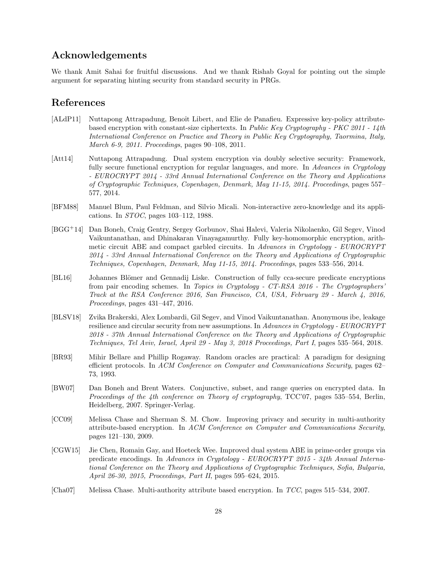## Acknowledgements

We thank Amit Sahai for fruitful discussions. And we thank Rishab Goyal for pointing out the simple argument for separating hinting security from standard security in PRGs.

## References

- <span id="page-27-3"></span>[ALdP11] Nuttapong Attrapadung, Benoît Libert, and Elie de Panafieu. Expressive key-policy attributebased encryption with constant-size ciphertexts. In Public Key Cryptography - PKC 2011 - 14th International Conference on Practice and Theory in Public Key Cryptography, Taormina, Italy, March 6-9, 2011. Proceedings, pages 90–108, 2011.
- <span id="page-27-1"></span>[Att14] Nuttapong Attrapadung. Dual system encryption via doubly selective security: Framework, fully secure functional encryption for regular languages, and more. In Advances in Cryptology - EUROCRYPT 2014 - 33rd Annual International Conference on the Theory and Applications of Cryptographic Techniques, Copenhagen, Denmark, May 11-15, 2014. Proceedings, pages 557– 577, 2014.
- <span id="page-27-8"></span>[BFM88] Manuel Blum, Paul Feldman, and Silvio Micali. Non-interactive zero-knowledge and its applications. In STOC, pages 103–112, 1988.
- <span id="page-27-0"></span>[BGG+14] Dan Boneh, Craig Gentry, Sergey Gorbunov, Shai Halevi, Valeria Nikolaenko, Gil Segev, Vinod Vaikuntanathan, and Dhinakaran Vinayagamurthy. Fully key-homomorphic encryption, arithmetic circuit ABE and compact garbled circuits. In Advances in Cryptology - EUROCRYPT 2014 - 33rd Annual International Conference on the Theory and Applications of Cryptographic Techniques, Copenhagen, Denmark, May 11-15, 2014. Proceedings, pages 533–556, 2014.
- <span id="page-27-6"></span>[BL16] Johannes Blömer and Gennadij Liske. Construction of fully cca-secure predicate encryptions from pair encoding schemes. In Topics in Cryptology - CT-RSA 2016 - The Cryptographers' Track at the RSA Conference 2016, San Francisco, CA, USA, February 29 - March 4, 2016, Proceedings, pages 431–447, 2016.
- <span id="page-27-10"></span>[BLSV18] Zvika Brakerski, Alex Lombardi, Gil Segev, and Vinod Vaikuntanathan. Anonymous ibe, leakage resilience and circular security from new assumptions. In Advances in Cryptology - EUROCRYPT 2018 - 37th Annual International Conference on the Theory and Applications of Cryptographic Techniques, Tel Aviv, Israel, April 29 - May 3, 2018 Proceedings, Part I, pages 535–564, 2018.
- <span id="page-27-7"></span>[BR93] Mihir Bellare and Phillip Rogaway. Random oracles are practical: A paradigm for designing efficient protocols. In ACM Conference on Computer and Communications Security, pages 62– 73, 1993.
- <span id="page-27-9"></span>[BW07] Dan Boneh and Brent Waters. Conjunctive, subset, and range queries on encrypted data. In Proceedings of the 4th conference on Theory of cryptography, TCC'07, pages 535–554, Berlin, Heidelberg, 2007. Springer-Verlag.
- <span id="page-27-5"></span>[CC09] Melissa Chase and Sherman S. M. Chow. Improving privacy and security in multi-authority attribute-based encryption. In ACM Conference on Computer and Communications Security, pages 121–130, 2009.
- <span id="page-27-2"></span>[CGW15] Jie Chen, Romain Gay, and Hoeteck Wee. Improved dual system ABE in prime-order groups via predicate encodings. In Advances in Cryptology - EUROCRYPT 2015 - 34th Annual International Conference on the Theory and Applications of Cryptographic Techniques, Sofia, Bulgaria, April 26-30, 2015, Proceedings, Part II, pages 595–624, 2015.
- <span id="page-27-4"></span>[Cha07] Melissa Chase. Multi-authority attribute based encryption. In TCC, pages 515–534, 2007.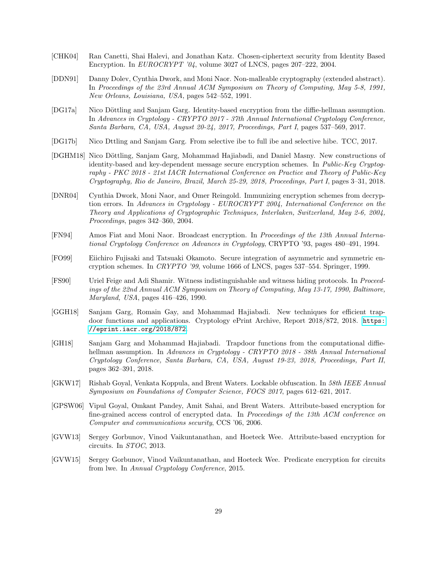- <span id="page-28-5"></span>[CHK04] Ran Canetti, Shai Halevi, and Jonathan Katz. Chosen-ciphertext security from Identity Based Encryption. In *EUROCRYPT* '04, volume 3027 of LNCS, pages 207–222, 2004.
- <span id="page-28-4"></span>[DDN91] Danny Dolev, Cynthia Dwork, and Moni Naor. Non-malleable cryptography (extended abstract). In Proceedings of the 23rd Annual ACM Symposium on Theory of Computing, May 5-8, 1991, New Orleans, Louisiana, USA, pages 542–552, 1991.
- <span id="page-28-7"></span>[DG17a] Nico Döttling and Sanjam Garg. Identity-based encryption from the diffie-hellman assumption. In Advances in Cryptology - CRYPTO 2017 - 37th Annual International Cryptology Conference, Santa Barbara, CA, USA, August 20-24, 2017, Proceedings, Part I, pages 537–569, 2017.
- <span id="page-28-8"></span>[DG17b] Nico Dttling and Sanjam Garg. From selective ibe to full ibe and selective hibe. TCC, 2017.
- <span id="page-28-9"></span>[DGHM18] Nico Döttling, Sanjam Garg, Mohammad Hajiabadi, and Daniel Masny. New constructions of identity-based and key-dependent message secure encryption schemes. In Public-Key Cryptography - PKC 2018 - 21st IACR International Conference on Practice and Theory of Public-Key Cryptography, Rio de Janeiro, Brazil, March 25-29, 2018, Proceedings, Part I, pages 3–31, 2018.
- <span id="page-28-11"></span>[DNR04] Cynthia Dwork, Moni Naor, and Omer Reingold. Immunizing encryption schemes from decryption errors. In Advances in Cryptology - EUROCRYPT 2004, International Conference on the Theory and Applications of Cryptographic Techniques, Interlaken, Switzerland, May 2-6, 2004, Proceedings, pages 342–360, 2004.
- <span id="page-28-13"></span>[FN94] Amos Fiat and Moni Naor. Broadcast encryption. In Proceedings of the 13th Annual International Cryptology Conference on Advances in Cryptology, CRYPTO '93, pages 480–491, 1994.
- <span id="page-28-6"></span>[FO99] Eiichiro Fujisaki and Tatsuaki Okamoto. Secure integration of asymmetric and symmetric encryption schemes. In CRYPTO '99, volume 1666 of LNCS, pages 537–554. Springer, 1999.
- <span id="page-28-12"></span>[FS90] Uriel Feige and Adi Shamir. Witness indistinguishable and witness hiding protocols. In Proceedings of the 22nd Annual ACM Symposium on Theory of Computing, May 13-17, 1990, Baltimore, Maryland, USA, pages 416–426, 1990.
- <span id="page-28-14"></span>[GGH18] Sanjam Garg, Romain Gay, and Mohammad Hajiabadi. New techniques for efficient trapdoor functions and applications. Cryptology ePrint Archive, Report 2018/872, 2018. [https:](https://eprint.iacr.org/2018/872) [//eprint.iacr.org/2018/872](https://eprint.iacr.org/2018/872).
- <span id="page-28-10"></span>[GH18] Sanjam Garg and Mohammad Hajiabadi. Trapdoor functions from the computational diffiehellman assumption. In Advances in Cryptology - CRYPTO 2018 - 38th Annual International Cryptology Conference, Santa Barbara, CA, USA, August 19-23, 2018, Proceedings, Part II, pages 362–391, 2018.
- <span id="page-28-3"></span>[GKW17] Rishab Goyal, Venkata Koppula, and Brent Waters. Lockable obfuscation. In 58th IEEE Annual Symposium on Foundations of Computer Science, FOCS 2017, pages 612–621, 2017.
- <span id="page-28-0"></span>[GPSW06] Vipul Goyal, Omkant Pandey, Amit Sahai, and Brent Waters. Attribute-based encryption for fine-grained access control of encrypted data. In Proceedings of the 13th ACM conference on Computer and communications security, CCS '06, 2006.
- <span id="page-28-1"></span>[GVW13] Sergey Gorbunov, Vinod Vaikuntanathan, and Hoeteck Wee. Attribute-based encryption for circuits. In STOC, 2013.
- <span id="page-28-2"></span>[GVW15] Sergey Gorbunov, Vinod Vaikuntanathan, and Hoeteck Wee. Predicate encryption for circuits from lwe. In Annual Cryptology Conference, 2015.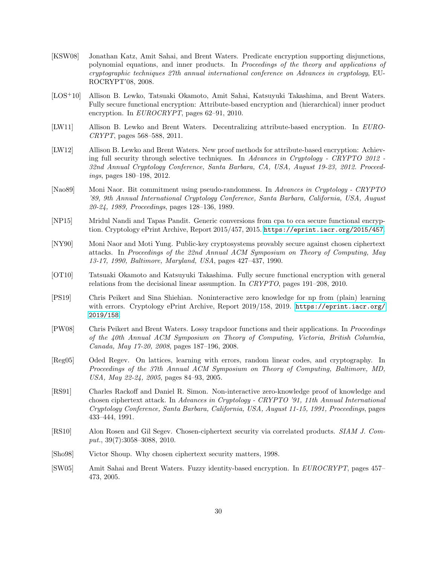- <span id="page-29-10"></span>[KSW08] Jonathan Katz, Amit Sahai, and Brent Waters. Predicate encryption supporting disjunctions, polynomial equations, and inner products. In Proceedings of the theory and applications of cryptographic techniques 27th annual international conference on Advances in cryptology, EU-ROCRYPT'08, 2008.
- <span id="page-29-1"></span>[LOS+10] Allison B. Lewko, Tatsuaki Okamoto, Amit Sahai, Katsuyuki Takashima, and Brent Waters. Fully secure functional encryption: Attribute-based encryption and (hierarchical) inner product encryption. In *EUROCRYPT*, pages 62–91, 2010.
- <span id="page-29-4"></span>[LW11] Allison B. Lewko and Brent Waters. Decentralizing attribute-based encryption. In EURO-CRYPT, pages 568–588, 2011.
- <span id="page-29-3"></span>[LW12] Allison B. Lewko and Brent Waters. New proof methods for attribute-based encryption: Achieving full security through selective techniques. In Advances in Cryptology - CRYPTO 2012 - 32nd Annual Cryptology Conference, Santa Barbara, CA, USA, August 19-23, 2012. Proceedings, pages 180–198, 2012.
- <span id="page-29-13"></span>[Nao89] Moni Naor. Bit commitment using pseudo-randomness. In Advances in Cryptology - CRYPTO '89, 9th Annual International Cryptology Conference, Santa Barbara, California, USA, August 20-24, 1989, Proceedings, pages 128–136, 1989.
- <span id="page-29-8"></span>[NP15] Mridul Nandi and Tapas Pandit. Generic conversions from cpa to cca secure functional encryption. Cryptology ePrint Archive, Report 2015/457, 2015. <https://eprint.iacr.org/2015/457>.
- <span id="page-29-5"></span>[NY90] Moni Naor and Moti Yung. Public-key cryptosystems provably secure against chosen ciphertext attacks. In Proceedings of the 22nd Annual ACM Symposium on Theory of Computing, May 13-17, 1990, Baltimore, Maryland, USA, pages 427–437, 1990.
- <span id="page-29-2"></span>[OT10] Tatsuaki Okamoto and Katsuyuki Takashima. Fully secure functional encryption with general relations from the decisional linear assumption. In  $CRYPTO$ , pages 191–208, 2010.
- <span id="page-29-9"></span>[PS19] Chris Peikert and Sina Shiehian. Noninteractive zero knowledge for np from (plain) learning with errors. Cryptology ePrint Archive, Report 2019/158, 2019. [https://eprint.iacr.org/](https://eprint.iacr.org/2019/158) [2019/158](https://eprint.iacr.org/2019/158).
- <span id="page-29-12"></span>[PW08] Chris Peikert and Brent Waters. Lossy trapdoor functions and their applications. In Proceedings of the 40th Annual ACM Symposium on Theory of Computing, Victoria, British Columbia, Canada, May 17-20, 2008, pages 187–196, 2008.
- <span id="page-29-14"></span>[Reg05] Oded Regev. On lattices, learning with errors, random linear codes, and cryptography. In Proceedings of the 37th Annual ACM Symposium on Theory of Computing, Baltimore, MD, USA, May 22-24, 2005, pages 84–93, 2005.
- <span id="page-29-6"></span>[RS91] Charles Rackoff and Daniel R. Simon. Non-interactive zero-knowledge proof of knowledge and chosen ciphertext attack. In Advances in Cryptology - CRYPTO '91, 11th Annual International Cryptology Conference, Santa Barbara, California, USA, August 11-15, 1991, Proceedings, pages 433–444, 1991.
- <span id="page-29-11"></span>[RS10] Alon Rosen and Gil Segev. Chosen-ciphertext security via correlated products. SIAM J. Comput., 39(7):3058–3088, 2010.
- <span id="page-29-7"></span>[Sho98] Victor Shoup. Why chosen ciphertext security matters, 1998.
- <span id="page-29-0"></span>[SW05] Amit Sahai and Brent Waters. Fuzzy identity-based encryption. In EUROCRYPT, pages 457– 473, 2005.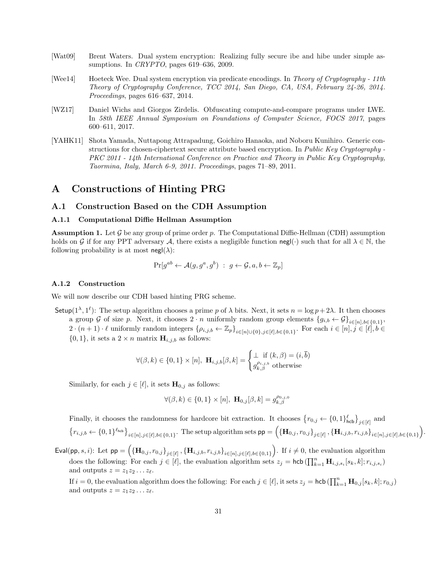- <span id="page-30-0"></span>[Wat09] Brent Waters. Dual system encryption: Realizing fully secure ibe and hibe under simple assumptions. In CRYPTO, pages 619–636, 2009.
- <span id="page-30-1"></span>[Wee14] Hoeteck Wee. Dual system encryption via predicate encodings. In Theory of Cryptography - 11th Theory of Cryptography Conference, TCC 2014, San Diego, CA, USA, February 24-26, 2014. Proceedings, pages 616–637, 2014.
- <span id="page-30-2"></span>[WZ17] Daniel Wichs and Giorgos Zirdelis. Obfuscating compute-and-compare programs under LWE. In 58th IEEE Annual Symposium on Foundations of Computer Science, FOCS 2017, pages 600–611, 2017.
- <span id="page-30-3"></span>[YAHK11] Shota Yamada, Nuttapong Attrapadung, Goichiro Hanaoka, and Noboru Kunihiro. Generic constructions for chosen-ciphertext secure attribute based encryption. In Public Key Cryptography -PKC 2011 - 14th International Conference on Practice and Theory in Public Key Cryptography, Taormina, Italy, March 6-9, 2011. Proceedings, pages 71–89, 2011.

## A Constructions of Hinting PRG

### A.1 Construction Based on the CDH Assumption

### A.1.1 Computational Diffie Hellman Assumption

**Assumption 1.** Let  $\mathcal G$  be any group of prime order p. The Computational Diffie-Hellman (CDH) assumption holds on G if for any PPT adversary A, there exists a negligible function negl( $\cdot$ ) such that for all  $\lambda \in \mathbb{N}$ , the following probability is at most negl( $\lambda$ ):

$$
Pr[g^{ab} \leftarrow \mathcal{A}(g, g^a, g^b) : g \leftarrow \mathcal{G}, a, b \leftarrow \mathbb{Z}_p]
$$

### A.1.2 Construction

We will now describe our CDH based hinting PRG scheme.

Setup( $1^{\lambda}, 1^{\ell}$ ): The setup algorithm chooses a prime p of  $\lambda$  bits. Next, it sets  $n = \log p + 2\lambda$ . It then chooses a group G of size p. Next, it chooses  $2 \cdot n$  uniformly random group elements  $\{g_{i,b} \leftarrow \mathcal{G}\}_{i \in [n], b \in \{0,1\}}$  $2 \cdot (n+1) \cdot \ell$  uniformly random integers  $\{\rho_{i,j,b} \leftarrow \mathbb{Z}_p\}_{i \in [n] \cup \{0\}, j \in [\ell], b \in \{0,1\}}$ . For each  $i \in [n], j \in [\ell], b \in$  $\{0, 1\}$ , it sets a 2 × n matrix  $\mathbf{H}_{i,j,b}$  as follows:

$$
\forall (\beta, k) \in \{0, 1\} \times [n], \ \mathbf{H}_{i,j,b}[\beta, k] = \begin{cases} \perp & \text{if } (k, \beta) = (i, \overline{b}) \\ g_{k, \beta}^{\rho_{i,j,b}} & \text{otherwise} \end{cases}
$$

Similarly, for each  $j \in [\ell]$ , it sets  $\mathbf{H}_{0,j}$  as follows:

$$
\forall (\beta, k) \in \{0, 1\} \times [n], \ \mathbf{H}_{0,j}[\beta, k] = g_{k, \beta}^{\rho_{0,j, 0}}
$$

Finally, it chooses the randomness for hardcore bit extraction. It chooses  $\{r_{0,j} \leftarrow \{0,1\}_{\text{hcb}}^{\ell}\}_{j \in [\ell]}$  and  ${r_{i,j,b} \leftarrow \{0,1\}^{\ell_{\text{hcb}}}\}_{i \in [n], j \in [\ell], b \in \{0,1\}}$ . The setup algorithm sets  $pp = \left({\{\mathbf{H}_{0,j}, r_{0,j}\}}_{j \in [\ell]}, {\{\mathbf{H}_{i,j,b}, r_{i,j,b}\}}_{i \in [n], j \in [\ell], b \in \{0,1\}}\right)$ .

 $\textsf{Eval}(\textsf{pp}, s, i)$ : Let  $\textsf{pp} = \left( \{ \mathbf{H}_{0,j}, r_{0,j} \}_{j \in [\ell]}, \{ \mathbf{H}_{i,j,b}, r_{i,j,b} \}_{i \in [n], j \in [\ell], b \in \{0,1\}} \right)$ . If  $i \neq 0$ , the evaluation algorithm does the following: For each  $j \in [\ell]$ , the evaluation algorithm sets  $z_j = \text{hcb}(\prod_{k=1}^n \mathbf{H}_{i,j,s_i}[s_k, k]; r_{i,j,s_i})$ and outputs  $z = z_1 z_2 \ldots z_\ell$ .

If  $i = 0$ , the evaluation algorithm does the following: For each  $j \in [\ell]$ , it sets  $z_j = \text{hcb} (\prod_{k=1}^n \mathbf{H}_{0,j}[s_k, k]; r_{0,j})$ and outputs  $z = z_1 z_2 \dots z_\ell$ .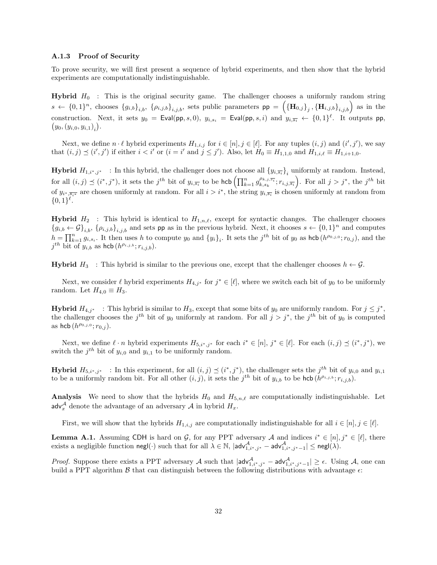#### A.1.3 Proof of Security

To prove security, we will first present a sequence of hybrid experiments, and then show that the hybrid experiments are computationally indistinguishable.

**Hybrid**  $H_0$  : This is the original security game. The challenger chooses a uniformly random string  $s \leftarrow \{0,1\}^n$ , chooses  $\{g_{i,b}\}_{i,b}$ ,  $\{\rho_{i,j,b}\}_{i,j,b}$ , sets public parameters  $pp = \left(\{\mathbf{H}_{0,j}\}_{j}$ ,  $\{\mathbf{H}_{i,j,b}\}_{i,j,b}\right)$  as in the construction. Next, it sets  $y_0 = \text{Eval}(pp, s, 0), y_{i, s_i} = \text{Eval}(pp, s, i)$  and  $y_{i, \overline{s_i}} \leftarrow \{0, 1\}^{\ell}$ . It outputs pp,  $(y_0,(y_{i,0},y_{i,1})_i).$ 

Next, we define  $n \cdot \ell$  hybrid experiments  $H_{1,i,j}$  for  $i \in [n], j \in [\ell]$ . For any tuples  $(i, j)$  and  $(i', j')$ , we say that  $(i, j) \preceq (i', j')$  if either  $i < i'$  or  $(i = i'$  and  $j \le j'$ ). Also, let  $H_0 \equiv H_{1,1,0}$  and  $H_{1,i,\ell} \equiv H_{1,i+1,0}$ .

**Hybrid**  $H_{1,i^*,j^*}$  : In this hybrid, the challenger does not choose all  ${y_{i,\overline{s_i}}}_{i}$  uniformly at random. Instead, for all  $(i, j) \preceq (i^*, j^*)$ , it sets the  $j^{th}$  bit of  $y_{i, \overline{s_i}}$  to be hcb  $\left(\prod_{k=1}^n g_{k, s_k}^{\rho_{k, j, \overline{s_i}}}; r_{i, j, \overline{s_i}}\right)$ . For all  $j > j^*$ , the  $j^{th}$  bit of  $y_{i^*,\overline{s_i*}}$  are chosen uniformly at random. For all  $i > i^*$ , the string  $y_{i,\overline{s_i}}$  is chosen uniformly at random from  ${0,1}^{\ell}.$ 

**Hybrid**  $H_2$  : This hybrid is identical to  $H_{1,n,\ell}$ , except for syntactic changes. The challenger chooses  ${g_{i,b} \leftarrow \mathcal{G}}_{i,b}, \{\rho_{i,j,b}\}_{i,j,b}$  and sets pp as in the previous hybrid. Next, it chooses  $s \leftarrow \{0,1\}^n$  and computes  $h = \prod_{k=1}^n g_{i,s_i}$ . It then uses h to compute  $y_0$  and  $\{y_i\}_i$ . It sets the j<sup>th</sup> bit of  $y_0$  as hcb  $(h^{\rho_{0,j,0}}; r_{0,j})$ , and the  $j^{th}$  bit of  $y_{i,b}$  as hcb  $(h^{\rho_{i,j,b}}; r_{i,j,b})$ .

**Hybrid**  $H_3$ : This hybrid is similar to the previous one, except that the challenger chooses  $h \leftarrow \mathcal{G}$ .

Next, we consider  $\ell$  hybrid experiments  $H_{4,j^*}$  for  $j^* \in [\ell]$ , where we switch each bit of  $y_0$  to be uniformly random. Let  $H_{4,0} \equiv H_3$ .

**Hybrid**  $H_{4,j^*}$  : This hybrid is similar to  $H_3$ , except that some bits of  $y_0$  are uniformly random. For  $j \leq j^*$ , the challenger chooses the  $j<sup>th</sup>$  bit of  $y_0$  uniformly at random. For all  $j > j^*$ , the  $j<sup>th</sup>$  bit of  $y_0$  is computed as  $hcb(h^{\rho_{0,j,0}};r_{0,j}).$ 

Next, we define  $\ell \cdot n$  hybrid experiments  $H_{5,i^*,j^*}$  for each  $i^* \in [n], j^* \in [\ell]$ . For each  $(i,j) \preceq (i^*,j^*)$ , we switch the  $j^{th}$  bit of  $y_{i,0}$  and  $y_{i,1}$  to be uniformly random.

**Hybrid**  $H_{5,i^*,j^*}$  : In this experiment, for all  $(i, j) \preceq (i^*, j^*)$ , the challenger sets the  $j^{th}$  bit of  $y_{i,0}$  and  $y_{i,1}$ to be a uniformly random bit. For all other  $(i, j)$ , it sets the j<sup>th</sup> bit of  $y_{i,b}$  to be hcb  $(h^{\rho_{i,j,b}}; r_{i,j,b})$ .

**Analysis** We need to show that the hybrids  $H_0$  and  $H_{5,n,\ell}$  are computationally indistinguishable. Let adv $_{x}^{\mathcal{A}}$  denote the advantage of an adversary  $\mathcal{A}$  in hybrid  $H_{x}$ .

First, we will show that the hybrids  $H_{1,i,j}$  are computationally indistinguishable for all  $i \in [n], j \in [\ell]$ .

<span id="page-31-0"></span>**Lemma A.1.** Assuming CDH is hard on G, for any PPT adversary A and indices  $i^* \in [n], j^* \in [\ell],$  there exists a negligible function  $\mathsf{negl}(\cdot)$  such that for all  $\lambda \in \mathbb{N}$ ,  $|\mathsf{adv}_{1,i^*,j^*}^{\mathcal{A}} - \mathsf{adv}_{1,i^*,j^*-1}^{\mathcal{A}}| \leq \mathsf{negl}(\lambda)$ .

*Proof.* Suppose there exists a PPT adversary A such that  $|\text{adv}_{1,i^*,j^*}^{\mathcal{A}} - \text{adv}_{1,i^*,j^*-1}^{\mathcal{A}}| \geq \epsilon$ . Using A, one can build a PPT algorithm  $\beta$  that can distinguish between the following distributions with advantage  $\epsilon$ :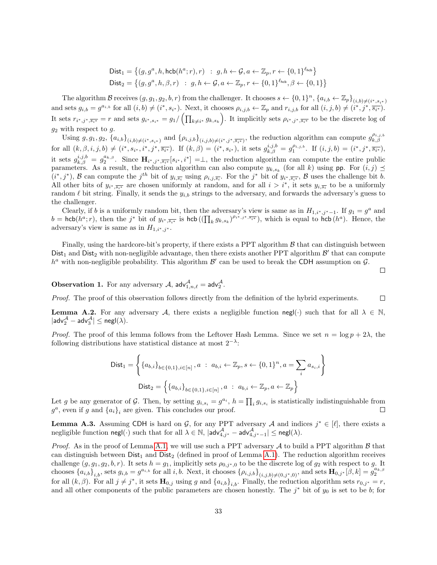$$
\begin{aligned} \text{Dist}_1 &= \left\{ (g, g^a, h, \text{hcb}(h^a; r), r) \ : \ g, h \leftarrow \mathcal{G}, a \leftarrow \mathbb{Z}_p, r \leftarrow \{0, 1\}^{\ell_{\text{hcb}}} \right\} \\ \text{Dist}_2 &= \left\{ (g, g^a, h, \beta, r) \ : \ g, h \leftarrow \mathcal{G}, a \leftarrow \mathbb{Z}_p, r \leftarrow \{0, 1\}^{\ell_{\text{hcb}}}, \beta \leftarrow \{0, 1\} \right\} \end{aligned}
$$

The algorithm B receives  $(g, g_1, g_2, b, r)$  from the challenger. It chooses  $s \leftarrow \{0, 1\}^n$ ,  $\{a_{i,b} \leftarrow \mathbb{Z}_p\}_{(i,b)\neq (i^*, s_{i^*})}$ and sets  $g_{i,b} = g^{a_{i,b}}$  for all  $(i,b) \neq (i^*, s_{i^*})$ . Next, it chooses  $\rho_{i,j,b} \leftarrow \mathbb{Z}_p$  and  $r_{i,j,b}$  for all  $(i,j,b) \neq (i^*, j^*, \overline{s_{i^*}})$ . It sets  $r_{i^*,j^*,\overline{s_{i^*}}} = r$  and sets  $g_{i^*,s_{i^*}} = g_1/\left(\prod_{k\neq i^*} g_{k,s_k}\right)$ . It implicitly sets  $\rho_{i^*,j^*,\overline{s_{i^*}}}$  to be the discrete log of  $g_2$  with respect to  $g$ .

Using  $g, g_1, g_2, \{a_{i,b}\}_{(i,b)\neq (i^*, s_i^*)}$  and  $\{\rho_{i,j,b}\}_{(i,j,b)\neq (i^*, j^*, \overline{s_i^*})}$ , the reduction algorithm can compute  $g_{k,\beta}^{\rho_{i,j,b}}$ for all  $(k, \beta, i, j, b) \neq (i^*, s_{i^*}, i^*, j^*, \overline{s_{i^*}})$ . If  $(k, \beta) = (i^*, s_{i^*})$ , it sets  $g_{k, \beta}^{i, j, b} = g_1^{\rho_{i, j, b}}$ . If  $(i, j, b) = (i^*, j^*, \overline{s_{i^*}})$ , it sets  $g_{k,\beta}^{i,j,b} = g_2^{a_{k,\beta}}$ . Since  $\mathbf{H}_{i^*,j^*,\overline{s_{i^*}}} [s_{i^*}, i^*] = \perp$ , the reduction algorithm can compute the entire public parameters. As a result, the reduction algorithm can also compute  $y_{k,s_k}$  (for all k) using pp. For  $(i,j) \preceq$  $(i^*, j^*)$ ,  $\mathcal B$  can compute the  $j^{th}$  bit of  $y_{i,\overline{s_i}}$  using  $\rho_{i,j,\overline{s_i}}$ . For the  $j^*$  bit of  $y_{i^*,\overline{s_i^*}}$ ,  $\mathcal B$  uses the challenge bit b. All other bits of  $y_{i^*,\overline{s_{i^*}}}$  are chosen uniformly at random, and for all  $i > i^*$ , it sets  $y_{i,\overline{s_i}}$  to be a uniformly random  $\ell$  bit string. Finally, it sends the  $y_{i,b}$  strings to the adversary, and forwards the adversary's guess to the challenger.

Clearly, if b is a uniformly random bit, then the adversary's view is same as in  $H_{1,i^*,j^*-1}$ . If  $g_1 = g^a$  and  $b = \text{hcb}(h^a; r)$ , then the j<sup>\*</sup> bit of  $y_{i^*, \overline{s_{i^*}}}$  is  $\text{hcb}((\prod_k g_{k,s_k})^{\rho_{i^*,j^*, \overline{s_{i^*}}}})$ , which is equal to  $\text{hcb}(h^a)$ . Hence, the adversary's view is same as in  $H_{1,i^*,j^*}$ .

Finally, using the hardcore-bit's property, if there exists a PPT algorithm  $\beta$  that can distinguish between Dist<sub>1</sub> and Dist<sub>2</sub> with non-negligible advantage, then there exists another PPT algorithm  $\mathcal{B}'$  that can compute  $h^a$  with non-negligible probability. This algorithm  $\mathcal{B}'$  can be used to break the CDH assumption on  $\mathcal{G}$ .

 $\Box$ 

**Observation 1.** For any adversary A,  $\mathsf{adv}_{1,n,\ell}^{\mathcal{A}} = \mathsf{adv}_2^{\mathcal{A}}$ .

 $\Box$ Proof. The proof of this observation follows directly from the definition of the hybrid experiments.

**Lemma A.2.** For any adversary A, there exists a negligible function negl( $\cdot$ ) such that for all  $\lambda \in \mathbb{N}$ ,  $|\mathsf{adv}_2^{\mathcal{A}} - \mathsf{adv}_3^{\mathcal{A}}| \le \mathsf{negl}(\lambda).$ 

*Proof.* The proof of this lemma follows from the Leftover Hash Lemma. Since we set  $n = \log p + 2\lambda$ , the following distributions have statistical distance at most  $2^{-\lambda}$ :

$$
\text{Dist}_1 = \left\{ \{a_{b,i}\}_{b \in \{0,1\}, i \in [n]}, a : a_{b,i} \leftarrow \mathbb{Z}_p, s \leftarrow \{0,1\}^n, a = \sum_i a_{s_i, i} \right\}
$$
\n
$$
\text{Dist}_2 = \left\{ \{a_{b,i}\}_{b \in \{0,1\}, i \in [n]}, a : a_{b,i} \leftarrow \mathbb{Z}_p, a \leftarrow \mathbb{Z}_p \right\}
$$

Let g be any generator of G. Then, by setting  $g_{i,s_i} = g^{a_i}$ ,  $h = \prod_i g_{i,s_i}$  is statistically indistinguishable from  $g^a$ , even if g and  $\{a_i\}_i$  are given. This concludes our proof.  $\Box$ 

<span id="page-32-0"></span>**Lemma A.3.** Assuming CDH is hard on G, for any PPT adversary A and indices  $j^* \in [\ell]$ , there exists a negligible function  $\mathsf{negl}(\cdot)$  such that for all  $\lambda \in \mathbb{N},$   $|\mathsf{adv}_{4,j^*}^{\mathcal{A}} - \mathsf{adv}_{4,j^*-1}^{\mathcal{A}}| \leq \mathsf{negl}(\lambda).$ 

*Proof.* As in the proof of Lemma [A.1,](#page-31-0) we will use such a PPT adversary A to build a PPT algorithm  $\beta$  that can distinguish between  $Dist_1$  and  $Dist_2$  (defined in proof of Lemma [A.1\)](#page-31-0). The reduction algorithm receives challenge  $(g, g_1, g_2, b, r)$ . It sets  $h = g_1$ , implicitly sets  $\rho_{0,j^*,0}$  to be the discrete log of  $g_2$  with respect to g. It chooses  ${a_{i,b}}_{i,b}$ , sets  $g_{i,b} = g^{a_{i,b}}$  for all i, b. Next, it chooses  ${\{\rho_{i,j,b}\}}_{(i,j,b)\neq(0,j^*,0)}$ , and sets  $\mathbf{H}_{0,j^*}[\beta,k] = g_2^{a_{k,\beta}}$ for all  $(k, \beta)$ . For all  $j \neq j^*$ , it sets  $\mathbf{H}_{0,j}$  using g and  ${a_{i,b}}_{i,b}$ . Finally, the reduction algorithm sets  $r_{0,j^*} = r$ , and all other components of the public parameters are chosen honestly. The  $j^*$  bit of  $y_0$  is set to be b; for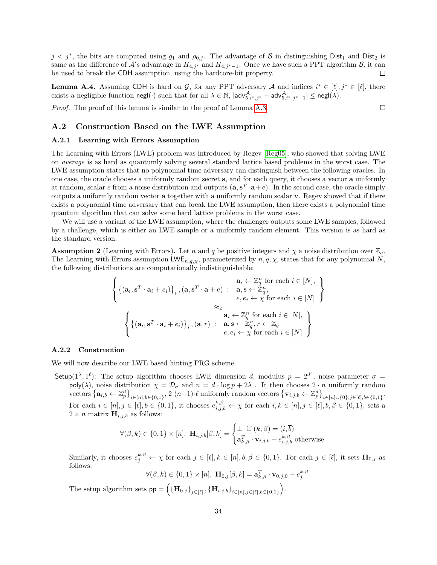$j < j^*$ , the bits are computed using  $g_1$  and  $\rho_{0,j}$ . The advantage of B in distinguishing Dist<sub>1</sub> and Dist<sub>2</sub> is same as the difference of  $\mathcal{A}'s$  advantage in  $H_{4,j^*}$  and  $H_{4,j^*-1}$ . Once we have such a PPT algorithm  $\mathcal{B}$ , it can be used to break the CDH assumption, using the hardcore-bit property.  $\Box$ 

**Lemma A.4.** Assuming CDH is hard on G, for any PPT adversary A and indices  $i^* \in [\ell], j^* \in [\ell],$  there exists a negligible function  $\mathsf{negl}(\cdot)$  such that for all  $\lambda \in \mathbb{N}$ ,  $|\mathsf{adv}_{5,i^*,j^*}^{\mathcal{A}} - \mathsf{adv}_{5,i^*,j^*-1}^{\mathcal{A}}| \leq \mathsf{negl}(\lambda).$ 

Proof. The proof of this lemma is similar to the proof of Lemma [A.3.](#page-32-0)

## A.2 Construction Based on the LWE Assumption

### A.2.1 Learning with Errors Assumption

The Learning with Errors (LWE) problem was introduced by Regev [\[Reg05\]](#page-29-14), who showed that solving LWE on average is as hard as quantumly solving several standard lattice based problems in the worst case. The LWE assumption states that no polynomial time adversary can distinguish between the following oracles. In one case, the oracle chooses a uniformly random secret s, and for each query, it chooses a vector a uniformly at random, scalar e from a noise distribution and outputs  $(a, s^T \cdot a + e)$ . In the second case, the oracle simply outputs a uniformly random vector a together with a uniformly random scalar u. Regev showed that if there exists a polynomial time adversary that can break the LWE assumption, then there exists a polynomial time quantum algorithm that can solve some hard lattice problems in the worst case.

We will use a variant of the LWE assumption, where the challenger outputs some LWE samples, followed by a challenge, which is either an LWE sample or a uniformly random element. This version is as hard as the standard version.

**Assumption 2** (Learning with Errors). Let n and q be positive integers and  $\chi$  a noise distribution over  $\mathbb{Z}_q$ . The Learning with Errors assumption  $\mathsf{LWE}_{n,q,\chi}$ , parameterized by  $n, q, \chi$ , states that for any polynomial N, the following distributions are computationally indistinguishable:

$$
\left\{ \{ (\mathbf{a}_i, \mathbf{s}^T \cdot \mathbf{a}_i + e_i) \}_i, (\mathbf{a}, \mathbf{s}^T \cdot \mathbf{a} + e) : \begin{array}{c} \mathbf{a}_i \leftarrow \mathbb{Z}_q^n \text{ for each } i \in [N], \\ \mathbf{a}, \mathbf{s} \leftarrow \mathbb{Z}_q^n, \\ e, e_i \leftarrow \chi \text{ for each } i \in [N] \end{array} \right\} \right\}
$$

$$
\approx_c
$$

$$
\mathbf{a}_i \leftarrow \mathbb{Z}_q^n \text{ for each } i \in [N],
$$

$$
\left\{ \{ (\mathbf{a}_i, \mathbf{s}^T \cdot \mathbf{a}_i + e_i) \}_i, (\mathbf{a}, r) : \begin{array}{c} \mathbf{a}_i \leftarrow \mathbb{Z}_q^n \text{ for each } i \in [N], \\ \mathbf{a}, \mathbf{s} \leftarrow \mathbb{Z}_q^n, r \leftarrow \mathbb{Z}_q \\ e, e_i \leftarrow \chi \text{ for each } i \in [N] \end{array} \right\}
$$

### A.2.2 Construction

We will now describe our LWE based hinting PRG scheme.

Setup( $1^{\lambda}, 1^{\ell}$ ): The setup algorithm chooses LWE dimension d, modulus  $p = 2^{d^{\epsilon}}$ , noise parameter  $\sigma =$  $\text{poly}(\lambda)$ , noise distribution  $\chi = \mathcal{D}_{\sigma}$  and  $n = d \cdot \log p + 2\lambda$ . It then chooses  $2 \cdot n$  uniformly random vectors  $\{\mathbf{a}_{i,b} \leftarrow \mathbb{Z}_{p}^{d}\}_{i \in [n],b \in \{0,1\}}$ ,  $2 \cdot (n+1) \cdot \ell$  uniformly random vectors  $\{\mathbf{v}_{i,j,b} \leftarrow \mathbb{Z}_{p}^{d}\}_{i \in [n] \cup \{0\},j \in [\ell],b \in \{0,1\}}$ . For each  $i \in [n], j \in [\ell], b \in \{0,1\}$ , it chooses  $e_{i,j,b}^{k,\beta} \leftarrow \chi$  for each  $i,k \in [n], j \in [\ell], b,\beta \in \{0,1\}$ , sets a  $2 \times n$  matrix  $\mathbf{H}_{i,j,b}$  as follows:

$$
\forall (\beta, k) \in \{0, 1\} \times [n], \ \mathbf{H}_{i,j,b}[\beta, k] = \begin{cases} \perp \text{ if } (k, \beta) = (i, \overline{b}) \\ \mathbf{a}_{k,\beta}^T \cdot \mathbf{v}_{i,j,b} + e_{i,j,b}^{k,\beta} \text{ otherwise} \end{cases}
$$

Similarly, it chooses  $e_j^{k,\beta} \leftarrow \chi$  for each  $j \in [\ell], k \in [n], b, \beta \in \{0,1\}$ . For each  $j \in [\ell],$  it sets  $\mathbf{H}_{0,j}$  as follows:

$$
\forall (\beta, k) \in \{0, 1\} \times [n], \ \mathbf{H}_{0,j}[\beta, k] = \mathbf{a}_{k,\beta}^T \cdot \mathbf{v}_{0,j,0} + e_j^{k,\beta}
$$

The setup algorithm sets  $pp = \left( {\{\mathbf{H}_{0,j}\}}_{j \in [\ell]}, {\{\mathbf{H}_{i,j,b}\}}_{i \in [n],j \in [\ell],b \in \{0,1\}} \right)$ .

 $\Box$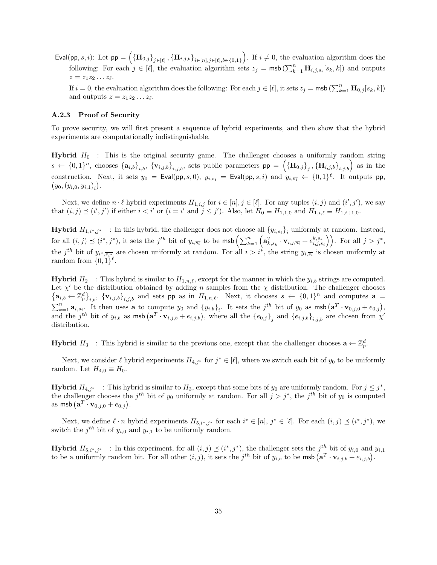$\textsf{Eval}(\textsf{pp},s,i)$ : Let  $\textsf{pp} = \left( \{ \mathbf{H}_{0,j} \}_{j \in [\ell]}, \{ \mathbf{H}_{i,j,b} \}_{i \in [n], j \in [\ell], b \in \{0,1\}} \right)$ . If  $i \neq 0$ , the evaluation algorithm does the following: For each  $j \in [\ell]$ , the evaluation algorithm sets  $z_j = \text{msb}(\sum_{k=1}^n \mathbf{H}_{i,j,s_i}[s_k, k])$  and outputs  $z = z_1z_2 \ldots z_\ell.$ 

If  $i = 0$ , the evaluation algorithm does the following: For each  $j \in [\ell]$ , it sets  $z_j = \text{msb} \left( \sum_{k=1}^n \mathbf{H}_{0,j}[s_k, k] \right)$ and outputs  $z = z_1 z_2 \ldots z_\ell$ .

### A.2.3 Proof of Security

To prove security, we will first present a sequence of hybrid experiments, and then show that the hybrid experiments are computationally indistinguishable.

**Hybrid**  $H_0$  : This is the original security game. The challenger chooses a uniformly random string  $s \leftarrow \{0,1\}^n$ , chooses  $\{\mathbf{a}_{i,b}\}_{i,j,b}$ ,  $\{\mathbf{v}_{i,j,b}\}_{i,j,b}$ , sets public parameters  $pp = \left(\{\mathbf{H}_{0,j}\}_j, {\{\mathbf{H}_{i,j,b}\}}_{i,j,b}\right)$  as in the construction. Next, it sets  $y_0 = \text{Eval}(pp, s, 0)$ ,  $y_{i, s_i} = \text{Eval}(pp, s, i)$  and  $y_{i, \overline{s_i}} \leftarrow \{0, 1\}^{\ell}$ . It outputs pp,  $(y_0,(y_{i,0},y_{i,1})_i).$ 

Next, we define  $n \cdot \ell$  hybrid experiments  $H_{1,i,j}$  for  $i \in [n], j \in [\ell]$ . For any tuples  $(i, j)$  and  $(i', j')$ , we say that  $(i, j) \preceq (i', j')$  if either  $i < i'$  or  $(i = i'$  and  $j \le j'$ ). Also, let  $H_0 \equiv H_{1,1,0}$  and  $H_{1,i,\ell} \equiv H_{1,i+1,0}$ .

**Hybrid**  $H_{1,i^*,j^*}$  : In this hybrid, the challenger does not choose all  ${y_{i,\overline{s_i}}}_i$  uniformly at random. Instead, for all  $(i, j) \preceq (i^*, j^*)$ , it sets the  $j^{th}$  bit of  $y_{i, \overline{s_i}}$  to be msb  $\left(\sum_{k=1}^n \left(\mathbf{a}_{k, s_k}^T \cdot \mathbf{v}_{i, j, \overline{s_i}} + e_{i, j, s_i}^{k, s_k}\right)\right)$ . For all  $j > j^*$ , the  $j^{th}$  bit of  $y_{i^*,\overline{s_{i^*}}}$  are chosen uniformly at random. For all  $i > i^*$ , the string  $y_{i,\overline{s_i}}$  is chosen uniformly at random from  $\{0,1\}^{\ell}$ .

**Hybrid**  $H_2$  : This hybrid is similar to  $H_{1,n,\ell}$ , except for the manner in which the  $y_{i,b}$  strings are computed. Let  $\chi'$  be the distribution obtained by adding n samples from the  $\chi$  distribution. The challenger chooses  ${a_{i,b} \leftarrow \mathbb{Z}_{p}^{d}}_{i,b}, \ {\mathbf{v}_{i,j,b}}_{i,j,b} \text{ and sets pp as in } H_{1,n,\ell}.$  Next, it chooses  $s \leftarrow \{0,1\}^{n}$  and computes  $\mathbf{a} =$  $\sum_{k=1}^n \mathbf{a}_{i,s_i}$ . It then uses a to compute  $y_0$  and  $\{y_{i,b}\}_i$ . It sets the j<sup>th</sup> bit of  $y_0$  as  $\text{msb}(\mathbf{a}^T \cdot \mathbf{v}_{0,j,0} + e_{0,j})$ , and the  $j^{th}$  bit of  $y_{i,b}$  as  $\textsf{msb}(\mathbf{a}^T \cdot \mathbf{v}_{i,j,b} + e_{i,j,b})$ , where all the  $\{e_{0,j}\}_j$  and  $\{e_{i,j,b}\}_{i,j,b}$  are chosen from  $\chi'$ distribution.

**Hybrid**  $H_3$ : This hybrid is similar to the previous one, except that the challenger chooses  $\mathbf{a} \leftarrow \mathbb{Z}_p^d$ .

Next, we consider  $\ell$  hybrid experiments  $H_{4,j^*}$  for  $j^* \in [\ell]$ , where we switch each bit of  $y_0$  to be uniformly random. Let  $H_{4,0} \equiv H_0$ .

**Hybrid**  $H_{4,j^*}$  : This hybrid is similar to  $H_3$ , except that some bits of  $y_0$  are uniformly random. For  $j \leq j^*$ , the challenger chooses the  $j<sup>th</sup>$  bit of  $y_0$  uniformly at random. For all  $j > j^*$ , the  $j<sup>th</sup>$  bit of  $y_0$  is computed as msb  $(\mathbf{a}^T \cdot \mathbf{v}_{0,j,0} + e_{0,j}).$ 

Next, we define  $\ell \cdot n$  hybrid experiments  $H_{5,i^*,j^*}$  for each  $i^* \in [n], j^* \in [\ell]$ . For each  $(i,j) \preceq (i^*,j^*)$ , we switch the  $j^{th}$  bit of  $y_{i,0}$  and  $y_{i,1}$  to be uniformly random.

**Hybrid**  $H_{5,i^*,j^*}$  : In this experiment, for all  $(i, j) \preceq (i^*, j^*)$ , the challenger sets the  $j^{th}$  bit of  $y_{i,0}$  and  $y_{i,1}$ to be a uniformly random bit. For all other  $(i, j)$ , it sets the  $j<sup>th</sup>$  bit of  $y_{i,b}$  to be msb  $(\mathbf{a}^T \cdot \mathbf{v}_{i,j,b} + e_{i,j,b})$ .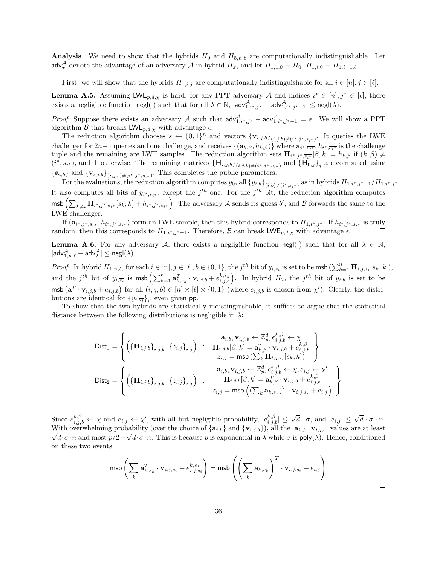**Analysis** We need to show that the hybrids  $H_0$  and  $H_{5,n,\ell}$  are computationally indistinguishable. Let adv<sub>x</sub><sup>A</sup> denote the advantage of an adversary A in hybrid  $H_x$ , and let  $H_{1,1,0} \equiv H_0$ ,  $H_{1,i,0} \equiv H_{1,i-1,\ell}$ .

First, we will show that the hybrids  $H_{1,i,j}$  are computationally indistinguishable for all  $i \in [n], j \in [\ell]$ .

**Lemma A.5.** Assuming LWE<sub>p,d, $\chi$ </sub> is hard, for any PPT adversary A and indices  $i^* \in [n], j^* \in [\ell]$ , there exists a negligible function  $\mathsf{negl}(\cdot)$  such that for all  $\lambda \in \mathbb{N}$ ,  $|\mathsf{adv}_{1,i^*,j^*}^{\mathcal{A}} - \mathsf{adv}_{1,i^*,j^*-1}^{\mathcal{A}}| \leq \mathsf{negl}(\lambda)$ .

*Proof.* Suppose there exists an adversary A such that  $adv_{1,i^*,j^*}^{\mathcal{A}} - adv_{1,i^*,j^*-1}^{\mathcal{A}} = \epsilon$ . We will show a PPT algorithm  $\beta$  that breaks LWE<sub>p,d, $\chi$ </sub> with advantage  $\epsilon$ .

The reduction algorithm chooses  $s \leftarrow \{0,1\}^n$  and vectors  $\{v_{i,j,b}\}_{(i,j,b)\neq (i^*,j^*,\overline{s_{i^*}})}$ . It queries the LWE challenger for 2n–1 queries and one challenge, and receives  $\{(\mathbf{a}_{k,\beta}, h_{k,\beta})\}$  where  $\mathbf{a}_{i^*,\overline{s_{i^*}}}, h_{i^*,\overline{s_{i^*}}}$  is the challenge tuple and the remaining are LWE samples. The reduction algorithm sets  $\mathbf{H}_{i^*,j^*,\overline{s_{i^*}}}[\beta,k] = h_{k,\beta}$  if  $(k,\beta) \neq$  $(i^*, \overline{s_{i^*}})$ , and  $\perp$  otherwise. The remaining matrices  ${\{\mathbf{H}_{i,j,b}\}}_{(i,j,b)\neq (i^*,j^*,\overline{s_{i^*}})}$  and  ${\{\mathbf{H}_{0,j}\}}_j$  are computed using  ${a_{i,b}}$  and  ${v_{i,j,b}}_{(i,j,b)\neq(i^*,j^*,\overline{s_{i^*}})}$ . This completes the public parameters.

For the evaluations, the reduction algorithm computes  $y_0$ , all  $\{y_{i,b}\}_{(i,b)\neq (i^*,\overline{s_{i^*}})}$  as in hybrids  $H_{1,i^*,j^*-1}/H_{1,i^*,j^*}$ . It also computes all bits of  $y_{i^*,\overline{s_{i^*}}}$ , except the  $j^{th}$  one. For the  $j^{th}$  bit, the reduction algorithm computes msb  $\left(\sum_{k\neq i}\mathbf{H}_{i^*,j^*,\overline{s_{i^*}}}[s_k,k]+h_{i^*,j^*,\overline{s_{i^*}}}\right)$ . The adversary  ${\cal A}$  sends its guess  $b'$ , and  ${\cal B}$  forwards the same to the LWE challenger.

If  $(a_{i^*,j^*,\overline{s_{i^*}}}, h_{i^*,j^*,\overline{s_{i^*}}})$  form an LWE sample, then this hybrid corresponds to  $H_{1,i^*,j^*}$ . If  $h_{i^*,j^*,\overline{s_{i^*}}}$  is truly random, then this corresponds to  $H_{1,i^*,j^*-1}$ . Therefore, B can break LWE<sub>p,d, $\chi$ </sub> with advantage  $\epsilon$ .  $\Box$ 

**Lemma A.6.** For any adversary A, there exists a negligible function negl( $\cdot$ ) such that for all  $\lambda \in \mathbb{N}$ ,  $|\mathsf{adv}_{1, n, \ell}^{\mathcal{A}} - \mathsf{adv}_{2}^{\mathcal{A}}| \leq \mathsf{negl}(\lambda).$ 

*Proof.* In hybrid  $H_{1,n,\ell}$ , for each  $i \in [n], j \in [\ell], b \in \{0,1\}$ , the  $j^{th}$  bit of  $y_{i,s_i}$  is set to be  $\text{msb}(\sum_{k=1}^n \mathbf{H}_{i,j,s_i}[s_k, k]),$ and the  $j^{th}$  bit of  $y_{i,\overline{s_i}}$  is  $\textsf{msb}\left(\sum_{k=1}^n \mathbf{a}_{k,s_k}^T \cdot \mathbf{v}_{i,j,b} + e_{i,j,b}^{k,s_k}\right)$ . In hybrid  $H_2$ , the  $j^{th}$  bit of  $y_{i,b}$  is set to be msb  $(\mathbf{a}^T \cdot \mathbf{v}_{i,j,b} + e_{i,j,b})$  for all  $(i, j, b) \in [n] \times [l] \times \{0, 1\}$  (where  $e_{i,j,b}$  is chosen from  $\chi'$ ). Clearly, the distributions are identical for  $\{y_{i,\overline{s_i}}\}_i$ , even given pp.

To show that the two hybrids are statistically indistinguishable, it suffices to argue that the statistical distance between the following distributions is negligible in  $\lambda$ :

$$
\text{Dist}_1 = \left\{ \left( \{ \mathbf{H}_{i,j,b} \}_{i,j,b}, \{z_{i,j} \}_{i,j} \right) \ : \begin{array}{rcl} \mathbf{a}_{i,b}, \mathbf{v}_{i,j,b} \leftarrow \mathbb{Z}_p^d, e_{i,j,b}^{k,\beta} \leftarrow \chi \\ \mathbf{H}_{i,j,b}[\beta,k] = \mathbf{a}_{k,\beta}^T \cdot \mathbf{v}_{i,j,b} + e_{i,j,b}^{k,\beta} \\ z_{i,j} = \text{msb} \left( \sum_k \mathbf{H}_{i,j,s_i}[s_k,k] \right) \end{array} \right\}
$$
\n
$$
\text{Dist}_2 = \left\{ \left( \{ \mathbf{H}_{i,j,b} \}_{i,j,b}, \{z_{i,j} \}_{i,j} \right) \ : \begin{array}{rcl} \mathbf{a}_{i,b}, \mathbf{v}_{i,j,b} \leftarrow \mathbb{Z}_p^d, e_{i,j,b}^{k,\beta} \leftarrow \chi, e_{i,j} \leftarrow \chi' \\ \mathbf{H}_{i,j,b}[\beta,k] = \mathbf{a}_{k,\beta}^T \cdot \mathbf{v}_{i,j,b} + e_{i,j,b}^{k,\beta} \\ z_{i,j} = \text{msb} \left( \left( \sum_k \mathbf{a}_{k,s_k} \right)^T \cdot \mathbf{v}_{i,j,s_i} + e_{i,j} \right) \end{array} \right\}
$$

Since  $e_{i,j,b}^{k,\beta} \leftarrow \chi$  and  $e_{i,j} \leftarrow \chi'$ , with all but negligible probability,  $|e_{i,j,b}^{k,\beta}| \leq \sqrt{d} \cdot \sigma$ , and  $|e_{i,j}| \leq \sqrt{d} \cdot \sigma \cdot n$ . With overwhelming probability (over the choice of  $\{a_{i,b}\}\$  and  $\{v_{i,j,b}\}\$ , all the  $|a_{k,\beta} \cdot v_{i,j,b}|$  values are at least  $d \cdot \sigma \cdot n$  and most  $p/2 - \sqrt{d \cdot \sigma \cdot n}$ . This is because p is exponential in  $\lambda$  while  $\sigma$  is poly( $\lambda$ ). Hence, conditioned on these two events,

$$
\mathsf{msb}\left(\sum_k \mathbf{a}_{k,s_k}^T \cdot \mathbf{v}_{i,j,s_i} + e_{i,j,s_i}^{k,s_k}\right) = \mathsf{msb}\left(\left(\sum_k \mathbf{a}_{k,s_k}\right)^T \cdot \mathbf{v}_{i,j,s_i} + e_{i,j}\right)
$$